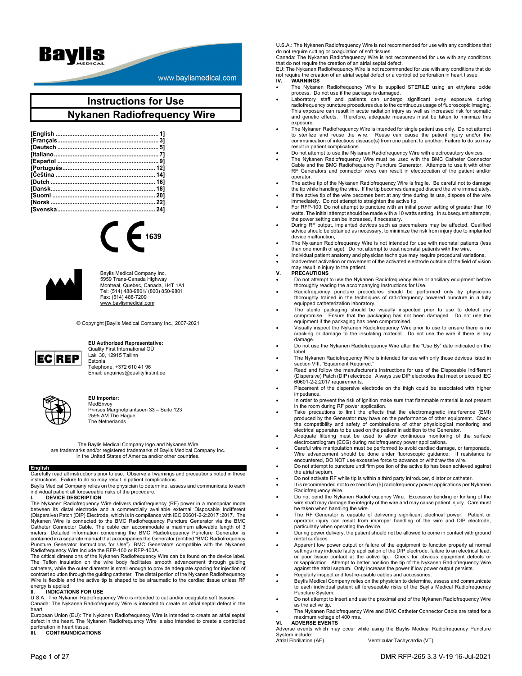

www.baylismedical.com

# **Instructions for Use Nykanen Radiofrequency Wire**





Baylis Medical Company Inc. 5959 Trans-Canada Highway Montreal, Quebec, Canada, H4T 1A1 Tel: (514) 488-9801/ (800) 850-9801 Fax: (514) 488-7209 www.baylismedical.com

© Copyright [Baylis Medical Company Inc., 2007-2021



#### **EU Authorized Representative:**  Quality First International OÜ

Laki 30, 12915 Tallinn Estonia Telephone: +372 610 41 96 Email: enquiries@qualityfirstint.ee



#### **EU Importer:**  MedEnvoy

Prinses Margrietplantsoen 33 – Suite 123 2595 AM The Hague The Netherlands

The Baylis Medical Company logo and Nykanen Wire are trademarks and/or registered trademarks of Baylis Medical Company Inc. in the United States of America and/or other countries.

## **English**

Carefully read all instructions prior to use. Observe all warnings and precautions noted in these instructions. Failure to do so may result in patient complications.

Baylis Medical Company relies on the physician to determine, assess and communicate to each individual patient all foreseeable risks of the procedure.

#### **I. DEVICE DESCRIPTION**

The Nykanen Radiofrequency Wire delivers radiofrequency (RF) power in a monopolar mode between its distal electrode and a commercially available external Disposable Indifferent (Dispersive) Patch (DIP) Electrode, which is in compliance with IEC 60601-2-2:2017 : 2017. The Nykanen Wire is connected to the BMC Radiofrequency Puncture Generator via the BMC Calteter Connector Cable. The cable can acco

The critical dimensions of the Nykanen Radiofrequency Wire can be found on the device label. The Teflon insulation on the wire body facilitates smooth advancement through guiding catheters, while the outer diameter is small enough to provide adequate spacing for injection of contrast solution through the guiding catheter. The distal portion of the Nykanen Radiofrequency Wire is flexible and the active tip is shaped to be atraumatic to the cardiac tissue unless RF energy is applied.

#### **II. INDICATIONS FOR USE**

U.S.A.: The Nykanen Radiofrequency Wire is intended to cut and/or coagulate soft tissues. Canada: The Nykanen Radiofrequency Wire is intended to create an atrial septal defect in the heart.

European Union (EU): The Nykanen Radiofrequency Wire is intended to create an atrial septal defect in the heart. The Nykanen Radiofrequency Wire is also intended to create a controlled perforation in heart tissue.<br>III. CONTRAINDICAT

## **III. CONTRAINDICATIONS**

U.S.A.: The Nykanen Radiofrequency Wire is not recommended for use with any conditions that do not require cutting or coagulation of soft tissues. Canada: The Nykanen Radiofrequency Wire is not recommended for use with any conditions

that do not require the creation of an atrial septal defect.

EU: The Nykanan Radiofrequency Wire is not recommended for use with any conditions that do not require the creation of an atrial septal defect or a controlled perforation in heart tissue.<br>IV. WARNINGS **IV. WARNINGS**

- The Nykanen Radiofrequency Wire is supplied STERILE using an ethylene oxide process. Do not use if the package is damaged.
- Laboratory staff and patients can undergo significant x-ray exposure during radiofrequency puncture procedures due to the continuous usage of fluoroscopic imaging. This exposure can result in acute radiation injury as well as increased risk for somatic and genetic effects. Therefore, adequate measures must be taken to minimize this exposure.
- The Nykanen Radiofrequency Wire is intended for single patient use only. Do not attempt to sterilize and reuse the wire. Reuse can cause the patient injury and/or the communication of infectious disease(s) from one patient to another. Failure to do so may result in patient complications.
- Do not attempt to use the Nykanen Radiofrequency Wire with electrocautery devices.
- The Nykanen Radiofrequency Wire must be used with the BMC Catheter Connector Cable and the BMC Radiofrequency Puncture Generator. Attempts to use it with other RF Generators and connector wires can result in electrocution of the patient and/or operator.
- The active tip of the Nykanen Radiofrequency Wire is fragile. Be careful not to damage the tip while handling the wire. If the tip becomes damaged discard the wire immediately.
- If the active tip of the wire becomes bent at any time during its use, dispose of the wire immediately. Do not attempt to straighten the active tip.
- 
- For RFP-100: Do not attempt to puncture with an initial power setting of greater than 10 watts. The initial attempt should be made with a 10 watts setting. In subsequent attempts, the power setting can be increased, if necessary.
- During RF output, implanted devices such as pacemakers may be affected. Qualified advice should be obtained as necessary, to minimize the risk from injury due to implanted device malfunction.
- The Nykanen Radiofrequency Wire is not intended for use with neonatal patients (less than one month of age). Do not attempt to treat neonatal patients with the wire.
- Individual patient anatomy and physician technique may require procedural variations.
- Inadvertent activation or movement of the activated electrode outside of the field of vision may result in injury to the patient. **V. PRECAUTIONS**
- 
- Do not attempt to use the Nykanen Radiofrequency Wire or ancillary equipment before thoroughly reading the accompanying Instructions for Use.
- Radiofrequency puncture procedures should be performed only by physicians thoroughly trained in the techniques of radiofrequency powered puncture in a fully equipped catheterization laboratory.
- The sterile packaging should be visually inspected prior to use to detect any compromise. Ensure that the packaging has not been damaged. Do not use the equipment if the packaging has been compromised.
- Visually inspect the Nykanen Radiofrequency Wire prior to use to ensure there is no cracking or damage to the insulating material. Do not use the wire if there is any damage.
- Do not use the Nykanen Radiofrequency Wire after the "Use By" date indicated on the label.
- The Nykanen Radiofrequency Wire is intended for use with only those devices listed in section VIII, "Equipment Required."
- Read and follow the manufacturer's instructions for use of the Disposable Indifferent (Dispersive) Patch (DIP) electrode. Always use DIP electrodes that meet or exceed IEC 60601-2-2:2017 requirements.
- Placement of the dispersive electrode on the thigh could be associated with higher impedance.
- In order to prevent the risk of ignition make sure that flammable material is not present in the room during RF power application.
- Take precautions to limit the effects that the electromagnetic interference (EMI) produced by the Generator may have on the performance of other equipment. Check the compatibility and safety of combinations of other physiological monitoring and electrical apparatus to be used on the patient in addition to the Generator.
- Adequate filtering must be used to allow continuous monitoring of the surface electrocardiogram (ECG) during radiofrequency power applications.
- Careful wire manipulation must be performed to avoid cardiac damage, or tamponade. Wire advancement should be done under fluoroscopic guidance. If resistance is encountered, DO NOT use excessive force to advance or withdraw the wire.
- Do not attempt to puncture until firm position of the active tip has been achieved against the atrial septum.
- Do not activate RF while tip is within a third party introducer, dilator or catheter. It is recommended not to exceed five (5) radiofrequency power applications per Nykanen Radiofrequency Wire.
- Do not bend the Nykanen Radiofrequency Wire. Excessive bending or kinking of the wire shaft may damage the integrity of the wire and may cause patient injury. Care must be taken when handling the wire.
- The RF Generator is capable of delivering significant electrical power. Patient or operator injury can result from improper handling of the wire and DIP electrode, particularly when operating the device.
- During power delivery, the patient should not be allowed to come in contact with ground metal surfaces.
- Apparent low power output or failure of the equipment to function properly at normal settings may indicate faulty application of the DIP electrode, failure to an electrical lead, or poor tissue contact at the active tip. Check for obvious equipment defects or misapplication. Attempt to better position the tip of the Nykanen Radiofrequency Wire against the atrial septum. Only increase the power if low power output persists.
- Regularly inspect and test re-usable cables and accessories.
- Baylis Medical Company relies on the physician to determine, assess and communicate to each individual patient all foreseeable risks of the Baylis Medical Radiofrequency Puncture System.
- Do not attempt to insert and use the proximal end of the Nykanen Radiofrequency Wire as the active tip.
- The Nykanen Radiofrequency Wire and BMC Catheter Connector Cable are rated for a maximum voltage of 400 rms. **VI. ADVERSE EVENTS**

Adverse events which may occur while using the Baylis Medical Radiofrequency Puncture System include:

Atrial Fibrillation (AF) Ventricular Tachycardia (VT)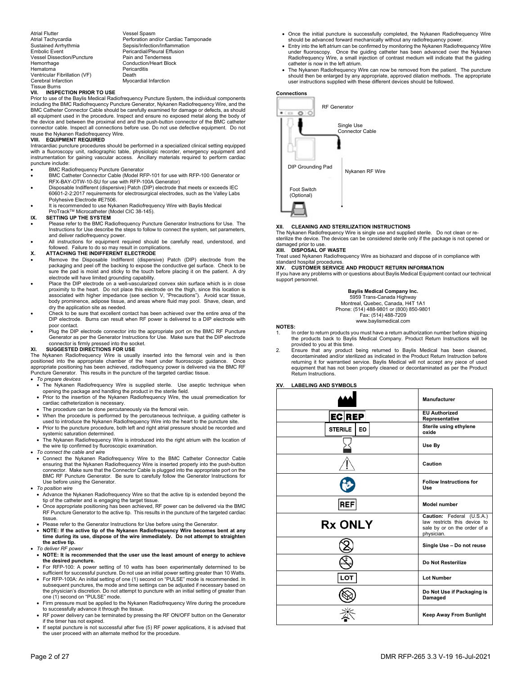Atrial Flutter Vessel Spasm Atrial Tachycardia **Atrica Communist Constructs**<br>
Perforation and/or Cardiac Tamponade<br>
Persis/Infection/Inflammation Sustained Arrhythmia<br>
Sepsis/Infection/Inflammation<br>
Pericardial/Pleural Effusion Vessel Dissection/Puncture<br>Hemorrhage Hemorrhage Conduction/Heart Block<br>
Hematoma Pericarditis Ventricular Fibrillation (VF)<br>Cerebral Infarction Tissue Burns<br>VII. INSPE

Pericardial/Pleural Effusion<br>Pain and Tenderness Pericarditis<br>Death **Myocardial Infarction** 

#### **VII. INSPECTION PRIOR TO USE**

Prior to use of the Baylis Medical Radiofrequency Puncture System, the individual components including the BMC Radiofrequency Puncture Generator, Nykanen Radiofrequency Wire, and the BMC Catheter Connector Cable should be carefully examined for damage or defects, as should all equipment used in the procedure. Inspect and ensure no exposed metal along the body of the device and between the proximal end and the push-button connector of the BMC catheter connector cable. Inspect all connections before use. Do not use defective equipment. Do not reuse the Nykanen Radiofrequency Wire.

#### **VIII. EQUIPMENT REQUIRED**

Intracardiac puncture procedures should be performed in a specialized clinical setting equipped with a fluoroscopy unit, radiographic table, physiologic recorder, emergency equipment and instrumentation for gaining vascular access. Ancillary materials required to perform cardiac puncture include:

- BMC Radiofrequency Puncture Generator
- BMC Catheter Connector Cable (Model RFP-101 for use with RFP-100 Generator or RFX-BAY-OTW-10-SU for use with RFP-100A Generator) Disposable Indifferent (dispersive) Patch (DIP) electrode that meets or exceeds IEC
- 60601-2-2:2017 requirements for electrosurgical electrodes, such as the Valley Labs Polyhesive Electrode #E7506. It is recommended to use Nykanen Radiofrequency Wire with Baylis Medical
- ProTrackTM Microcatheter (Model CIC 38-145).

#### **IX. SETTING UP THE SYSTEM**

- Please refer to the BMC Radiofrequency Puncture Generator Instructions for Use. The Instructions for Use describe the steps to follow to connect the system, set parameters, and deliver radiofrequency power.
- All instructions for equipment required should be carefully read, understood, and followed. Failure to do so may result in complications. **X. ATTACHING THE INDIFFERENT ELECTRODE**

- Remove the Disposable Indifferent (dispersive) Patch (DIP) electrode from the packaging and peel off the backing to expose the conductive gel surface. Check to be sure the pad is moist and sticky to the touch before placing it on the patient. A dry electrode will have limited grounding capability.
- Place the DIP electrode on a well-vascularized convex skin surface which is in close proximity to the heart. Do not place this electrode on the thigh, since this location is associated with higher impedance (see section V, "Precautions"). Avoid scar tissue, body prominence, adipose tissue, and areas where fluid may pool. Shave, clean, and dry the application site as needed.
- Check to be sure that excellent contact has been achieved over the entire area of the DIP electrode. Burns can result when RF power is delivered to a DIP electrode with poor contact.
- Plug the DIP electrode connector into the appropriate port on the BMC RF Puncture Generator as per the Generator Instructions for Use. Make sure that the DIP electrode connector is firmly pressed into the socket.

#### **SUGGESTED DIRECTIONS FOR USE**

The Nykanen Radiofrequency Wire is usually inserted into the femoral vein and is then positioned into the appropriate chamber of the heart under fluoroscopic guidance. Once appropriate positioning has been achieved, radiofrequency power is delivered via the BMC RF Puncture Generator. This results in the puncture of the targeted cardiac tissue.

#### *To prepare devices*

- The Nykanen Radiofrequency Wire is supplied sterile. Use aseptic technique when opening the package and handling the product in the sterile field.
- Prior to the insertion of the Nykanen Radiofrequency Wire, the usual premedication for cardiac catheterization is necessary.
- The procedure can be done percutaneously via the femoral vein.
- When the procedure is performed by the percutaneous technique, a guiding catheter is used to introduce the Nykanen Radiofrequency Wire into the heart to the puncture site.
- Prior to the puncture procedure, both left and right atrial pressure should be recorded and systemic saturation determined.
- The Nykanen Radiofrequency Wire is introduced into the right atrium with the location of the wire tip confirmed by fluoroscopic examination.
- *To connect the cable and wire* 
	- Connect the Nykanen Radiofrequency Wire to the BMC Catheter Connector Cable ensuring that the Nykanen Radiofrequency Wire is inserted properly into the push-button<br>connector. Make sure that the Connector Cable is plugged into the appropriate port on the<br>BMC RF Puncture Generator. Be sure to caref Use before using the Generator.
- *To position wire* 
	- Advance the Nykanen Radiofrequency Wire so that the active tip is extended beyond the tip of the catheter and is engaging the target tissue.
	- Once appropriate positioning has been achieved, RF power can be delivered via the BMC RF Puncture Generator to the active tip. This results in the puncture of the targeted cardiac
	- tissue. Please refer to the Generator Instructions for Use before using the Generator.
- **NOTE: If the active tip of the Nykanen Radiofrequency Wire becomes bent at any time during its use, dispose of the wire immediately. Do not attempt to straighten the active tip.** *To deliver RF power*
- **NOTE: It is recommended that the user use the least amount of energy to achieve the desired puncture.**
- For RFP-100: A power setting of 10 watts has been experimentally determined to be sufficient for successful puncture. Do not use an initial power setting greater than 10 Watts.
- For RFP-100A: An initial setting of one (1) second on "PULSE" mode is recommended. In subsequent punctures, the mode and time settings can be adjusted if necessary based on the physician's discretion. Do not attempt to puncture with an initial setting of greater than one (1) second on "PULSE" mode.
- Firm pressure must be applied to the Nykanen Radiofrequency Wire during the procedure to successfully advance it through the tissue.
- RF power delivery can be terminated by pressing the RF ON/OFF button on the Generator if the timer has not expired.
- If septal puncture is not successful after five (5) RF power applications, it is advised that the user proceed with an alternate method for the procedure.
- Once the initial puncture is successfully completed, the Nykanen Radiofrequency Wire should be advanced forward mechanically without any radiofrequency power.
- Entry into the left atrium can be confirmed by monitoring the Nykanen Radiofrequency Wire under fluoroscopy. Once the guiding catheter has been advanced over the Nykanen Radiofrequency Wire, a small injection of contrast medium will indicate that the guiding catheter is now in the left atrium.
- The Nykanen Radiofrequency Wire can now be removed from the patient. The puncture should then be enlarged by any appropriate, approved dilation methods. The appropriate user instructions supplied with these different devices should be followed.

#### **Connections**



#### **XII. CLEANING AND STERILIZATION INSTRUCTIONS**

The Nykanen Radiofrequency Wire is single use and supplied sterile. Do not clean or resterilize the device. The devices can be considered sterile only if the package is not opened or damaged prior to use

## **DISPOSAL OF WASTE**

Treat used Nykanen Radiofrequency Wire as biohazard and dispose of in compliance with standard hospital procedures.

**XIV. CUSTOMER SERVICE AND PRODUCT RETURN INFORMATION** 

If you have any problems with or questions about Baylis Medical Equipment contact our technical support personnel.

#### **Baylis Medical Company Inc.**

5959 Trans-Canada Highway Montreal, Quebec, Canada, H4T 1A1 Phone: (514) 488-9801 or (800) 850-9801

Fax: (514) 488-7209

www.baylismedical.com

#### **NOTES:**

- 1. In order to return products you must have a return authorization number before shipping the products back to Baylis Medical Company. Product Return Instructions will be provided to you at this time.
- 2. Ensure that any product being returned to Baylis Medical has been cleaned, decontaminated and/or sterilized as indicated in the Product Return Instruction before returning it for warrantied service. Baylis Medical will not accept any piece of used equipment that has not been properly cleaned or decontaminated as per the Product Return Instructions.

## **XV. LABELING AND SYMBOLS**

|                       | <b>Manufacturer</b>                                                                                     |
|-----------------------|---------------------------------------------------------------------------------------------------------|
| <b>ECREP</b>          | <b>EU Authorized</b><br>Representative                                                                  |
| <b>STERILE</b><br>EO. | Sterile using ethylene<br>oxide                                                                         |
|                       | Use By                                                                                                  |
|                       | Caution                                                                                                 |
|                       | <b>Follow Instructions for</b><br>Use                                                                   |
| <b>REF</b>            | Model number                                                                                            |
| <b>Rx ONLY</b>        | Caution: Federal (U.S.A.)<br>law restricts this device to<br>sale by or on the order of a<br>physician. |
|                       | Single Use - Do not reuse                                                                               |
|                       | Do Not Resterilize                                                                                      |
| <b>LOT</b>            | <b>Lot Number</b>                                                                                       |
|                       | Do Not Use if Packaging is<br>Damaged                                                                   |
|                       | <b>Keep Away From Sunlight</b>                                                                          |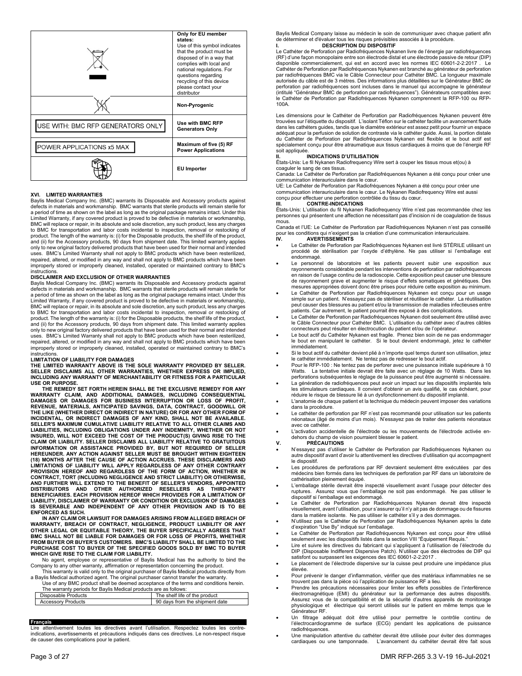|                                   | Only for EU member<br>states:<br>Use of this symbol indicates<br>that the product must be<br>disposed of in a way that<br>complies with local and<br>national regulations. For<br>questions regarding<br>recycling of this device<br>please contact your<br>distributor |
|-----------------------------------|-------------------------------------------------------------------------------------------------------------------------------------------------------------------------------------------------------------------------------------------------------------------------|
|                                   | Non-Pyrogenic                                                                                                                                                                                                                                                           |
| USE WITH: BMC RFP GENERATORS ONLY | Use with BMC RFP<br><b>Generators Only</b>                                                                                                                                                                                                                              |
| POWER APPLICATIONS x5 MAX         | Maximum of five (5) RF<br><b>Power Applications</b>                                                                                                                                                                                                                     |
|                                   | <b>EU</b> Importer                                                                                                                                                                                                                                                      |

### **XVI. LIMITED WARRANTIES**

Baylis Medical Company Inc. (BMC) warrants its Disposable and Accessory products against defects in materials and workmanship. BMC warrants that sterile products will remain sterile for a period of time as shown on the label as long as the original package remains intact. Under this Limited Warranty, if any covered product is proved to be defective in materials or workmanship, BMC will replace or repair, in its absolute and sole discretion, any such product, less any charges to BMC for transportation and labor costs incidental to inspection, removal or restocking of product. The length of the warranty is: (i) for the Disposable products, the shelf life of the product, and (ii) for the Accessory products, 90 days from shipment date. This limited warranty applies only to new original factory delivered products that have been used for their normal and intended uses. BMC's Limited Warranty shall not apply to BMC products which have been resterilized, repaired, altered, or modified in any way and shall not apply to BMC products which have been improperly stored or improperly cleaned, installed, operated or maintained contrary to BMC's instructions.

#### **DISCLAIMER AND EXCLUSION OF OTHER WARRANTIES**

Baylis Medical Company Inc. (BMC) warrants its Disposable and Accessory products against defects in materials and workmanship. BMC warrants that sterile products will remain sterile for a period of time as shown on the label as long as the original package remains intact. Under this Limited Warranty, if any covered product is proved to be defective in materials or workmanship, BMC will replace or repair, in its absolute and sole discretion, any such product, less any charges to BMC for transportation and labor costs incidental to inspection, removal or restocking of product. The length of the warranty is: (i) for the Disposable products, the shelf life of the product, and (ii) for the Accessory products, 90 days from shipment date. This limited warranty applies only to new original factory delivered products that have been used for their normal and intended uses. BMC's Limited Warranty shall not apply to BMC products which have been resterilized, repaired, altered, or modified in any way and shall not apply to BMC products which have been improperly stored or improperly cleaned, installed, operated or maintained contrary to BMC's instructions.

#### **LIMITATION OF LIABILITY FOR DAMAGES**

THE LIMITED WARRANTY ABOVE IS THE SOLE WARRANTY PROVIDED BY SELLER.<br>SELLER DISCLAIMS ALL OTHER WARRANTIES, WHETHER EXPRESS OR IMPLIED,<br>INCLUDING ANY WARRANTY OF MERCHANTABILITY OR FITNESS FOR A PARTICULAR **USE OR PURPOSE.** 

THE REMEDY SET FORTH HEREIN SHALL BE THE EXCLUSIVE REMEDY FOR ANY<br>WARRANTY CLAIM, AND ADDITIONAL DAMAGES, INCLUDING CONSEQUENTIAL<br>DAMAGES OR DAMAGES FOR BUSINESS INTERRUPTION OR LOSS OF PROFIT,<br>REVENUE, MATER **INCIDENTAL, OR INDIRECT DAMAGES OF ANY KIND, SHALL NOT BE AVAILABLE. SELLER'S MAXIMUM CUMULATIVE LIABILITY RELATIVE TO ALL OTHER CLAIMS AND LIABILITIES, INCLUDING OBLIGATIONS UNDER ANY INDEMNITY, WHETHER OR NOT INSURED, WILL NOT EXCEED THE COST OF THE PRODUCT(S) GIVING RISE TO THE CLAIM OR LIABILITY. SELLER DISCLAIMS ALL LIABILITY RELATIVE TO GRATUITOUS INFORMATION OR ASSISTANCE PROVIDED BY, BUT NOT REQUIRED OF SELLER HEREUNDER. ANY ACTION AGAINST SELLER MUST BE BROUGHT WITHIN EIGHTEEN**  (18) MONTHS AFTER THE CAUSE OF ACTION ACCRUES. THESE DISCLAIMERS AND<br>LIMITATIONS OF LIABILITY WILL APPLY REGARDLESS OF ANY OTHER CONTRARY<br>PROVISION HEREOF AND REGARDLESS OF THE FORM OF ACTION, WHETHER IN **CONTRACT, TORT (INCLUDING NEGLIGENCE AND STRICT LIABILITY) OR OTHERWISE,**  AND FURTHER WILL EXTEND TO THE BENEFIT OF SELLER'S VENDORS, APPOINTED<br>DISTRIBUTORS AND OTHER AUTHORIZED RESELLERS AS THIRD-PARTY<br>BENEFICIARIES. EACH PROVISION HEREOF WHICH PROVIDES FOR A LIMITATION OF **LIABILITY, DISCLAIMER OF WARRANTY OR CONDITION OR EXCLUSION OF DAMAGES IS SEVERABLE AND INDEPENDENT OF ANY OTHER PROVISION AND IS TO BE ENFORCED AS SUCH.**

 **IN ANY CLAIM OR LAWSUIT FOR DAMAGES ARISING FROM ALLEGED BREACH OF WARRANTY, BREACH OF CONTRACT, NEGLIGENCE, PRODUCT LIABILITY OR ANY OTHER LEGAL OR EQUITABLE THEORY, THE BUYER SPECIFICALLY AGREES THAT BMC SHALL NOT BE LIABLE FOR DAMAGES OR FOR LOSS OF PROFITS, WHETHER FROM BUYER OR BUYER'S CUSTOMERS. BMC'S LIABILITY SHALL BE LIMITED TO THE PURCHASE COST TO BUYER OF THE SPECIFIED GOODS SOLD BY BMC TO BUYER WHICH GIVE RISE TO THE CLAIM FOR LIABILITY.** 

No agent, employee or representative of Baylis Medical has the authority to bind the Company to any other warranty, affirmation or representation concerning the product.

 This warranty is valid only to the original purchaser of Baylis Medical products directly from a Baylis Medical authorized agent. The original purchaser cannot transfer the warranty. Use of any BMC product shall be deemed acceptance of the terms and conditions herein.

The warranty periods for Baylis Medical products are as follows:

| Disposable Products       | The shelf life of the product  |
|---------------------------|--------------------------------|
| <b>Accessory Products</b> | 90 days from the shipment date |
|                           |                                |

#### **Français**

attentivement toutes les directives avant l'utilisation. Respectez toutes les contre indications, avertissements et précautions indiqués dans ces directives. Le non-respect risque de causer des complications pour le patient.

Baylis Medical Company laisse au médecin le soin de communiquer avec chaque patient afin de déterminer et d'évaluer tous les risques prévisibles associés à la procédure. **I. DESCRIPTION DU DISPOSITIF** 

Le Cathéter de Perforation par Radiofréquences Nykanen livre de l'énergie par radiofréquences (RF) d'une façon monopolaire entre son électrode distal et une électrode passive de retour (DIP) disponible commercialement, qui est en accord avec les normes IEC 60601-2-2:2017 . Le Cathéter de Perforation par Radiofréquences Nykanen est branché au générateur de perforation par radiofréquences BMC via le Câble Connecteur pour Cathéter BMC. La longueur maximale autorisée du câble est de 3 mètres. Des informations plus détaillées sur le Générateur BMC de perforation par radiofréquences sont incluses dans le manuel qui accompagne le générateur (intitulé "Générateur BMC de perforation par radiofréquences"). Générateurs compatibles avec le Cathéter de Perforation par Radiofréquences Nykanen comprennent la RFP-100 ou RFP-100A.

Les dimensions pour le Cathéter de Perforation par Radiofréquences Nykanen peuvent être trouvées sur l'étiquette du dispositif. L'isolant Téflon sur le cathéter facilite un avancement fluide dans les cathéters guides, tandis que le diamètre extérieur est assez petit pour fournir un espace adéquat pour la perfusion de solution de contraste via le cathéter guide. Aussi, la portion distale du Cathéter de Perforation par Radiofréquences Nykanen est flexible et le bout actif est spécialement conçu pour être atraumatique aux tissus cardiaques à moins que de l'énergie RF soit appliquée

#### **II. INDICATIONS D'UTILISATION**

États-Unis: Le fil Nykanen Radiofrequency Wire sert à couper les tissus mous et(ou) à

coaguler le sang de ces tissus. Canada: Le Cathéter de Perforation par Radiofréquences Nykanen a été conçu pour créer une communication interauriculaire dans le cœur.

UE: Le Cathéter de Perforation par Radiofréquences Nykanen a été conçu pour créer une communication interauriculaire dans le cœur. Le Nykanen Radiofrequency Wire est aussi conçu pour effectuer une perforation contrôlée du tissu du cœur. **III. CONTRE-INDICATIONS** 

États-Unis: L'utilisation du fil Nykanen Radiofrequency Wire n'est pas recommandée chez les personnes qui présentent une affection ne nécessitant pas d'incision ni de coagulation de tissus mous.

Canada et l'UE: Le Cathéter de Perforation par Radiofréquences Nykanen n'est pas conseillé pour les conditions qui n'exigent pas la création d'une communication interauriculaire. **IV. AVERTISSEMENTS** 

- Le Cathéter de Perforation par Radiofréquences Nykanen est livré STÉRILE utilisant un procédé de stérilisation par l'oxyde d'éthylène. Ne pas utiliser si l'emballage est .<br>endommagé
- Le personnel de laboratoire et les patients peuvent subir une exposition aux rayonnements considérable pendant les interventions de perforation par radiofréquences en raison de l'usage continu de la radioscopie. Cette exposition peut causer une blessure de rayonnement grave et augmenter le risque d'effets somatiques et génétiques. Des mesures appropriées doivent donc être prises pour réduire cette exposition au minimum.
- Le Cathéter de Perforation par Radiofréquences Nykanen est conçu pour un usage simple sur un patient. N'essayez pas de stériliser et réutiliser le cathéter. La réutilisation peut causer des blessures au patient et/ou la transmission de maladies infectieuses entre patients. Car autrement, le patient pourrait être exposé à des complications.
- Le Cathéter de Perforation par Radiofréquences Nykanen doit seulement être utilisé avec le Câble Connecteur pour Cathéter BMC. L'utilisation du cathéter avec d'autres câbles connecteurs peut résulter en électrocution du patient et/ou de l'opérateur.
- Le bout actif du Cathéter Nykanen est fragile. Prenez bien soin de ne pas endommager le bout en manipulant le cathéter. Si le bout devient endommagé, jetez le cathéter immédiatement.
- Si le bout actif du cathéter devient plié à n'importe quel temps durant son utilisation, jetez le cathéter immédiatement. Ne tentez pas de redresser le bout actif.
- Pour le RFP-100 : Ne tentez pas de perforer avec une puissance initiale supérieure à 10 Watts. La tentative initiale devrait être faite avec un réglage de 10 Watts. Dans les perforations subséquentes le réglage de la puissance peut être augmenté si nécessaire. La génération de radiofréquences peut avoir un impact sur les dispositifs implantés tels
- les stimulateurs cardiaques. Il convient d'obtenir un avis qualifié, le cas échéant, pour réduire le risque de blessure lié à un dysfonctionnement du dispositif implanté.
- L'anatomie de chaque patient et la technique du médecin peuvent imposer des variations
- dans la procédure. Le cathéter de perforation par RF n'est pas recommandé pour utilisation sur les patients néonataux (âgé de moins d'un mois). N'essayez pas de traiter des patients néonataux avec ce cathéter.
- L'activation accidentelle de l'électrode ou les mouvements de l'électrode activée endehors du champ de vision pourraient blesser le patient.

## **V. PRÉCAUTIONS**

- N'essayez pas d'utiliser le Cathéter de Perforation par Radiofréquences Nykanen ou autre dispositif avant d'avoir lu attentivement les directives d'utilisation qui accompagnent le dispositif.
- Les procédures de perforations par RF devraient seulement être exécutées par des médecins bien formés dans les techniques de perforation par RF dans un laboratoire de cathérisation pleinement équipé.
- L'emballage stérile devrait être inspecté visuellement avant l'usage pour détecter des<br>ruptures. Assurez vous que l'emballage ne soit pas endommagé. Ne pas utiliser le Assurez vous que l'emballage ne soit pas endommagé. Ne pas utiliser le dispositif si l'emballage est endommagé.
- Le Cathéter de Perforation par Radiofréquences Nykanen devrait être inspecté visuellement, avant l'utilisation, pour s'assurer qu'il n'y ait pas de dommage ou de fissures
- dans la matière isolante. Ne pas utiliser le cathéter s'il y a des dommages. N'utilisez pas le Cathéter de Perforation par Radiofréquences Nykanen après la date d'expiration "Use By" indiqué sur l'emballage.
- Le Cathéter de Perforation par Radiofréquences Nykanen est conçu pour être utilisé seulement avec les dispositifs listés dans la section VIII "Équipement Requis."
- Lire et suivre les directives du fabricant qui s'appliquent à l'utilisation de l'électrode du DIP (Disposable Indifferent Dispersive Patch). N'utiliser que des électrodes de DIP qui satisfont ou surpassent les exigences des IEC 60601-2-2:2017 .
- Le placement de l'électrode dispersive sur la cuisse peut produire une impédance plus élevée.
- Pour prévenir le danger d'inflammation, vérifier que des matériaux inflammables ne se trouvent pas dans la pièce où l'application de puissance RF a lieu.
- Prendre les précautions nécessaires pour limiter les effets possibles de l'interférence électromagnétique (EMI) du générateur sur la performance des autres dispositifs. Assurez vous de la compatibilité et de la sécurité d'autres appareils de monitorage physiologique et électrique qui seront utilisés sur le patient en même temps que le Générateur RF.
- Un filtrage adéquat doit être utilisé pour permettre le contrôle continu de l'électrocardiogramme de surface (ECG) pendant les applications de puissance radiofréquences.
- Une manipulation attentive du cathéter devrait être utilisée pour éviter des dommages cardiaques ou une tamponnade. L'avancement du cathéter devrait être fait sous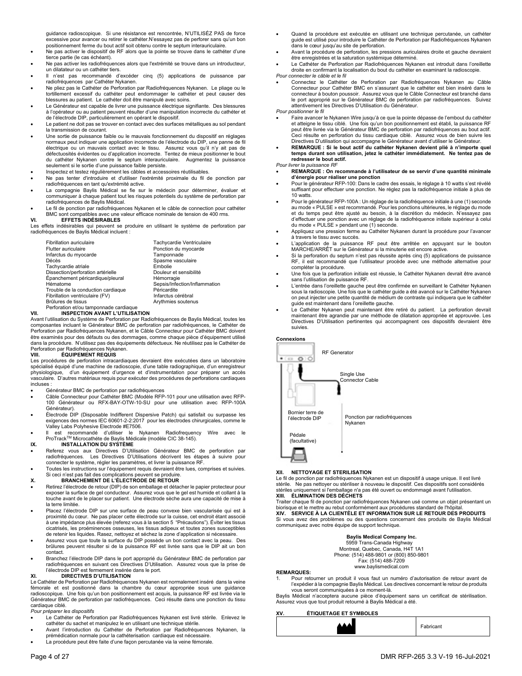guidance radioscopique. Si une résistance est rencontrée, N'UTILISÉZ PAS de force excessive pour avancer ou retirer le cathéter.N'essayez pas de perforer sans qu'un bon positionnement ferme du bout actif soit obtenu contre le septum interauriculaire.

- Ne pas activer le dispositif de RF alors que la pointe se trouve dans le cathéter d'une tierce partie (le cas échéant).
- Ne pas activer les radiofréquences alors que l'extrémité se trouve dans un introducteur, un dilatateur ou un cathéter tiers.
- Il n'est pas recommandé d'excéder cinq (5) applications de puissance par radiofréquences par Cathéter Nykanen.
- Ne pliez pas le Cathéter de Perforation par Radiofréquences Nykanen. Le pliage ou le tortillement excessif du cathéter peut endommager le cathéter et peut causer des blessures au patient. Le cathéter doit être manipulé avec soins.
- Le Générateur est capable de livrer une puissance électrique signifiante. Des blessures à l'opérateur ou au patient peuvent résulter d'une manipulation incorrecte du cathéter et de l'électrode DIP, particulièrement en opérant le dispositif.
- Le patient ne doit pas se trouver en contact avec des surfaces métalliques au sol pendant la transmission de courant.
- Une sortie de puissance faible ou le mauvais fonctionnement du dispositif en réglages normaux peut indiquer une application incorrecte de l'électrode du DIP, une panne de fil<br>électrique ou un mauvais contact avec le tissu. Assurez vous qu'il n'y ait pas de<br>défectuosités évidentes ou d'applicatio du cathéter Nykanen contre le septum interauriculaire. Augmentez la puissance seulement si le sortie d'une puissance faible persiste.
- Inspectez et testez régulièrement les câbles et accessoires réutilisables.
- Ne pas tenter d'introduire et d'utiliser l'extrémité proximale du fil de ponction par radiofréquences en tant qu'extrémité active.
- La compagnie Baylis Médical se fie sur le médecin pour déterminer, évaluer et communiquer à chaque patient tout les risques potentiels du système de perforation par radiofréquences de Baylis Médical.
- Le fil de ponction par radiofréquences Nykanen et le câble de connection pour cathéter BMC sont compatibles avec une valeur efficace nominale de tension de 400 rms.

#### **VI. EFFETS INDÉSIRABLES**

Les effets indésirables qui peuvent se produire en utilisant le système de perforation par radiofréquences de Baylis Médical incluent :

| Fibrillation auriculaire               | Tachycardie Ventriculaire     |
|----------------------------------------|-------------------------------|
| <b>Flutter auriculaire</b>             | Ponction du myocarde          |
| Infarctus du myocarde                  | Tamponnade                    |
| Décès                                  | Spasme vasculaire             |
| Tachycardie atriale                    | Embolie                       |
| Dissection/perforation artérielle      | Douleur et sensibilité        |
| Épanchement péricardique/pleural       | Hémorragie                    |
| Hématome                               | Sepsis/Infection/Inflammation |
| Trouble de la conduction cardiaque     | Péricardite                   |
| Fibrillation ventriculaire (FV)        | Infarctus cérébral            |
| Brûlures de tissus                     | Arythmies soutenus            |
| Perforation et/ou tamponnade cardiague |                               |

# Perforation et/ou tamponnade cardiaque **VII. INSPECTION AVANT L'UTILISATION**

Avant l'utilisation du Système de Perforation par Radiofréquences de Baylis Médical, toutes les composantes incluant le Générateur BMC de perforation par radiofréquences, le Cathéter de Perforation par Radiofréquences Nykanen, et le Câble Connecteur pour Cathéter BMC doivent être examinés pour des défauts ou des dommages, comme chaque pièce d'équipement utilisé dans la procédure. N'utilisez pas des équipements défectueux. Ne réutilisez pas le Cathéter de Perforation par Radiofréquences Nykanen.<br>VIII FOUIPEMENT REQUIS

#### **VIII. ÉQUIPEMENT REQUIS**

Les procédures de perforation intracardiaques devraient être exécutées dans un laboratoire spécialisé équipé d'une machine de radioscopie, d'une table radiographique, d'un enregistreur physiologique, d'un équipement d'urgence et d'instrumentation pour préparer un accès vasculaire. D'autres matériaux requis pour exécuter des procédures de perforations cardiaques incluses :

- Générateur BMC de perforation par radiofréquences
- Câble Connecteur pour Cathéter BMC (Modèle RFP-101 pour une utilisation avec RFP-100 Générateur ou RFX-BAY-OTW-10-SU pour une utilisation avec RFP-100A Générateur).
- Électrode DIP (Disposable Indifferent Dispersive Patch) qui satisfait ou surpasse les exigences des normes IEC 60601-2-2:2017 pour les électrodes chirurgicales, comme le Valley Labs Polyhesive Electrode #E7506.
- Il est recommandé d'utiliser le Nykanen Radiofrequency Wire avec le ProTrackTM Microcathéte de Baylis Médicale (modèle CIC 38-145).

## **IX. INSTALLATION DU SYSTÈME**

- Referez vous aux Directives D'Utilisation Générateur BMC de perforation par radiofréquences. Les Directives D'Utilisations décrivent les étapes à suivre pour connecter le système, régler les paramètres, et livrer la puissance RF.
- Toutes les instructions sur l'équipement requis devraient être lues, comprises et suivies.

# Si ceci n'est pas fait des complications peuvent se produire. **X. BRANCHEMENT DE L'ÉLECTRODE DE RETOUR**

- Retirez l'électrode de retour (DIP) de son emballage et détacher le papier protecteur pour exposer la surface de gel conducteur. Assurez vous que le gel est humide et collant à la touche avant de le placer sur patient. Une électrode sèche aura une capacité de mise à la terre limitée.
- Placez l'électrode DIP sur une surface de peau convexe bien vascularisée qui est à proximité du cœur. Ne pas placer cette électrode sur la cuisse, cet endroit étant associé à une impédance plus élevée (referez vous à la section 5 "Précautions"). Éviter les tissus cicatrisés, les proéminences osseuses, les tissus adipeux et toutes zones susceptibles de retenir les liquides. Rasez, nettoyez et séchez la zone d'application si nécessaire.
- Assurez vous que toute la surface du DIP possède un bon contact avec la peau. Des brûlures peuvent résulter si de la puissance RF est livrée sans que le DIP ait un bon contact.
- Branchez l'électrode DIP dans le port approprié du Générateur BMC de perforation par radiofréquences en suivant ces Directives D'Utilisation. Assurez vous que la prise de l'électrode DIP est fermement insérée dans le port.

#### **XI. DIRECTIVES D'UTILISATION**

Le Cathéter de Perforation par Radiofréquences Nykanen est normalement inséré dans la veine fémorale et est positionné dans la chambre du cœur appropriée sous une guidance radioscopique. Une fois qu'un bon positionnement est acquis, la puissance RF est livrée via le Générateur BMC de perforation par radiofréquences. Ceci résulte dans une ponction du tissu cardiaque ciblé.

#### *Pour préparer les dispositifs*

- Le Cathéter de Perforation par Radiofréquences Nykanen est livré stérile. Enlevez le cathéter du sachet et manipulez le en utilisant une technique stérile.
- Avant l'introduction du Cathéter de Perforation par Radiofréquences Nykanen, la prémédication normale pour la cathéterisation cardiaque est nécessaire.
- La procédure peut être faite d'une façon percutanée via la veine fémorale.
- Quand la procédure est exécutée en utilisant une technique percutanée, un cathéter guide est utilisé pour introduire le Cathéter de Perforation par Radiofréquences Nykanen dans le cœur jusqu'au site de perforation.
- Avant la procédure de perforation, les pressions auriculaires droite et gauche devraient être enregistrées et la saturation systémique déterminé.
- Le Cathéter de Perforation par Radiofréquences Nykanen est introduit dans l'oreillette droite en confirmant la localisation du bout du cathéter en examinant la radioscopie.

## *Pour connecter le câble et le fil*

 Connectez le Cathéter de Perforation par Radiofréquences Nykanen au Câble Connecteur pour Cathéter BMC en s'assurant que le cathéter est bien inséré dans le connecteur à bouton poussoir. Assurez vous que le Câble Connecteur est branché dans<br>le port approprié sur le Générateur BMC de perforation par radiofréquences. Suivez<br>attentivement les Directives D'Utilisation du Générat

#### *Pour positionner le fil*

- Faire avancer le Nykanen Wire jusqu'à ce que la pointe dépasse de l'embout du cathéter et atteigne le tissu ciblé. Une fois qu'un bon positionnement est établi, la puissance RF peut être livrée via le Générateur BMC de perforation par radiofréquences au bout actif. Ceci résulte en perforation du tissu cardiaque ciblé. Assurez vous de bien suivre les Directives D'utilisation qui accompagne le Générateur avant d'utiliser le Générateur.
- **REMARQUE : Si le bout actif du cathéter Nykanen devient plié à n'importe quel temps durant son utilisation, jetez le cathéter immédiatement. Ne tentez pas de redresser le bout actif.**

#### *Pour livrer la puissance RF*

- **REMARQUE : On recommande à l'utilisateur de se servir d'une quantité minimale d'énergie pour réaliser une ponction**
- Pour le générateur RFP-100: Dans le cadre des essais, le réglage à 10 watts s'est révélé suffisant pour effectuer une ponction. Ne réglez pas la radiofréquence initiale à plus de 10 watts.
- Pour le générateur RFP-100A : Un réglage de la radiofréquence initiale à une (1) seconde au mode « PULSE » est recommandé. Pour les ponctions ultérieures, le réglage du mode et du temps peut être ajusté au besoin, à la discrétion du médecin. N'essayez pas d'effectuer une ponction avec un réglage de la radiofréquence initiale supérieur à celui du mode « PULSE » pendant une (1) seconde.
- Appliquez une pression ferme au Cathéter Nykanen durant la procédure pour l'avancer à travers le tissu avec succès.
- L'application de la puissance RF peut être arrêtée en appuyant sur le bouton MARCHE/ARRÊT sur le Générateur si la minuterie est encore active.
- Si la perforation du septum n'est pas réussite après cinq (5) applications de puissance RF, il est recommandé que l'utilisateur procède avec une méthode alternative pour compléter la procédure.
- Une fois que la perforation initiale est réussie, le Cathéter Nykanen devrait être avancé sans l'utilisation de puissance RF.
- L'entrée dans l'oreillette gauche peut être confirmée en surveillant le Cathéter Nykanen sous la radioscopie. Une fois que le cathéter guide a été avancé sur le Cathéter Nykanen on peut injecter une petite quantité de médium de contraste qui indiquera que le cathéter guide est maintenant dans l'oreillette gauche.
- Le Cathéter Nykanen peut maintenant être retiré du patient. La perforation devrait maintenant être agrandie par une méthode de dilatation appropriée et approuvée. Les Directives D'Utilisation pertinentes qui accompagnent ces dispositifs devraient être suivies.



### **XII. NETTOYAGE ET STERILISATION**

Le fil de ponction par radiofréquences Nykanen est un dispositif à usage unique. Il est livré stérile. Ne pas nettoyer ou stériliser à nouveau le dispositif. Ces dispositifs sont considérés stériles uniquement si l'emballage n'a pas été ouvert ou endommagé avant l'utilisation. **XIII. ÉLIMINATION DES DÉCHETS** 

Traiter chaque fil de ponction par radiofréquences Nykanen usé comme un objet présentant un biorisque et le mettre au rebut conformément aux procédures standard de l'hôpital. SERVICE À LA CLIENTÈLE ET INFORMATION SUR LE RETOUR DES PRODUITS Si vous avez des problèmes ou des questions concernant des produits de Baylis Médical communiquez avec notre équipe de support technique.

#### **Baylis Medical Company Inc.**

 5959 Trans-Canada Highway Montreal, Quebec, Canada, H4T 1A1 Phone: (514) 488-9801 or (800) 850-9801 Fax: (514) 488-7209 www.baylismedical.com

#### **REMARQUES:**

Pour retourner un produit il vous faut un numéro d'autorisation de retour avant de l'expédier à la compagnie Baylis Médical. Les directives concernant le retour de produits vous seront communiquées à ce moment-là.

Baylis Médical n'acceptera aucune pièce d'équipement sans un certificat de stérilisation. Assurez vous que tout produit retourné à Baylis Médical a été.

## **XV. ÉTIQUETAGE ET SYMBOLES**

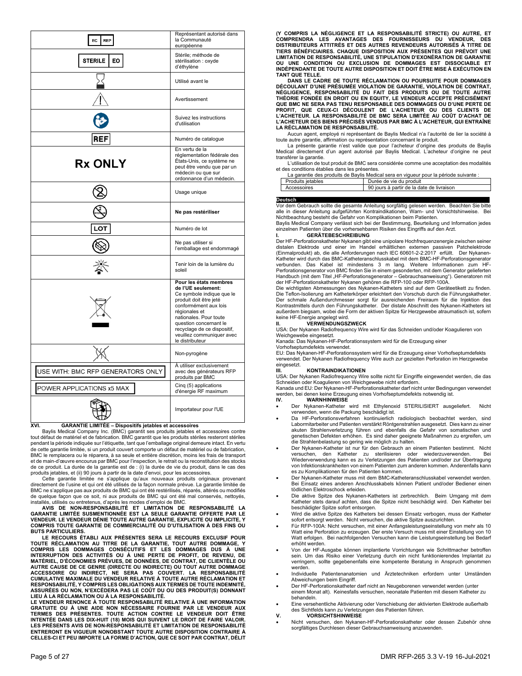| EC<br><b>REP</b>                  | Représentant autorisé dans<br>la Communauté<br>européenne                                                                                                                                                                                                                        |
|-----------------------------------|----------------------------------------------------------------------------------------------------------------------------------------------------------------------------------------------------------------------------------------------------------------------------------|
| <b>STERILE</b><br>EO              | Stérile; méthode de<br>stérilisation : oxyde<br>d'éthylène                                                                                                                                                                                                                       |
|                                   | Utilisé avant le                                                                                                                                                                                                                                                                 |
|                                   | Avertissement                                                                                                                                                                                                                                                                    |
|                                   | Suivez les instructions<br>d'utilisation                                                                                                                                                                                                                                         |
| REF                               | Numéro de catalogue                                                                                                                                                                                                                                                              |
| <b>Rx ONLY</b>                    | En vertu de la<br>réglementation fédérale des<br>États-Unis, ce système ne<br>peut être vendu que par un<br>médecin ou que sur<br>ordonnance d'un médecin.                                                                                                                       |
|                                   | Usage unique                                                                                                                                                                                                                                                                     |
|                                   | Ne pas restériliser                                                                                                                                                                                                                                                              |
| LOT                               | Numéro de lot                                                                                                                                                                                                                                                                    |
|                                   | Ne pas utiliser si<br>l'emballage est endommagé                                                                                                                                                                                                                                  |
|                                   | Tenir loin de la lumière du<br>soleil                                                                                                                                                                                                                                            |
|                                   | Pour les états membres<br>de l'UE seulement:<br>Ce symbole indique que le<br>produit doit être jeté<br>conformément aux lois<br>régionales et<br>nationales. Pour toute<br>question concernant le<br>recyclage de ce dispositif,<br>veuillez communiquer avec<br>le distributeur |
|                                   | Non-pyrogène                                                                                                                                                                                                                                                                     |
| USE WITH: BMC RFP GENERATORS ONLY | À utiliser exclusivement<br>avec des générateurs RFP<br>produits par BMC                                                                                                                                                                                                         |
| POWER APPLICATIONS x5 MAX         | Cinq (5) applications<br>d'énergie RF maximum                                                                                                                                                                                                                                    |
|                                   | Importateur pour l'UE                                                                                                                                                                                                                                                            |

#### **XVI. GARANTIE LIMITÉE – Dispositifs jetables et accessoires**

 Baylis Medical Company Inc. (BMC) garantit ses produits jetables et accessoires contre tout défaut de matériel et de fabrication. BMC garantit que les produits stériles resteront stériles pendant la période indiquée sur l'étiquette, tant que l'emballage original demeure intact. En vertu de cette garantie limitée, si un produit couvert comporte un défaut de matériel ou de fabrication, BMC le remplacera ou le réparera, à sa seule et entière discrétion, moins les frais de transport et de main-d'œuvre encourus par BMC pour l'inspection, le retrait ou la reconstitution des stocks de ce produit. La durée de la garantie est de : (i) la durée de vie du produit, dans le cas des produits jetables, et (ii) 90 jours à partir de la date d'envoi, pour les accessoires.

 Cette garantie limitée ne s'applique qu'aux nouveaux produits originaux provenant directement de l'usine et qui ont été utilisés de la façon normale prévue. La garantie limitée de BMC ne s'applique pas aux produits de BMC qui ont été restérilisés, réparés, altérés ou modifiés de quelque façon que ce soit, ni aux produits de BMC qui ont été mal conservés, nettoyés, installés, utilisés ou entretenus, d'après les modes d'emploi de BMC.

**AVIS DE NON-RESPONSABILITÉ ET LIMITATION DE RESPONSABILITÉ LA GARANTIE LIMITÉE SUSMENTIONNÉE EST LA SEULE GARANTIE OFFERTE PAR LE VENDEUR. LE VENDEUR DÉNIE TOUTE AUTRE GARANTIE, EXPLICITE OU IMPLICITE, Y COMPRIS TOUTE GARANTIE DE COMMERCIALITÉ OU D'UTILISATION À DES FINS OU BUTS PARTICULIERS.** 

**LE RECOURS ÉTABLI AUX PRÉSENTES SERA LE RECOURS EXCLUSIF POUR TOUTE RÉCLAMATION AU TITRE DE LA GARANTIE, TOUT AUTRE DOMMAGE, Y COMPRIS LES DOMMAGES CONSÉCUTIFS ET LES DOMMAGES DUS À UNE INTERRUPTION DES ACTIVITÉS OU À UNE PERTE DE PROFIT, DE REVENU, DE MATÉRIEL, D'ÉCONOMIES PRÉVUES, DE DONNÉES, DE CONTRAT, DE CLIENTÈLE OU**  AUTRE CAUSE DE CE GENRE (DIRECTE OU INDIRECTE) OU TOUT AUTRE DOMMAGE<br>ACCESSOIRE OU INDIRECT, NE SERA PAS COUVERT. LA RESPONSABILITÉ<br>CUMULATIVE MAXIMALE DU VENDEUR RELATIVE À TOUTE AUTRE RÉCLAMATION ET<br>RESPO **ASSURÉES OU NON, N'EXCÉDERA PAS LE COÛT DU OU DES PRODUIT(S) DONNANT** 

**LIEU À LA RÉCLAMATION OU À LA RESPONSABILITÉ. LE VENDEUR RENONCE À TOUTE RESPONSABILITÉ RELATIVE À UNE INFORMATION**  GRATUITE OU À UNE AIDE NON NECESSAIRE FOURNIE PAR LE VENDEUR AUX<br>TERMES DES PRÉSENTES. TOUTE ACTION CONTRE LE VENDEUR DOIT ÊTRE<br>INTENTÉE DANS LES DIX-HUIT (18) MOIS QUI SUIVENT LE DROIT DE FAIRE VALOIR. **LES PRÉSENTS AVIS DE NON-RESPONSABILITÉ ET LIMITATION DE RESPONSABILITÉ ENTRERONT EN VIGUEUR NONOBSTANT TOUTE AUTRE DISPOSITION CONTRAIRE À CELLES-CI ET PEU IMPORTE LA FORME D'ACTION, QUE CE SOIT PAR CONTRAT, DÉLIT** 

(Y COMPRIS LA NÉGLIGENCE ET LA RESPONSABILITÉ STRICTE) OU AUTRE, ET<br>COMPRENDRA LES AVANTAGES DES FOURNISSEURS DU VENDEUR, DES<br>DISTRIBUTEURS ATTITRÉS ET DES AUTRES REVENDEURS AUTORISÉS À TITRE DE **TIERS BÉNÉFICIAIRES. CHAQUE DISPOSITION AUX PRÉSENTES QUI PRÉVOIT UNE LIMITATION DE RESPONSABILITÉ, UNE STIPULATION D'EXONÉRATION DE GARANTIE OU UNE CONDITION OU EXCLUSION DE DOMMAGES EST DISSOCIABLE ET INDÉPENDANTE DE TOUTE AUTRE DISPOSITION ET DOIT ÊTRE MISE À EXÉCUTION EN TANT QUE TELLE.** 

 **DANS LE CADRE DE TOUTE RÉCLAMATION OU POURSUITE POUR DOMMAGES DÉCOULANT D'UNE PRÉSUMÉE VIOLATION DE GARANTIE, VIOLATION DE CONTRAT, NÉGLIGENCE, RESPONSABILITÉ DU FAIT DES PRODUITS OU DE TOUTE AUTRE THÉORIE FONDÉE EN DROIT OU EN EQUITY, LE VENDEUR ACCEPTE PRÉCISÉMENT QUE BMC NE SERA PAS TENU RESPONSABLE DES DOMMAGES OU D'UNE PERTE DE PROFIT, QUE CEUX-CI DÉCOULENT DE L'ACHETEUR OU DES CLIENTS DE L'ACHETEUR. LA RESPONSABILITÉ DE BMC SERA LIMITÉE AU COÛT D'ACHAT DE L'ACHETEUR DES BIENS PRÉCISÉS VENDUS PAR BMC À L'ACHETEUR, QUI ENTRAÎNE LA RÉCLAMATION DE RESPONSABILITÉ.** 

Aucun agent, employé ni représentant de Baylis Medical n'a l'autorité de lier la société à toute autre garantie, affirmation ou représentation concernant le produit.

La présente garantie n'est valide que pour l'acheteur d'origine des produits de Baylis Medical directement d'un agent autorisé par Baylis Medical. L'acheteur d'origine ne peut transférer la garantie.

L'utilisation de tout produit de BMC sera considérée comme une acceptation des modalités et des conditions établies dans les présentes.

| La garantie des produits de Baylis Medical sera en vigueur pour la période suivante : |                   |                                           |
|---------------------------------------------------------------------------------------|-------------------|-------------------------------------------|
|                                                                                       | Produits ietables | Durée de vie du produit                   |
|                                                                                       | Accessoires       | 90 iours à partir de la date de livraison |

**Deutsch**<br>Vor dem Gebrauch sollte die gesamte Anleitung sorgfältig gelesen werden. Beachten Sie bitte alle in dieser Anleitung aufgeführten Kontraindikationen, Warn- und Vorsichtshinweise. Bei Nichtbeachtung besteht die Gefahr von Komplikationen beim Patienten. Baylis Medical Company verlässt sich bei der Bestimmung, Beurteilung und Information jedes

einzelnen Patienten über die vorhersehbaren Risiken des Eingriffs auf den Arzt.

## **I. GERÄTEBESCHREIBUNG**

Der HF-Perforationskatheter Nykanen gibt eine unipolare Hochfrequenzenergie zwischen seiner distalen Elektrode und einer im Handel erhältlichen externen passiven Patchelektrode (Einmalprodukt) ab, die alle Anforderungen nach IEC 60601-2-2:2017 erfüllt. Der Nykanen-Katheter wird durch das BMC-Katheteranschlusskabel mit dem BMC-HF-Perforationsgenerator verbunden. Das Kabel ist mindestens 3 m lang. Weitere Informationen zum HF-Perforationsgenerator von BMC finden Sie in einem gesonderten, mit dem Generator gelieferten Handbuch (mit dem Titel "HF-Perforationsgenerator – Gebrauchsanweisung"). Generatoren mit<br>der HF-Perforationskatheter Nykanen gehören die RFP-100 oder RFP-100A.

Die wichtigsten Abmessungen des Nykanen-Katheters sind auf dem Geräteetikett zu finden. Die Teflon-Isolierung am Katheterkörper erleichtert den Vorschub durch die Führungskatheter. Der schmale Außendurchmesser sorgt für ausreichenden Freiraum für die Injektion des Kontrastmittels durch den Führungskatheter. Der distale Abschnitt des Nykanen-Katheters ist außerdem biegsam, wobei die Form der aktiven Spitze für Herzgewebe atraumatisch ist, sofern

# keine HF-Energie angelegt wird. **II. VERWENDUNGSZWECK**

USA: Der Nykanen Radiofrequency Wire wird für das Schneiden und/oder Koagulieren von Weichgewebe eingesetzt.

Kanada: Das Nykanen-HF-Perforationssystem wird für die Erzeugung einer Vorhofseptumdefekts verwendet.

EU: Das Nykanen-HF-Perforationssystem wird für die Erzeugung einer Vorhofseptumdefekts verwendet. Der Nykanen Radiofrequency Wire auch zur gezielten Perforation im Herzgewebe eingesetzt.

#### **III. KONTRAINDIKATIONEN**

USA: Der Nykanen Radiofrequency Wire sollte nicht für Eingriffe eingewendet werden, die das Schneiden oder Koagulieren von Weichgewebe nicht erfordern. Kanada und EU: Der Nykanen-HF-Perforationskatheter darf nicht unter Bedingungen verwendet

werden, bei denen keine Erzeugung eines Vorhofseptumdefekts notwendig ist.<br>IV. WARNHINWFISF

## **IV. WARNHINWEISE**

- Der Nykanen-Katheter wird mit Ethylenoxid STERILISIERT ausgeliefert. Nicht verwenden, wenn die Packung beschädigt ist.
- Da HF-Perforationsverfahren kontinuierlich radiologisch beobachtet werden, sind Labormitarbeiter und Patienten verstärkt Röntgenstrahlen ausgesetzt. Dies kann zu einer akuten Strahlenverletzung führen und ebenfalls die Gefahr von somatischen und genetischen Defekten erhöhen. Es sind daher geeignete Maßnahmen zu ergreifen, um die Strahlenbelastung so gering wie möglich zu halten.
- Der Nykanen-Katheter ist nur für den Gebrauch an einem Patienten bestimmt. Nicht versuchen, den Katheter zu sterilisieren oder wiederzuverwenden. Bei Wiederverwendung kann es zu Verletzungen des Patienten und/oder zur Übertragung von Infektionskrankheiten von einem Patienten zum anderen kommen. Anderenfalls kann es zu Komplikationen für den Patienten kommen.
- Der Nykanen-Katheter muss mit dem BMC-Katheteranschlusskabel verwendet werden. Bei Einsatz eines anderen Anschlusskabels können Patient und/oder Bediener einen tödlichen Elektroschock erleiden.
- Die aktive Spitze des Nykanen-Katheters ist zerbrechlich. Beim Umgang mit dem Katheter stets darauf achten, dass die Spitze nicht beschädigt wird. Den Katheter bei beschädigter Spitze sofort entsorgen.
- Wird die aktive Spitze des Katheters bei dessen Einsatz verbogen, muss der Katheter sofort entsorgt werden. Nicht versuchen, die aktive Spitze auszurichten.
- Für RFP-100A: Nicht versuchen, mit einer Anfangsleistungseinstellung von mehr als 10 Watt eine Perforation zu erzeugen. Der erste Versuch muss mit einer Einstellung von 10 Watt erfolgen. Bei nachfolgenden Versuchen kann die Leistungseinstellung bei Bedarf erhöht werden.
- Von der HF-Ausgabe können implantierte Vorrichtungen wie Schrittmacher betroffen sein. Um das Risiko einer Verletzung durch ein nicht funktionierendes Implantat zu verringern, sollte gegebenenfalls eine kompetente Beratung in Anspruch genommen werden.
- Individuelle Patientenanatomien und Ärztetechniken erfordern unter Umständen Abweichungen beim Eingriff.
- Der HF-Perforationskatheter darf nicht an Neugeborenen verwendet werden (unter einem Monat alt). Keinesfalls versuchen, neonatale Patienten mit diesem Katheter zu
- behandeln. Eine versehentliche Aktivierung oder Verschiebung der aktivierten Elektrode außerhalb
- des Sichtfelds kann zu Verletzungen des Patienten führen. **V. VORSICHTSHINWEISE**
- Nicht versuchen, den Nykanen-HF-Perforationskatheter oder dessen Zubehör ohne sorgfältiges Durchlesen dieser Gebrauchsanweisung anzuwenden.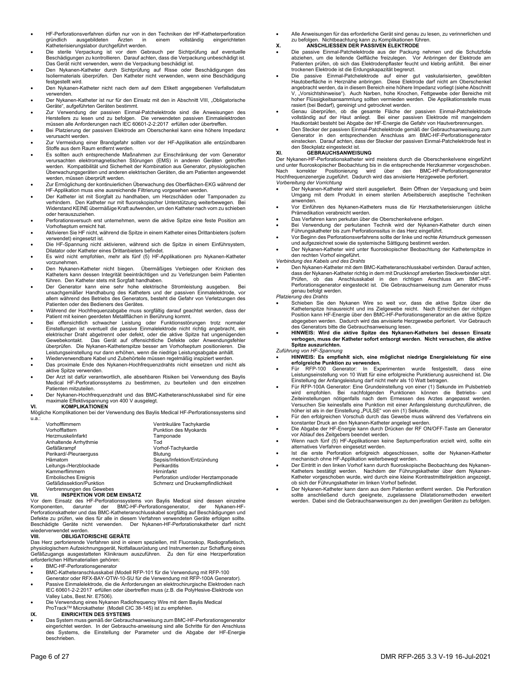- HF-Perforationsverfahren dürfen nur von in den Techniken der HF-Katheterperforation<br>gründlich ausgebildeten Ärzten in einem vollständig eingerichteten gründlich ausgebildeten Ärzten in einem vollständig eingerichteten Katheterisierungslabor durchgeführt werden.
- Die sterile Verpackung ist vor dem Gebrauch per Sichtprüfung auf eventuelle Beschädigungen zu kontrollieren. Darauf achten, dass die Verpackung unbeschädigt ist.
- Das Gerät nicht verwenden, wenn die Verpackung beschädigt ist. Den Nykanen-Katheter durch Sichtprüfung auf Risse oder Beschädigungen des Isoliermaterials überprüfen. Den Katheter nicht verwenden, wenn eine Beschädigung festgestellt wird.
- Den Nykanen-Katheter nicht nach dem auf dem Etikett angegebenen Verfallsdatum verwenden.
- Der Nykanen-Katheter ist nur für den Einsatz mit den in Abschnitt VIII, "Obligatorische Geräte", aufgeführten Geräten bestimmt.
- Zur Verwendung der passiven Einmal-Patchelektrode sind die Anweisungen des Herstellers zu lesen und zu befolgen. Die verwendeten passiven Einmalelektroden müssen alle Anforderungen nach IEC 60601-2-2:2017 erfüllen oder übertreffen.
- Bei Platzierung der passiven Elektrode am Oberschenkel kann eine höhere Impedanz verursacht werden.
- Zur Vermeidung einer Brandgefahr sollten vor der HF-Applikation alle entzündbaren Stoffe aus dem Raum entfernt werden.
- Es sollten auch entsprechende Maßnahmen zur Einschränkung der vom Generator verursachten elektromagnetischen Störungen (EMS) in anderen Geräten getroffen werden. Kompatibilität und Sicherheit der Kombination aus Generator, physiologischen Überwachungsgeräten und anderen elektrischen Geräten, die am Patienten angewendet werden, müssen überprüft werden.
- Zur Ermöglichung der kontinuierlichen Überwachung des Oberflächen-EKG während der HF-Applikation muss eine ausreichende Filtrierung vorgesehen werden.
- Der Katheter ist mit Sorgfalt zu handhaben, um Herzschäden oder Tamponaden zu verhindern. Den Katheter nur mit fluoroskopischer Unterstützung weiterbewegen. Bei Widerstand KEINE übermäßige Kraft aufwenden, um den Katheter nach vorn zu schieben oder herauszuziehen.
- Perforationsversuch erst unternehmen, wenn die aktive Spitze eine feste Position am Vorhofseptum erreicht hat.
- Aktivieren Sie HF nicht, während die Spitze in einem Katheter eines Drittanbieters (sofern verwendet) eingesetzt ist.
- Die HF-Spannung nicht aktivieren, während sich die Spitze in einem Einführsystem, Dilatator oder Katheter eines Drittanbieters befindet.
- Es wird nicht empfohlen, mehr als fünf (5) HF-Applikationen pro Nykanen-Katheter vorzunehmen.
- Den Nykanen-Katheter nicht biegen. Übermäßiges Verbiegen oder Knicken des Katheters kann dessen Integrität beeinträchtigen und zu Verletzungen beim Patienten führen. Den Katheter stets mit Sorgfalt handhaben.
- Der Generator kann eine sehr hohe elektrische Stromleistung ausgeben. Bei unsachgemäßer Handhabung des Katheters und der passiven Einmalelektrode, vor allem während des Betriebs des Generators, besteht die Gefahr von Verletzungen des Patienten oder des Bedieners des Gerätes.
- Während der Hochfrequenzabgabe muss sorgfältig darauf geachtet werden, dass der Patient mit keinen geerdeten Metallflächen in Berührung kommt.
- Bei offensichtlich schwacher Leistung oder Funktionsstörungen trotz normaler Einstellungen ist eventuell die passive Einmalelektrode nicht richtig angebracht, ein elektrischer Draht abgetrennt oder defekt, oder die aktive Spitze hat ungenügenden Gewebekontakt. Das Gerät auf offensichtliche Defekte oder Anwendungsfehler überprüfen. Die Nykanen-Katheterspitze besser am Vorhofseptum positionieren. Die Leistungseinstellung nur dann erhöhen, wenn die niedrige Leistungsabgabe anhält.
- Wiederverwendbare Kabel und Zubehörteile müssen regelmäßig inspiziert werden.
- Das proximale Ende des Nykanen-Hochfrequenzdrahts nicht einsetzen und nicht als aktive Spitze verwenden.
- Der Arzt ist dafür verantwortlich, alle absehbaren Risiken bei Verwendung des Baylis Medical HF-Perforationssystems zu bestimmen, zu beurteilen und den einzelnen Patienten mitzuteilen.
- Der Nykanen-Hochfrequenzdraht und das BMC-Katheteranschlusskabel sind für eine maximale Effektivspannung von 400 V ausgelegt. **VI. KOMPLIKATIONEN**

Mögliche Komplikationen bei der Verwendung des Baylis Medical HF-Perforationssystems sind u.a.:

| Vorhofflimmern              | Ventrikuläre Tachykardie           |
|-----------------------------|------------------------------------|
|                             |                                    |
| Vorhofflattern              | Punktion des Myokards              |
| Herzmuskelinfarkt           | Tamponade                          |
| Anhaltende Arrhythmie       | Tod                                |
| Gefäßkrampf                 | Vorhof-Tachykardie                 |
| Perikard/-Pleuraerguss      | <b>Blutuna</b>                     |
| Hämatom                     | Sepsis/Infektion/Entzündung        |
| Leitungs-/Herzblockade      | Perikarditis                       |
| Kammerflimmern              | Hirninfarkt                        |
| <b>Embolisches Ereignis</b> | Perforation und/oder Herztamponade |
| Gefäßdissektion/Punktion    | Schmerz und Druckempfindlichkeit   |
| Verbrennungen des Gewebes   |                                    |
|                             |                                    |

## **VII. INSPEKTION VOR DEM EINSATZ**

Vor dem Einsatz des HF-Perforationssystems von Baylis Medical sind dessen einzelne Komponenten, darunter der BMC-HF-Perforationsgenerator, der Nykanen-HF-Perforationskatheter und das BMC-Katheteranschlusskabel sorgfältig auf Beschädigungen und Defekte zu prüfen, wie dies für alle in diesem Verfahren verwendeten Geräte erfolgen sollte. Beschädigte Geräte nicht verwenden. Der Nykanen-HF-Perforationskatheter darf nicht wiederverwendet werden.

## **VIII. OBLIGATORISCHE GERÄTE**

Das Herz perforierende Verfahren sind in einem speziellen, mit Fluoroskop, Radiografietisch, physiologischem Aufzeichnungsgerät, Notfallausrüstung und Instrumenten zur Schaffung eines Gefäßzugangs ausgestatteten Klinikraum auszuführen. Zu den für eine Herzperforation erforderlichen Hilfsmaterialien gehören:

- BMC-HF-Perforationsgenerator
- BMC-Katheteranschlusskabel (Modell RFP-101 für die Verwendung mit RFP-100
- Generator oder RFX-BAY-OTW-10-SU für die Verwendung mit RFP-100A Generator). Passive Einmalelektrode, die die Anforderungen an elektrochirurgische Elektroden nach IEC 60601-2-2:2017 erfüllen oder übertreffen muss (z.B. die PolyHesive-Elektrode von Valley Labs, Best.Nr. E7506).
- Die Verwendung eines Nykanen Radiofrequency Wire mit dem Baylis Medical ProTrackTM Microkatheter (Modell CIC 38-145) ist zu empfehlen. **IX. EINRICHTEN DES SYSTEMS**
- 
- Das System muss gemäß der Gebrauchsanweisung zum BMC-HF-Perforationsgenerator eingerichtet werden. In der Gebrauchs-anweisung sind alle Schritte für den Anschluss des Systems, die Einstellung der Parameter und die Abgabe der HF-Energie beschrieben.

 Alle Anweisungen für das erforderliche Gerät sind genau zu lesen, zu verinnerlichen und zu befolgen. Nichtbeachtung kann zu Komplikationen führen.

## **X. ANSCHLIESSEN DER PASSIVEN ELEKTRODE**

- Die passive Einmal-Patchelektrode aus der Packung nehmen und die Schutzfolie abziehen, um die leitende Gelfläche freizulegen. Vor Anbringen der Elektrode am Patienten prüfen, ob sich das Elektrodenpflaster feucht und klebrig anfühlt. Bei einer trockenen Elektrode ist die Erdungskapazität begrenzt.
- Die passive Einmal-Patchelektrode auf einer gut vaskularisierten, gewölbten<br>Hautoberfläche in Herznähe anbringen. Diese Elektrode darf nicht am Oberschenkel<br>angebracht werden, da in diesem Bereich eine höhere Impedanz vorl V, "Vorsichtshinweise"). Auch Narben, hohe Knochen, Fettgewebe oder Bereiche mit<br>hoher Flüssigkeitsansammlung sollten vermieden werden. Die Applikationsstelle muss rasiert (bei Bedarf), gereinigt und getrocknet werden.
- Genau überprüfen, ob die gesamte Fläche der passiven Einmal-Patchelektrode vollständig auf der Haut anliegt. Bei einer passiven Elektrode mit mangelndem Hautkontakt besteht bei Abgabe der HF-Energie die Gefahr von Hautverbrennungen.
- Den Stecker der passiven Einmal-Patchelektrode gemäß der Gebrauchsanweisung zum Generator in den entsprechenden Anschluss am BMC-HF-Perforationsgenerator einstecken. Darauf achten, dass der Stecker der passiven Einmal-Patchelektrode fest in den Steckplatz eingesteckt ist.

## **XI. GEBRAUCHSANWEISUNG**

Der Nykanen-HF-Perforationskatheter wird meistens durch die Oberschenkelvene eingeführt und unter fluoroskopischer Beobachtung bis in die entsprechende Herzkammer vorgeschoben. Nach korrekter Positionierung wird über den BMC-HF-Perforationsgenerator Hochfrequenzenergie zugeführt. Dadurch wird das anvisierte Herzgewebe perforiert. *Vorbereitung der Vorrichtung* 

- Der Nykanen-Katheter wird steril ausgeliefert. Beim Öffnen der Verpackung und beim Umgang mit dem Produkt in einem sterilen Arbeitsbereich aseptische Techniken anwenden.
- Vor Einführen des Nykanen-Katheters muss die für Herzkatheterisierungen übliche Prämedikation verabreicht werden.
- Das Verfahren kann perkutan über die Oberschenkelvene erfolgen.
- Bei Verwendung der perkutanen Technik wird der Nykanen-Katheter durch einen Führungskatheter bis zum Perforationssitus in das Herz eingeführt.
- Vor Beginn des Perforationsverfahrens sollte der linke und rechte Atriumdruck gemessen und aufgezeichnet sowie die systemische Sättigung bestimmt werden.
- Der Nykanen-Katheter wird unter fluoroskopischer Beobachtung der Katheterspitze in den rechten Vorhof eingeführt.

## *Verbindung des Kabels und des Drahts*

 Den Nykanen-Katheter mit dem BMC-Katheteranschlusskabel verbinden. Darauf achten, dass der Nykanen-Katheter richtig in dem mit Druckknopf arretierten Steckverbinder sitzt.<br>Prüfen, ob das Anschlusskabel in den richtigen Anschluss am BMC-HF-<br>Perforationsgenerator eingesteckt ist. Die Gebrauchsanweisung zu genau befolgt werden.

*Platzierung des Drahts* 

- Schieben Sie den Nykanen Wire so weit vor, dass die aktive Spitze über die Katheterspitze hinausreicht und ins Zielgewebe reicht. Nach Erreichen der richtigen Position kann HF-Energie über den BMC-HF-Perforationsgenerator an die aktive Spitze abgegeben werden. Dadurch wird das anvisierte Herzgewebe perforiert. Vor Gebrauch des Generators bitte die Gebrauchsanweisung lesen.
- **HINWEIS: Wird die aktive Spitze des Nykanen-Katheters bei dessen Einsatz verbogen, muss der Katheter sofort entsorgt werden. Nicht versuchen, die aktive Spitze auszurichten.**

- *Zuführung von HF-Spannung*  **HINWEIS: Es empfiehlt sich, eine möglichst niedrige Energieleistung für eine erfolgreiche Punktion zu verwenden.**
- Für RFP-100 Generator: In Experimenten wurde festgestellt, dass eine Leistungseinstellung von 10 Watt für eine erfolgreiche Punktierung ausreichend ist. Die Einstellung der Anfangsleistung darf nicht mehr als 10 Watt betragen.
- Für RFP-100A Generator: Eine Grundeinstellung von einer (1) Sekunde im Pulsbetrieb wird empfohlen. Bei nachfolgenden Punktionen können die Betriebs- und Zeiteinstellungen nötigenfalls nach dem Ermessen des Arztes angepasst werden. Versuchen Sie keinesfalls eine Punktion mit einer Anfangsleistung durchzuführen, die höher ist als in der Einstellung "PULSE" von ein (1) Sekunde.
- Für den erfolgreichen Vorschub durch das Gewebe muss während des Verfahrens ein konstanter Druck an den Nykanen-Katheter angelegt werden.
- Die Abgabe der HF-Energie kann durch Drücken der RF ON/OFF-Taste am Generator vor Ablauf des Zeitgebers beendet werden.
- Wenn nach fünf (5) HF-Applikationen keine Septumperforation erzielt wird, sollte ein alternatives Verfahren eingesetzt werden.
- Ist die erste Perforation erfolgreich abgeschlossen, sollte der Nykanen-Katheter mechanisch ohne HF-Applikation weiterbewegt werden.
- Der Eintritt in den linken Vorhof kann durch fluoroskopische Beobachtung des Nykanen-Katheters bestätigt werden. Nachdem der Führungskatheter über dem Nykanen-Katheter vorgeschoben wurde, wird durch eine kleine Kontrastmittelinjektion angezeigt, ob sich der Führungskatheter im linken Vorhof befindet.
- Der Nykanen-Katheter kann dann aus dem Patienten entfernt werden. Die Perforation sollte anschließend durch geeignete, zugelassene Dilatationsmethoden erweitert werden. Dabei sind die Gebrauchsanweisungen zu den jeweiligen Geräten zu befolgen.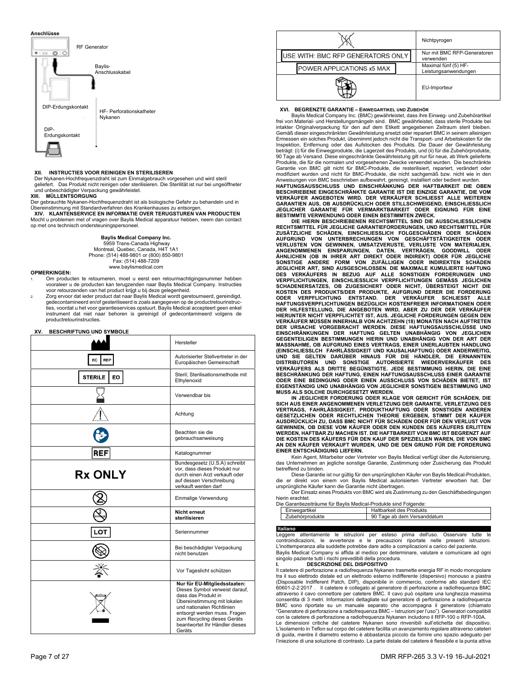## **Anschlüsse**



#### **XII. INSTRUCTIES VOOR REINIGEN EN STERILISEREN**

Der Nykanen-Hochfrequenzdraht ist zum Einmalgebrauch vorgesehen und wird steril geliefert. Das Produkt nicht reinigen oder sterilisieren. Die Sterilität ist nur bei ungeöffneter und unbeschädigter Verpackung gewährleistet.

## **XIII. MÜLLENTSORGUNG**

Der gebrauchte Nykanen-Hochfrequenzdraht ist als biologische Gefahr zu behandeln und in Übereinstimmung mit Standardverfahren des Krankenhauses zu entsorgen. **XIV. KLANTENSERVICE EN INFORMATIE OVER TERUGSTUREN VAN PRODUCTEN**  Mocht u problemen met of vragen over Baylis Medical apparatuur hebben, neem dan contact op met ons technisch ondersteuningspersoneel.

#### **Baylis Medical Company Inc.**

 5959 Trans-Canada Highway Montreal, Quebec, Canada, H4T 1A1 Phone: (514) 488-9801 or (800) 850-9801 Fax: (514) 488-7209 www.baylismedical.com

#### **OPMERKINGEN:**

- 1. Om producten te retourneren, moet u eerst een retourmachtigingsnummer hebben vooraleer u de producten kan terugzenden naar Baylis Medical Company. Instructies voor retourzenden van het product krijgt u bij deze gelegenheid.
- 2. Zorg ervoor dat ieder product dat naar Baylis Medical wordt geretourneerd, gereindigd, gedecontamineerd en/of gesteriliseerd is zoals aangegeven op de productretourinstructies, voordat u het voor garantieservices opstuurt. Baylis Medical accepteert geen enkel instrument dat niet naar behoren is gereinigd of gedecontamineerd volgens de productretourinstructies.

#### **XV. BESCHRIFTUNG UND SYMBOLE**

|                      | Hersteller                                                                                                                                                                                                                                                    |
|----------------------|---------------------------------------------------------------------------------------------------------------------------------------------------------------------------------------------------------------------------------------------------------------|
| EC<br><b>REP</b>     | Autorisierter Stellvertreter in der<br>Europäischen Gemeinschaft                                                                                                                                                                                              |
| <b>STERILE</b><br>EO | Steril; Sterilisationsmethode mit<br>Ethylenoxid                                                                                                                                                                                                              |
|                      | Verwendbar bis                                                                                                                                                                                                                                                |
|                      | Achtung                                                                                                                                                                                                                                                       |
|                      | Beachten sie die<br>gebrauchsanweisung                                                                                                                                                                                                                        |
| REF                  | Katalognummer                                                                                                                                                                                                                                                 |
| <b>Rx ONLY</b>       | Bundesgesetz (U.S.A) schreibt<br>vor, dass dieses Produkt nur<br>durch einen Arzt verkauft oder<br>auf dessen Verschreibung<br>verkauft werden darf                                                                                                           |
|                      | Einmalige Verwendung                                                                                                                                                                                                                                          |
|                      | <b>Nicht erneut</b><br>sterilisieren                                                                                                                                                                                                                          |
| -O1                  | Seriennummer                                                                                                                                                                                                                                                  |
|                      | Bei beschädigter Verpackung<br>nicht benutzen                                                                                                                                                                                                                 |
|                      | Vor Tageslicht schützen                                                                                                                                                                                                                                       |
|                      | Nur für EU-Mitgliedsstaaten:<br>Dieses Symbol verweist darauf,<br>dass das Produkt in<br>Übereinstimmung mit lokalen<br>und nationalen Richtlinien<br>entsorgt werden muss. Fragen<br>zum Recycling dieses Geräts<br>beantwortet Ihr Händler dieses<br>Geräts |

|                                   |  | Nichtpyrogen                                 |
|-----------------------------------|--|----------------------------------------------|
| USE WITH: BMC RFP GENERATORS ONLY |  | Nur mit BMC RFP-Generatoren<br>verwenden     |
| POWER APPLICATIONS x5 MAX         |  | Maximal fünf (5) HF-<br>Leistungsanwendungen |
|                                   |  | EU-Importeur                                 |

#### **XVI. BEGRENZTE GARANTIE – EINWEGARTIKEL UND ZUBEHÖR**

 Baylis Medical Company Inc. (BMC) gewährleistet, dass ihre Einweg- und Zubehörartikel frei von Material- und Herstellungsmängeln sind. BMC gewährleistet, dass sterile Produkte bei intakter Originalverpackung für den auf dem Etikett angegebenen Zeitraum steril bleiben. Gemäß dieser eingeschränkten Gewährleistung ersetzt oder repariert BMC in seinem alleinigen Ermessen ein solches Produkt, übernimmt jedoch nicht die Transport- und Arbeitskosten für die Inspektion, Entfernung oder das Aufstocken des Produkts. Die Dauer der Gewährleistung beträgt: (i) für die Einwegprodukte, die Lagerzeit des Produkts, und (ii) für die Zubehörprodukte, 90 Tage ab Versand. Diese eingeschränkte Gewährleistung gilt nur für neue, ab Werk gelieferte<br>Produkte, die für die normalen und vorgesehenen Zwecke verwendet wurden. Die beschränkte<br>Garantie von BMC gilt nicht für BMC-Pro

HAFTUNGSAUSSCHLUSS UND EINSCHRÄNKUNG DER HAFTBARKEIT DIE OBEN<br>BESCHRIEBENE EINGESCHRÄNKTE GARANTIE IST DIE EINZIGE GARANTIE, DIE VOM<br>VERKÄUFER ANGEBOTEN WIRD. DER VERKÄUFER SCHLIESST ALLE WEITEREN<br>GARANTIEN AUS, OB AUSDRÜC **JEGLICHER GARANTIE FÜR VERMARKTBARKEIT ODER EIGNUNG FÜR EINE** 

**BESTIMMTE VERWENDUNG ODER EINEN BESTIMMTEN ZWECK. DIE HIERIN BESCHRIEBENEN RECHTSMITTEL SIND DIE AUSSCHLIESSLICHEN**  RECHTSMITTEL FÜR JEGLICHE GARANTIEFORDERUNGEN, UND RECHTSMITTEL FÜR<br>ZUSÄTZLICHE SCHÄDEN, EINSCHLIESSLICH FOLGESCHÄDEN ODER SCHÄDEN<br>AUFGRUND VON UNTERBRECHUNGEN VON GESCHÄFTSTÄTIGKEITEN ODER<br>VERLUSTEN VON GEWINNEN, UMSATZVE ÄHNLICHEN (OB IN IHRER ART DIREKT ODER INDIREKT) ODER FÜR JEGLICHE<br>SONSTIGE ANDERE FORM VON ZUFÄLLIGEN ODER INDIREKTEN SCHÄDEN<br>JEGLICHER ART, SIND AUSGESCHLOSSEN. DIE MAXIMALE KUMULIERTE HAFTUNG DES VERKAUFERS IN BEZUG AUF ALLE SONSTIGEN FORDERUNGEN UND<br>VERPFLICHTUNGEN, EINSCHLIESSLICH VERPFLICHTUNGEN GEMÄSS JEGLICHEN<br>SCHADENERSATZES, OB ZUGESICHERT ODER NICHT, ÜBERSTEIGT NICHT DIE<br>KOSTEN DES PRODUKTS/DER PRODUKTE DER HILFESTELLUNG, DIE ANGEBOTEN WIRD, ABER ZU DER DER VERKÄUFER<br>HIERUNTER NICHT VERPFLICHTET IST, AUS. JEGLICHE FORDERUNGEN GEGEN DEN<br>VERKÄUFER NIÜSSEN INNERHALB VON ACHTZEHN (18) MONATEN NACH AUFTRETEN<br>DER URSACHE VORGEB EINSCHRÄNKUNGEN DER HAFTUNG GELTEN UNABHÄNGIG VON JEGLICHEN<br>GEGENTEILIGEN BESTIMMUNGEN HIERIN UND UNABHÄNGIG VON DER ART DER<br>MASSNAHME, OB AUFGRUND EINES VERTRAGS, EINER UNERLAUBTEN HANDLUNG (EINSCHLIESSLCH FAHRLÄSSIGKEIT UND KAUSALHAFTUNG) ODER ANDERWEITIG,<br>UND SIE GELTEN DARÜBER HINAUS FÜR DIE HÄNDLER, DIE ERNANNTEN<br>DISTRIBUTOREN UND SONSTIGE AUTORISIERTE WIEDERVERKÄUFER DES<br>VERKÄUFERS ALS DRITTE BEGÜNSTIGTE **MUSS ALS SOLCHE DURCHGESETZT WERDEN.** 

**IN JEGLICHER FORDERUNG ODER KLAGE VOR GERICHT FÜR SCHÄDEN, DIE SICH AUS EINER ANGENOMMENEN VERLETZUNG DER GARANTIE, VERLETZUNG DES**  VERTRAGS, FAHRLÄSSIGKEIT, PRODUKTHAFTUNG ODER SONSTIGEN ANDEREN<br>GESETZLICHEN ODER RECHTLICHEN THEORIE ERGEBEN, STIMMT DER KÄUFER<br>AUSDRÜCKLICH ZU, DASS BMC NICHT FÜR SCHÄDEN ODER FÜR DEN VERLUST VON **GEWINNEN, OB DIESE VOM KÄUFER ODER DEN KUNDEN DES KÄUFERS ERLITTEN WERDEN, HAFTBAR ZU MACHEN IST. DIE HAFTBARKEIT VON BMC IST BEGRENZT AUF DIE KOSTEN DES KÄUFERS FÜR DEN KAUF DER SPEZIELLEN WAREN, DIE VON BMC AN DEN KÄUFER VERKAUFT WURDEN, UND DIE DEN GRUND FÜR DIE FORDERUNG EINER ENTSCHÄDIGUNG LIEFERN.**

 Kein Agent, Mitarbeiter oder Vertreter von Baylis Medical verfügt über die Autorisierung, das Unternehmen an jegliche sonstige Garantie, Zustimmung oder Zusicherung das Produkt betreffend zu binden.

 Diese Garantie ist nur gültig für den ursprünglichen Käufer von Baylis Medical-Produkten, die er direkt von einem von Baylis Medical autorisierten Vertreter erworben hat. Der ursprüngliche Käufer kann die Garantie nicht übertragen.

 Der Einsatz eines Produkts von BMC wird als Zustimmung zu den Geschäftsbedingungen hierin erachtet.

| Die Garantiezeiträume für Baylis Medical-Produkte sind Folgende: |                 |                             |
|------------------------------------------------------------------|-----------------|-----------------------------|
|                                                                  | Einwegartikel   | Haltbarkeit des Produkts    |
|                                                                  | Zubehörprodukte | 90 Tage ab dem Versanddatum |

**Italiano**<br>Leggere attentamente le istruzioni per esteso prima dell'uso. Osservare tutte le controindicazioni, le avvertenze e le precauzioni riportate nelle presenti istruzioni. L'inottemperanza alla suddette potrebbe dare adito a complicazioni a carico del paziente. Baylis Medical Company si affida al medico per determinare, valutare e comunicare ad ogni

singolo paziente tutti i rischi prevedibili della procedura. **I. DESCRIZIONE DEL DISPOSITIVO** 

Il catetere di perforazione a radiofrequenza Nykanen trasmette energia RF in modo monopolare tra il suo elettrodo distale ed un elettrodo esterno indifferente (dispersivo) monouso a piastra (Disposable Indifferent Patch, DIP), disponibile in commercio, conforme allo standard IEC 60601-2-2:2017 . Il catetere è collegato al generatore di perforazione a radiofrequenza BMC attraverso il cavo connettore per catetere BMC. Il cavo può ospitare una lunghezza massima consentita di 3 metri. Informazioni dettagliate sul generatore di perforazione a radiofrequenza BMC sono riportate su un manuale separato che accompagna il generatore (chiamato "Generatore di perforazione a radiofrequenza BMC – Istruzioni per l'uso"). Generatori compatibili

con la catetere di perforazione a radiofrequenza Nykanen includono il RFP-100 o RFP-100A. Le dimensioni critiche del catetere Nykanen sono rinvenibili sull'etichetta del dispositivo. L'isolamento in Teflon sul corpo del catetere facilita un avanzamento regolare attraverso cateteri di guida, mentre il diametro esterno è abbastanza piccolo da fornire uno spazio adeguato per l'iniezione di una soluzione di contrasto. La parte distale del catetere è flessibile e la punta attiva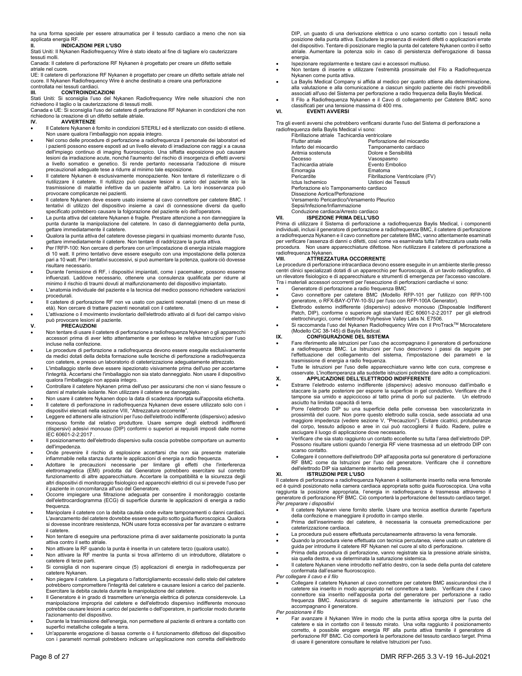ha una forma speciale per essere atraumatica per il tessuto cardiaco a meno che non sia

# applicata energia RF. **II. INDICAZIONI PER L'USO**

Stati Uniti: Il Nykanen Radiofrequency Wire è stato ideato al fine di tagliare e/o cauterizzare tessuti molli.

Canada: Il catetere di perforazione RF Nykanen è progettato per creare un difetto settale atriale nel cuore.

UE: Il catetere di perforazione RF Nykanen è progettato per creare un difetto settale atriale nel cuore. Il Nykanen Radiofrequency Wire è anche destinato a creare una perforazione controllata nei tessuti cardiaci.

## **III. CONTROINDICAZIONI**

Stati Uniti: Si sconsiglia l'uso del Nykanen Radiofrequency Wire nelle situazioni che non richiedono il taglio o la cauterizzazione di tessuti molli.

Canada e UE: Si sconsiglia l'uso del catetere di perforazione RF Nykanen in condizioni che non richiedono la creazione di un difetto settale atriale.

## **IV. AVVERTENZE**

- Il Catetere Nykanen è fornito in condizioni STERILI ed è sterilizzato con ossido di etilene. Non usare qualora l'imballaggio non appaia integro. Nel corso delle procedure di perforazione a radiofrequenza il personale dei laboratori ed
- i pazienti possono essere esposti ad un livello elevato di irradiazione con raggi x a causa dell'impiego continuo di imaging fluoroscopico. Una siffatta esposizione può causare lesioni da irradiazione acute, nonché l'aumento del rischio di insorgenza di effetti avversi a livello somatico e genetico. Si rende pertanto necessaria l'adozione di misure precauzionali adeguate tese a ridurre al minimo tale esposizione.
- Il catetere Nykanen è esclusivamente monopaziente. Non tentare di risterilizzare o di riutilizzare il catetere. Il riutilizzo può causare lesioni a carico del paziente e/o la trasmissione di malattie infettive da un paziente all'altro. La loro inosservanza può provocare complicanze nei pazienti.
- Il catetere Nykanen deve essere usato insieme al cavo connettore per catetere BMC. I tentativi di utilizzo del dispositivo insieme a cavi di connessione diversi da quello specificato potrebbero causare la folgorazione del paziente e/o dell'operatore.
- La punta attiva del catetere Nykanen è fragile. Prestare attenzione a non danneggiare la punta durante la manipolazione del catetere. In caso di danneggiamento della punta, .<br>gettare immediatamente il catetere.
- Qualora la punta attiva del catetere dovesse piegarsi in qualsiasi momento durante l'uso, gettare immediatamente il catetere. Non tentare di raddrizzare la punta attiva.
- Per l'RFP-100: Non cercare di perforare con un'impostazione di energia iniziale maggiore di 10 watt. Il primo tentativo deve essere eseguito con una impostazione della potenza pari a 10 watt. Per i tentativi successivi, si può aumentare la potenza, qualora ciò dovesse risultare necessario.
- Durante l'emissione di RF, i dispositivi impiantati, come i pacemaker, possono esserne influenzati. Laddove necessario, ottenere una consulenza qualificata per ridurre al minimo il rischio di traumi dovuti al malfunzionamento del dispositivo impiantato.
- L'anatomia individuale del paziente e la tecnica del medico possono richiedere variazioni procedurali.
- Il catetere di perforazione RF non va usato con pazienti neonatali (meno di un mese di età). Non cercare di trattare pazienti neonatali con il catetere.
- L'attivazione o il movimento involontario dell'elettrodo attivato al di fuori del campo visivo può provocare lesioni al paziente.

#### **V. PRECAUZIONI**

- Non tentare di usare il catetere di perforazione a radiofrequenza Nykanen o gli apparecchi accessori prima di aver letto attentamente e per esteso le relative Istruzioni per l'uso incluse nella confezione.
- Le procedure di perforazione a radiofrequenza devono essere eseguite esclusivamente da medici dotati della debita formazione sulle tecniche di perforazione a radiofrequenza con catetere, e presso un laboratorio di cateterizzazione adeguatamente attrezzato.
- L'imballaggio sterile deve essere ispezionato visivamente prima dell'uso per accertarne l'integrità. Accertarsi che l'imballaggio non sia stato danneggiato. Non usare il dispositivo qualora l'imballaggio non appaia integro.
- Controllare il catetere Nykanen prima dell'uso per assicurarsi che non vi siano fessure o danni al materiale isolante. Non utilizzare il catetere se danneggiato.
- Non usare il catetere Nykanen dopo la data di scadenza riportata sull'apposita etichetta. Il catetere di perforazione in radiofrequenza Nykanen deve essere utilizzato solo con i dispositivi elencati nella sezione VIII, "Attrezzatura occorrente".
- Leggere ed attenersi alle istruzioni per l'uso dell'elettrodo indifferente (dispersivo) adesivo monouso fornite dal relativo produttore. Usare sempre degli elettrodi indifferenti (dispersivi) adesivi monouso (DIP) conformi o superiori ai requisiti imposti dalle norme IEC 60601-2-2:2017 .
- Il posizionamento dell'elettrodo dispersivo sulla coscia potrebbe comportare un aumento dell'impedenza.
- Onde prevenire il rischio di esplosione accertarsi che non sia presente materiale infiammabile nella stanza durante le applicazioni di energia a radio frequenza.
- Adottare le precauzioni necessarie per limitare gli effetti che l'interferenza elettromagnetica (EMI) prodotta dal Generatore potrebbero esercitare sul corretto funzionamento di altre apparecchiature. Accertare la compatibilità e la sicurezza degli altri dispositivi di monitoraggio fisiologico ed apparecchi elettrici di cui si prevede l'uso per il paziente in concomitanza all'uso del Generatore.
- Occorre impiegare una filtrazione adeguata per consentire il monitoraggio costante dell'elettrocardiogramma (ECG) di superficie durante le applicazioni di energia a radio frequenza.
- Manipolare il catetere con la debita cautela onde evitare tamponamenti o danni cardiaci. L'avanzamento del catetere dovrebbe essere eseguito sotto guida fluoroscopica. Qualora si dovesse incontrare resistenza, NON usare forza eccessiva per far avanzare o estrarre il catetere.
- Non tentare di eseguire una perforazione prima di aver saldamente posizionato la punta attiva contro il setto atriale.
- Non attivare la RF quando la punta è inserita in un catetere terzo (qualora usato). Non attivare la RF mentre la punta si trova all'interno di un introduttore, dilatatore o
- catetere di terze parti. Si consiglia di non superare cinque (5) applicazioni di energia in radiofrequenza per
- catetere Nykanen. Non piegare il catetere. La piegatura o l'attorcigliamento eccessivi dello stelo del catetere potrebbero compromettere l'integrità del catetere e causare lesioni a carico del paziente. Esercitare la debita cautela durante la manipolazione del catetere.
- Il Generatore è in grado di trasmettere un'energia elettrica di potenza considerevole. La manipolazione impropria del catetere e dell'elettrodo dispersivo indifferente monouso potrebbe causare lesioni a carico del paziente o dell'operatore, in particolar modo durante l'azionamento del dispositivo.
- Durante la trasmissione dell'energia, non permettere al paziente di entrare a contatto con superfici metalliche collegate a terra.
- Un'apparente erogazione di bassa corrente o il funzionamento difettoso del dispositivo con i parametri normali potrebbero indicare un'applicazione non corretta dell'elettrodo

DIP, un guasto di una derivazione elettrica o uno scarso contatto con i tessuti nella posizione della punta attiva. Escludere la presenza di evidenti difetti o applicazioni errate del dispositivo. Tentare di posizionare meglio la punta del catetere Nykanen contro il setto atriale. Aumentare la potenza solo in caso di persistenza dell'erogazione di bassa energia.

- Ispezionare regolarmente e testare cavi e accessori multiuso.
- Non tentare di inserire e utilizzare l'estremità prossimale del Filo a Radiofrequenza Nykanen come punta attiva.
- La Baylis Medical Company si affida al medico per quanto attiene alla determinazione, alla valutazione e alla comunicazione a ciascun singolo paziente dei rischi prevedibili associati all'uso del Sistema per perforazione a radio frequenza della Baylis Medical.
- Il Filo a Radiofrequenza Nykanen e il Cavo di collegamento per Catetere BMC sono sificati per una tensione massima di 400 rms.

**VI. EVENTI AVVERSI** 

Tra gli eventi avversi che potrebbero verificarsi durante l'uso del Sistema di perforazione a radiofrequenza della Baylis Medical vi sono:

|                                 | Fibrillazione atriale Tachicardia ventricolare |
|---------------------------------|------------------------------------------------|
| Flutter atriale                 | Perforazione del miocardio                     |
| Infarto del miocardio           | Tamponamento cardiaco                          |
| Aritmia sostenuta               | Dolore e Sensibilità                           |
| Decesso                         | Vasospasmo                                     |
| Tachicardia atriale             | Evento Embolico                                |
| Emorragia                       | Ematoma                                        |
| Pericardite                     | Fibrillazione Ventricolare (FV)                |
| Ictus Ischemico                 | Ustioni dei Tessuti                            |
|                                 | Perforazione e/o Tamponamento cardiaco         |
| Dissezione Aortica/Perforazione |                                                |
|                                 | Versamento Pericardico/Versamento Pleurico     |
| Sepsi/Infezione/Infiammazione   |                                                |

## Conduzione cardiaca/Arresto cardiaco

**VII. ISPEZIONE PRIMA DELL'USO**  Prima di utilizzare il Sistema di perforazione a radiofrequenza Baylis Medical, i componenti

individuali, inclusi il generatore di perforazione a radiofrequenza BMC, il catetere di perforazione a radiofrequenza Nykanen e il cavo connettore per catetere BMC, vanno attentamente esaminati per verificare l'assenza di danni o difetti, così come va esaminata tutta l'attrezzatura usata nella .<br>procedura. Non usare apparecchiature difettose. Non riutilizzare il catetere di perforazione a radiofrequenza Nykanen.<br>VIII. ATTREZZI

## **VIII. ATTREZZATURA OCCORRENTE**

Le procedure di perforazione intracardiaca devono essere eseguite in un ambiente sterile presso centri clinici specializzati dotati di un apparecchio per fluoroscopia, di un tavolo radiografico, di un rilevatore fisiologico e di apparecchiature e strumenti di emergenza per l'accesso vascolare. Tra i materiali accessori occorrenti per l'esecuzione di perforazioni cardiache vi sono:

- Generatore di perforazione a radio frequenza BMC
- Cavo connettore per catetere BMC (Modello RFP-101 per l'utilizzo con RFP-100 generatore, o RFX-BAY-OTW-10-SU per l'uso con RFP-100A Generator). Elettrodo esterno indifferente (dispersivo) adesivo monouso (Disposable Indifferent
- Patch, DIP), conforme o superiore agli standard IEC 60601-2-2:2017 per gli elettrodi elettrochirurgici, come l'elettrodo Polyhesive Valley Labs N. E7506.
- Si raccomanda l'uso del Nykanen Radiofrequency Wire con il ProTrack™ Microcatetere (Modello CIC 38-145) di Baylis Medical.

## **IX. CONFIGURAZIONE DEL SISTEMA**

- Fare riferimento alle istruzioni per l'uso che accompagnano il generatore di perforazione a radiofrequenza BMC. Le Istruzioni per l'uso descrivono i passi da seguire per l'effettuazione del collegamento del sistema, l'impostazione dei parametri e la trasmissione di energia a radio frequenza.
- Tutte le istruzioni per l'uso delle apparecchiature vanno lette con cura, comprese e osservate. L'inottemperanza alla suddette istruzioni potrebbe dare adito a complicazioni. **X. APPLICAZIONE DELL'ELETTRODO INDIFFERENTE**
- Estrarre l'elettrodo esterno indifferente (dispersivo) adesivo monouso dall'imballo e staccare la parte posteriore per esporre la superficie in gel conduttivo. Verificare che il tampone sia umido e appiccicoso al tatto prima di porlo sul paziente. Un elettrodo asciutto ha limitata capacità di terra.
- Porre l'elettrodo DIP su una superficie della pelle convessa ben vascolarizzata in prossimità del cuore. Non porre questo elettrodo sulla coscia, sede associata ad una maggiore impedenza (vedere sezione V, "Precauzioni"). Evitare cicatrici, protuberanze del corpo, tessuto adiposo e aree in cui può raccogliersi il fluido. Radere, pulire e asciugare il luogo di applicazione dove necessario.
- Verificare che sia stato raggiunto un contatto eccellente su tutta l'area dell'elettrodo DIP. Possono risultare ustioni quando l'energia RF viene trasmessa ad un elettrodo DIP con scarso contatto.
- Collegare il connettore dell'elettrodo DIP all'apposita porta sul generatore di perforazione RF BMC come da Istruzioni per l'uso del generatore. Verificare che il connettore dell'elettrodo DIP sia saldamente inserito nella presa.

#### **XI. ISTRUZIONI PER L'USO**

Il catetere di perforazione a radiofrequenza Nykanen è solitamente inserito nella vena femorale ed è quindi posizionato nella camera cardiaca appropriata sotto guida fluoroscopica. Una volta raggiunta la posizione appropriata, l'energia in radiofrequenza è trasmessa attraverso il generatore di perforazione RF BMC. Ciò comporterà la perforazione del tessuto cardiaco target. *Per preparare i dispositivi* 

- Il catetere Nykanen viene fornito sterile. Usare una tecnica asettica durante l'apertura della confezione e maneggiare il prodotto in campo sterile.
- Prima dell'inserimento del catetere, è necessaria la consueta premedicazione per cateterizzazione cardiaca.
- La procedura può essere effettuata percutaneamente attraverso la vena femorale. Quando la procedura viene effettuata con tecnica percutanea, viene usato un catetere di
- guida per introdurre il catetere RF Nykanen nel cuore al sito di perforazione. Prima della procedura di perforazione, vanno registrate sia la pressione atriale sinistra,
- sia quella destra, e va determinata la saturazione sistemica.
- Il catetere Nykanen viene introdotto nell'atrio destro, con la sede della punta del catetere confermata dall'esame fluoroscopico.

## *Per collegare il cavo e il filo*

- Collegare il catetere Nykanen al cavo connettore per catetere BMC assicurandosi che il catetere sia inserito in modo appropriato nel connettore a tasto. Verificare che il cavo connettore sia inserito nell'apposita porta del generatore per perforazione a radio frequenza BMC. Assicurarsi di seguire attentamente le istruzioni per l'uso che accompagnano il generatore.
- *Per posizionare il filo*
- Far avanzare il Nykanen Wire in modo che la punta attiva sporga oltre la punta del catetere e sia in contatto con il tessuto mirato. Una volta raggiunto il posizionamento corretto, è possibile erogare energia RF alla punta attiva tramite il generatore di perforazione RF BMC. Ciò comporterà la perforazione del tessuto cardiaco target. Prima di usare il generatore consultare le relative Istruzioni per l'uso.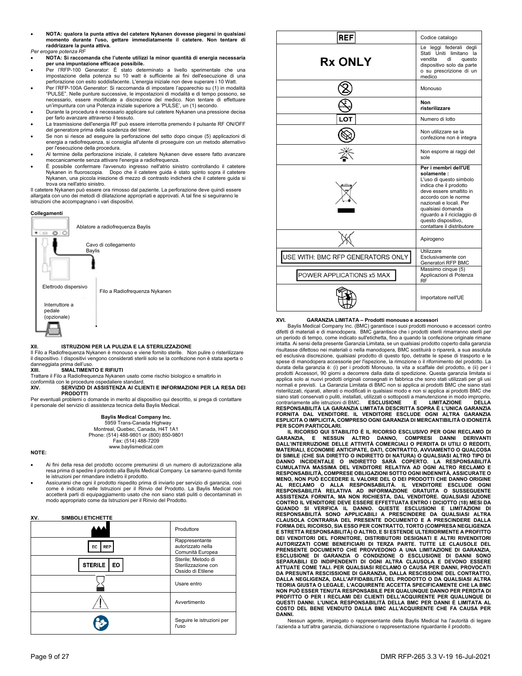- **NOTA: qualora la punta attiva del catetere Nykanen dovesse piegarsi in qualsiasi momento durante l'uso, gettare immediatamente il catetere. Non tentare di raddrizzare la punta attiva.**
- *Per erogare potenza RF*
- **NOTA: Si raccomanda che l'utente utilizzi la minor quantità di energia necessaria per una impuntazione efficace possibile.** Per l'RFP-100 Generator: È stato determinato a livello sperimentale che una
- impostazione della potenza su 10 watt è sufficiente ai fini dell'esecuzione di una
- perforazione con esito soddisfacente. L'energia iniziale non deve superare i 10 Watt. Per l'RFP-100A Generator: Si raccomanda di impostare l'apparechio su (1) in modalità "PULSE". Nelle punture successive, le impostazioni di modalità e di tempo possono, se necessario, essere modificate a discrezione del medico. Non tentare di effettuare un'impuntura con una Potenza iniziale superiore a 'PULSE', un (1) secondo.
- Durante la procedura è necessario applicare sul catetere Nykanen una pressione decisa per farlo avanzare attraverso il tessuto.
- La trasmissione dell'energia RF può essere interrotta premendo il pulsante RF ON/OFF del generatore prima della scadenza del timer.
- Se non si riesce ad eseguire la perforazione del setto dopo cinque (5) applicazioni di energia a radiofrequenza, si consiglia all'utente di proseguire con un metodo alternativo per l'esecuzione della procedura.
- Al termine della perforazione iniziale, il catetere Nykanen deve essere fatto avanzare meccanicamente senza attivare l'energia a radiofrequenza.
- È possibile confermare l'avvenuto ingresso nell'atrio sinistro controllando il catetere Nykanen in fluoroscopia. Dopo che il catetere guida è stato spinto sopra il catetere Nykanen, una piccola iniezione di mezzo di contrasto indicherà che il catetere guida si trova ora nell'atrio sinistro.

Il catetere Nykanen può essere ora rimosso dal paziente. La perforazione deve quindi essere allargata con uno dei metodi di dilatazione appropriati e approvati. A tal fine si seguiranno le istruzioni che accompagnano i vari dispositivi.



#### **XII. ISTRUZIONI PER LA PULIZIA E LA STERILIZZAZIONE**

Il Filo a Radiofrequenza Nykanen è monouso e viene fornito sterile. Non pulire o risterilizzare il dispositivo. I dispositivi vengono considerati sterili solo se la confezione non è stata aperta o

danneggiata prima dell'uso. **XIII. SMALTIMENTO E RIFIUTI**

Trattare il Filo a Radiofrequenza Nykanen usato come rischio biologico e smaltirlo in conformità con le procedure ospedaliere standard.

**XIV. SERVIZIO DI ASSISTENZA AI CLIENTI E INFORMAZIONI PER LA RESA DEI PRODOTTI**

Per eventuali problemi o domande in merito al dispositivo qui descritto, si prega di contattare il personale del servizio di assistenza tecnica della Baylis Medical.

> **Baylis Medical Company Inc.**  5959 Trans-Canada Highway Montreal, Quebec, Canada, H4T 1A1 Phone: (514) 488-9801 or (800) 850-9801 Fax: (514) 488-7209 www.baylismedical.com

**NOTE:** 

- Ai fini della resa del prodotto occorre premunirsi di un numero di autorizzazione alla resa prima di spedire il prodotto alla Baylis Medical Company. Le sarranno quindi fornite le istruzioni per rimandare indietro il prodotto.
- Assicurarsi che ogni il prodotto rispedito prima di inviarlo per servizio di garanzia, così come è indicato nelle Istruzioni per il Rinvio del Prodotto. La Baylis Medical non accetterà parti di equipaggiamento usato che non siano stati puliti o decontaminati in modo appropriato come da Istruzioni per il Rinvio del Prodotto.

## **XV. SIMBOLI ETICHETTE**

|                             | Produttore                                                     |
|-----------------------------|----------------------------------------------------------------|
| EC<br><b>REP</b>            | Rappresentante<br>autorizzato nella<br>Comunità Europea        |
| <b>STERILE</b><br><b>EO</b> | Sterile; Metodo di<br>Sterilizzazione con<br>Ossido di Etilene |
|                             | Usare entro                                                    |
|                             | Avvertimento                                                   |
|                             | Seguire le istruzioni per<br>l'uso                             |

| REF                               | Codice catalogo                                                                                                                                                                                                                                                                  |
|-----------------------------------|----------------------------------------------------------------------------------------------------------------------------------------------------------------------------------------------------------------------------------------------------------------------------------|
| <b>Rx ONLY</b>                    | Le leggi federali degli<br>Stati Uniti limitano la<br>vendita<br>di<br>questo<br>dispositivo solo da parte<br>o su prescrizione di un<br>medico                                                                                                                                  |
|                                   | Monouso                                                                                                                                                                                                                                                                          |
|                                   | Non<br>risterilizzare                                                                                                                                                                                                                                                            |
|                                   | Numero di lotto                                                                                                                                                                                                                                                                  |
|                                   | Non utilizzare se la<br>confezione non è integra                                                                                                                                                                                                                                 |
|                                   | Non esporre ai raggi del<br>sole                                                                                                                                                                                                                                                 |
|                                   | Per i membri dell'UE<br>solamente :<br>L'uso di questo simbolo<br>indica che il prodotto<br>deve essere smaltito in<br>accordo con le norme<br>nazionali e locali. Per<br>qualsiasi domanda<br>riguardo a il riciclaggio di<br>questo dispositivo,<br>contattare il distributore |
|                                   | Apirogeno                                                                                                                                                                                                                                                                        |
| USE WITH: BMC RFP GENERATORS ONLY | Utilizzare<br>Esclusivamente con<br>Generatori RFP BMC                                                                                                                                                                                                                           |
| POWER APPLICATIONS x5 MAX         | Massimo cinque (5)<br>Applicazioni di Potenza<br><b>RF</b>                                                                                                                                                                                                                       |
|                                   | Importatore nell'UE                                                                                                                                                                                                                                                              |

## **XVI. GARANZIA LIMITATA – Prodotti monouso e accessori**

 Baylis Medical Company Inc. (BMC) garantisce i suoi prodotti monouso e accessori contro difetti di materiali e di manodopera. BMC garantisce che i prodotti sterili rimarranno sterili per un periodo di tempo, come indicato sull'etichetta, fino a quando la confezione originale rimane intatta. Ai sensi della presente Garanzia Limitata, se un qualsiasi prodotto coperto dalla garanzia risultasse difettoso nei materiali o nella manodopera, BMC sostituirà o riparerà, a sua assoluta ed esclusiva discrezione, qualsiasi prodotto di questo tipo, detratte le spese di trasporto e le spese di manodopera accessorie per l'ispezione, la rimozione o il rifornimento del prodotto. La durata della garanzia è: (i) per i prodotti Monouso, la vita a scaffale del prodotto, e (ii) per i prodotti Accessori, 90 giorni a decorrere dalla data di spedizione. Questa garanzia limitata si applica solo ai nuovi prodotti originali consegnati in fabbrica che sono stati utilizzati per gli usi normali e previsti. La Garanzia Limitata di BMC non si applica ai prodotti BMC che siano stati risterilizzati, riparati, alterati o modificati in qualsiasi modo e non si applica ai prodotti BMC che siano stati conservati o puliti, installati, utilizzati o sottoposti a manutenzione in modo improprio, contrariamente alle istruzioni di BMC. ESCLUSIONE E LIMITAZIONE DELLA<br>RESPONSABILITÀ LA GARANZIA LIMITATA DESCRITTA SOPRA È L'UNICA GARANZIA<br>FORNITA DAL VENDITORE. IL VENDITORE ESCLUDE **ESPLICITA O IMPLICITA, COMPRESO OGNI GARANZIA DI MERCANTIBILITÀ O IDONEITÀ PER SCOPI PARTICOLARI.** 

**IL RICORSO QUI STABILITO È IL RICORSO ESCLUSIVO PER OGNI RECLAMO DI GARANZIA, E NESSUN ALTRO DANNO, COMPRESI DANNI DERIVANTI DALL'INTERRUZIONE DELLE ATTIVITÀ COMERCIALI O PERDITA DI UTILI O REDDITI,**  MATERIALI, ECONOMIE ANTICIPATE, DATI, CONTRATTO, AVVIAMENTO O QUALCOSA<br>DI SIMILE (CHE SIA DIRETTO O INDIRETTO DI NATURA) O QUALSIASI ALTRO TIPO DI<br>DANNO INCIDENTALE O INDIRETTO SARÀ COPERTO. LA RESPONSABILITÀ<br>C **RESPONSABILITÀ, COMPRESE OBLIGAZIONI SOTTO OGNI INDENNITÀ, ASSICURATE O**  MENO, NON PUÒ ECCEDERE IL VALORE DEL O DEI PRODOTTI CHE DANNO ORIGINE<br>AL RECLAMO O ALLA RESPONSABILITÀ. IL VENDITORE ESCLUDE OGNI<br>RESPONSABILITÀ RELATIVA AD INFORMAZIONE GRATUITA O SUSSEGUENTE<br>ASSISTENZA FORNITA, MA NON RI **QUANDO SI VERIFICA IL DANNO. QUESTE ESCLUSIONI E LIMITAZIONI DI**  RESPONSABILITÀ SONO APPLICABILI A PRESCINDERE DA QUALSIASI ALTRA<br>CLAUSOLA CONTRARIA DEL PRESENTE DOCUMENTO E A PRESCINDERE DALLA<br>FORMADEL·RICORSO, SIA·ESSO·PER·CONTRATTO, TORTO (COMPRESA NEGLIGENZA **E STRETTA RESPONSABILITÀ) O ALTRO, E SI ESTENDE ULTERIORMENTE A PROFITTO DEI VENDITORI DEL FORNITORE, DISTRIBUTORI DESIGNATI E ALTRI RIVENDITORI AUTORIZZATI COME BENEFICIARI DI TERZA PARTE. TUTTE LE CLAUSOLE DEL PRENSENTE DOCUMENTO CHE PROVVEDONO A UNA LIMITAZIONE DI GARANZIA, ESCLUSIONE DI GARANZIA O CONDIZIONE O ESCLUSIONE DI DANNI SONO SEPARABILI ED INDIPENDENTI DI OGNI ALTRA CLAUSOLA E DEVONO ESSERE ATTUATE COME TALI. PER QUALSIASI RECLAMO O CAUSA PER DANNI, PROVOCATI DA PRESUNTA RESCISSIONE DI GARANZIA, DALLA RESCISSIONE DEL CONTRATTO, DALLA NEGLIGENZA, DALL'AFFIDABILITÀ DEL PRODOTTO O DA QUALSIASI ALTRA TEORIA GIUSTA O LEGALE, L'ACQUIRENTE ACCETTA SPECIFICAMENTE CHE LA BMC NON PUÒ ESSER TENUTA RESPONSABILE PER QUALUNQUE DANNO PER PERDITA DI PROFITTO O PER I RECLAMI DEI CLIENTI DELL'ACQUIRENTE PER QUALUNQUE DI QUESTI DANNI. L'UNICA RESPONSABILITÀ DELLA BMC PER DANNI È LIMITATA AL COSTO DEL BENE VENDUTO DALLA BMC ALL'ACQUIRENTE CHE FA CAUSA PER DANNI.**

 Nessun agente, impiegato o rappresentante della Baylis Medical ha l'autorità di legare l'azienda a tutt'altra garanzia, dichiarazione o rappresentazione riguardante il prodotto.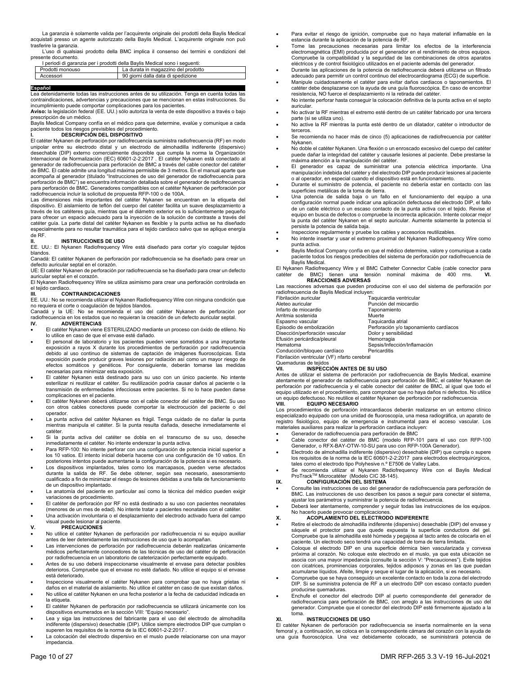La garanzia è solamente valida per l'acquirente originale dei prodotti della Baylis Medical acquistati presso un agente autorizzato della Baylis Medical. L'acquirente originale non può trasferire la garanzia.

 L'uso di qualsiasi prodotto della BMC implica il consenso dei termini e condizioni del presente documento.

| I periodi di garanzia per i prodotti della Bavlis Medical sono i seguenti: |                                     |
|----------------------------------------------------------------------------|-------------------------------------|
| Prodotti monouso                                                           | La durata in magazzino del prodotto |
| Accessori                                                                  | 90 giorni dalla data di spedizione  |

#### Español

**Español**<br>Lea detenidamente todas las instrucciones antes de su utilización. Tenga en cuenta todas las contraindicaciones, advertencias y precauciones que se mencionan en estas instrucciones. Su incumplimiento puede comportar complicaciones para los pacientes. **Aviso:** la legislación federal (EE. UU.) sólo autoriza la venta de este dispositivo a través o bajo

prescripción de un médico.

Baylis Medical Company confía en el médico para que determine, evalúe y comunique a cada paciente todos los riesgos previsibles del procedimiento.

## **I. DESCRIPCIÓN DEL DISPOSITIVO**

El catéter Nykanen de perforación por radiofrecuencia suministra radiofrecuencia (RF) en modo unipolar entre su electrodo distal y un electrodo de almohadilla indiferente (dispersivo) desechable (DIP) externo comercialmente disponible que cumpla la norma la Organización Internacional de Normalización (IEC) 60601-2-2:2017 . El catéter Nykanen está conectado al generador de radiofrecuencia para perforación de BMC a través del cable conector del catéter de BMC. El cable admite una longitud máxima permisible de 3 metros. En el manual aparte que acompaña al generador (titulado "Instrucciones de uso del generador de radiofrecuencia para perforación de BMC") se encuentra información detallada sobre el generador de radiofrecuencia para perforación de BMC. Generadores compatibles con el catéter Nykanen de perforación por radiofrecuencia incluir la solicitud de propuesta RFP-100 o de 100A.

Las dimensiones más importantes del catéter Nykanen se encuentran en la etiqueta del dispositivo. El aislamiento de teflón del cuerpo del catéter facilita un suave desplazamiento a través de los catéteres guía, mientras que el diámetro exterior es lo suficientemente pequeño para ofrecer un espacio adecuado para la inyección de la solución de contraste a través del catéter guía. La parte distal del catéter Nykanen es flexible y la punta activa se ha diseñado especialmente para no resultar traumática para el tejido cardiaco salvo que se aplique energía de RF.

## **II. INSTRUCCIONES DE USO**

EE. UU.: El Nykanen Radiofrequency Wire está diseñado para cortar y/o coagular tejidos blandos.

Canadá: El catéter Nykanen de perforación por radiofrecuencia se ha diseñado para crear un defecto auricular septal en el corazón.

UE: El catéter Nykanen de perforación por radiofrecuencia se ha diseñado para crear un defecto auricular septal en el corazón. El Nykanen Radiofrequency Wire se utiliza asimismo para crear una perforación controlada en

el tejido cardiaco

## **III. CONTRAINDICACIONES**

EE. UU.: No se recomienda utilizar el Nykanen Radiofrequency Wire con ninguna condición que no requiera el corte o coagulación de tejidos blandos. Canadá y la UE: No se recomienda el uso del catéter Nykanen de perforación por

radiofrecuencia en los estados que no requieran la creación de un defecto auricular septal. **IV. ADVERTENCIAS** 

- El catéter Nykanen viene ESTERILIZADO mediante un proceso con óxido de etileno. No lo utilice en caso de que el envase esté dañado.
- El personal de laboratorio y los pacientes pueden verse sometidos a una importante exposición a rayos X durante los procedimientos de perforación por radiofrecuencia debido al uso continuo de sistemas de captación de imágenes fluoroscópicas. Esta exposición puede producir graves lesiones por radiación así como un mayor riesgo de efectos somáticos y genéticos. Por consiguiente, deberán tomarse las medidas necesarias para minimizar esta exposición.
- El catéter Nykanen está destinado para su uso con un único paciente. No intente esterilizar ni reutilizar el catéter. Su reutilización podría causar daños al paciente o la transmisión de enfermedades infecciosas entre pacientes. Si no lo hace pueden darse complicaciones en el paciente.
- El catéter Nykanen deberá utilizarse con el cable conector del catéter de BMC. Su uso con otros cables conectores puede comportar la electrocución del paciente o del operador.
- La punta activa del catéter Nykanen es frágil. Tenga cuidado de no dañar la punta mientras manipula el catéter. Si la punta resulta dañada, deseche inmediatamente el catéter.
- Si la punta activa del catéter se dobla en el transcurso de su uso, deseche inmediatamente el catéter. No intente enderezar la punta activa.
- Para RFP-100: No intente perforar con una configuración de potencia inicial superior a los 10 vatios. El intento inicial debería hacerse con una configuración de 10 vatios. En posteriores intentos puede aumentarse la configuración de la potencia si es necesario.
- Los dispositivos implantados, tales como los marcapasos, pueden verse afectados durante la salida de RF. Se debe obtener, según sea necesario, asesoramiento cualificado a fin de minimizar el riesgo de lesiones debidas a una falla de funcionamiento de un dispositivo implantado.
- La anatomía del paciente en particular así como la técnica del médico pueden exigir variaciones de procedimiento.
- El catéter de perforación por RF no está destinado a su uso con pacientes neonatales (menores de un mes de edad). No intente tratar a pacientes neonatales con el catéter.
- Una activación involuntaria o el desplazamiento del electrodo activado fuera del campo visual puede lesionar al paciente.

**V. PRECAUCIONES** 

- No utilice el catéter Nykanen de perforación por radiofrecuencia ni su equipo auxiliar antes de leer detenidamente las instrucciones de uso que lo acompañan.
- Las intervenciones de perforación por radiofrecuencia deberán realizarlas únicamente médicos perfectamente conocedores de las técnicas de uso del catéter de perforación por radiofrecuencia en un laboratorio de cateterización perfectamente equipado.
- Antes de su uso deberá inspeccionarse visualmente el envase para detectar posibles deterioros. Compruebe que el envase no esté dañado. No utilice el equipo si el envase está deteriorado.
- Inspeccione visualmente el catéter Nykanen para comprobar que no haya grietas ni daños en el material de aislamiento. No utilice el catéter en caso de que existan daños.
- No utilice el catéter Nykanen en una fecha posterior a la fecha de caducidad indicada en la etiqueta.
- El catéter Nykanen de perforación por radiofrecuencia se utilizará únicamente con los dispositivos enumerados en la sección VIII: "Equipo necesario".
- Lea y siga las instrucciones del fabricante para el uso del electrodo de almohadilla indiferente (dispersivo) desechable (DIP). Utilice siempre electrodos DIP que cumplan o superen los requisitos de la norma de la IEC 60601-2-2:2017 .
- La colocación del electrodo dispersivo en el muslo puede relacionarse con una mayor impedancia.
- Para evitar el riesgo de ignición, compruebe que no haya material inflamable en la estancia durante la aplicación de la potencia de RF.
- Tome las precauciones necesarias para limitar los efectos de la interferencia electromagnética (EMI) producida por el generador en el rendimiento de otros equipos. Compruebe la compatibilidad y la seguridad de las combinaciones de otros aparatos eléctricos y de control fisiológico utilizados en el paciente además del generador.
- Durante las aplicaciones de la potencia de radiofrecuencia deberá utilizarse un filtrado
- adecuado para permitir un control continuo del electrocardiograma (ECG) de superficie. Manipule cuidadosamente el catéter para evitar daños cardiacos o taponamientos. El catéter debe desplazarse con la ayuda de una guía fluoroscópica. En caso de encontrar
- resistencia, NO fuerce el desplazamiento ni la retirada del catéter. No intente perforar hasta conseguir la colocación definitiva de la punta activa en el septo auricular.
- No activar la RF mientras el extremo esté dentro de un catéter fabricado por una tercera
- parte (si se utiliza uno). No active la RF mientras la punta esté dentro de un dilatador, catéter o introductor de terceros.
- Se recomienda no hacer más de cinco (5) aplicaciones de radiofrecuencia por catéter Nykanen.
- No doble el catéter Nykanen. Una flexión o un enroscado excesivo del cuerpo del catéter puede dañar la integridad del catéter y causarle lesiones al paciente. Debe prestarse la máxima atención a la manipulación del catéter.
- El generador es capaz de suministrar una potencia eléctrica importante. Una manipulación indebida del catéter y del electrodo DIP puede producir lesiones al paciente o al operador, en especial cuando el dispositivo está en funcionamiento.
- Durante el suministro de potencia, el paciente no debería estar en contacto con las superficies metálicas de la toma de tierra.
- Una potencia de salida baja o un fallo en el funcionamiento del equipo a una configuración normal puede indicar una aplicación defectuosa del electrodo DIP, el fallo de un cable eléctrico o un escaso contacto de la punta activa con el tejido. Revise el equipo en busca de defectos o compruebe la incorrecta aplicación. Intente colocar mejor la punta del catéter Nykanen en el septo auricular. Aumente solamente la potencia si persiste la potencia de salida baja.
- Inspeccione regularmente y pruebe los cables y accesorios reutilizables.
- No intente insertar y usar el extremo proximal del Nykanen Radiofrequency Wire como punta activa.
- Baylis Medical Company confía en que el médico determine, valore y comunique a cada paciente todos los riesgos predecibles del sistema de perforación por radiofrecuencia de Baylis Medical.

El Nykanen Radiofrequency Wire y el BMC Catheter Connector Cable (cable conector para tensión nominal máxima de 400 rms. **VI. CONSIDERED ACCEPT** Catéter de BMC) tienen una tens

Las reacciones adversas que pueden producirse con el uso del sistema de perforación por radiofrecuencia de Baylis Medical incluyen:

| Fibrilación auricular          | Taquicardia ventricular                |
|--------------------------------|----------------------------------------|
| Aleteo auricular               | Punción del miocardio                  |
| Infarto de miocardio           | Taponamiento                           |
| Arritmia sostenida             | Muerte                                 |
| Espasmo vascular               | Taquicardia atrial                     |
| Episodio de embolización       | Perforación y/o taponamiento cardíacos |
| Disección/perforación vascular | Dolor y sensibilidad                   |
| Efusión pericárdica/pleural    | Hemorragia                             |
| Hematoma                       | Sepsis/Infección/Inflamación           |
| Conducción/bloqueo cardíaco    | Pericarditis                           |
|                                |                                        |

Fibrilación ventricular (VF) nfarto cerebral

#### Quemaduras de tejidos<br>VII. **INSPECC VII. INSPECCIÓN ANTES DE SU USO**

Antes de utilizar el sistema de perforación por radiofrecuencia de Baylis Medical, examine atentamente el generador de radiofrecuencia para perforación de BMC, el catéter Nykanen de perforación por radiofrecuencia y el cable conector del catéter de BMC, al igual que todo el equipo utilizado en el procedimiento, para comprobar que no haya daños ni defectos. No utilice un equipo defectuoso. No reutilice el catéter Nykanen de perforación por radiofrecuencia. **VIII. EQUIPO NECESARIO** 

Los procedimientos de perforación intracardiacos deberán realizarse en un entorno clínico especializado equipado con una unidad de fluoroscopía, una mesa radiográfica, un aparato de registro fisiológico, equipo de emergencia e instrumental para el acceso vascular. Los materiales auxiliares para realizar la perforación cardiaca incluyen:

- Generador de radiofrecuencia para perforación de BMC
- Cable conector del catéter de BMC (modelo RFP-101 para el uso con RFP-100 Generador, o RFX-BAY-OTW-10-SU para uso con RFP-100A Generador).
- Electrodo de almohadilla indiferente (dispersivo) desechable (DIP) que cumpla o supere los requisitos de la norma de la IEC 60601-2-2:2017 para electrodos electroquirúrgicos, tales como el electrodo tipo Polyhesive n.º E7506 de Valley Labs.
- Se recomienda utilizar el Nykanen Radiofrequency Wire con el Baylis Medical ProTrackTM Microcatéter (Modelo CIC 38-145).

### **IX. CONFIGURACIÓN DEL SISTEMA**

 Consulte las instrucciones de uso del generador de radiofrecuencia para perforación de BMC. Las instrucciones de uso describen los pasos a seguir para conectar el sistema, ajustar los parámetros y suministrar la potencia de radiofrecuencia.

#### Deberá leer atentamente, comprender y seguir todas las instrucciones de los equipos. No hacerlo puede provocar complicaciones.

#### **X. ACOPLAMIENTO DEL ELECTRODO INDIFERENTE**

- Retire el electrodo de almohadilla indiferente (dispersivo) desechable (DIP) del envase y sáquele el protector para que quede expuesta la superficie conductora del gel. Compruebe que la almohadilla esté húmeda y pegajosa al tacto antes de colocarla en el paciente. Un electrodo seco tendrá una capacidad de toma de tierra limitada.
- Coloque el electrodo DIP en una superficie dérmica bien vascularizada y convexa próxima al corazón. No coloque este electrodo en el muslo, ya que esta ubicación se asocia con una mayor impedancia (consulte la sección V: "Precauciones"). Evite tejidos con cicatrices, prominencias corporales, tejidos adiposos y zonas en las que puedan acumularse líquidos. Afeite, limpie y seque el lugar de la aplicación, si es necesario.
- Compruebe que se haya conseguido un excelente contacto en toda la zona del electrodo DIP. Si se suministra potencia de RF a un electrodo DIP con escaso contacto pueden producirse quemaduras.
- Enchufe el conector del electrodo DIP al puerto correspondiente del generador de radiofrecuencia para perforación de BMC, con arreglo a las instrucciones de uso del generador. Compruebe que el conector del electrodo DIP esté firmemente ajustado a la toma.

#### **XI. INSTRUCCIONES DE USO**

El catéter Nykanen de perforación por radiofrecuencia se inserta normalmente en la vena femoral y, a continuación, se coloca en la correspondiente cámara del corazón con la ayuda de una guía fluoroscópica. Una vez debidamente colocado, se suministrará potencia de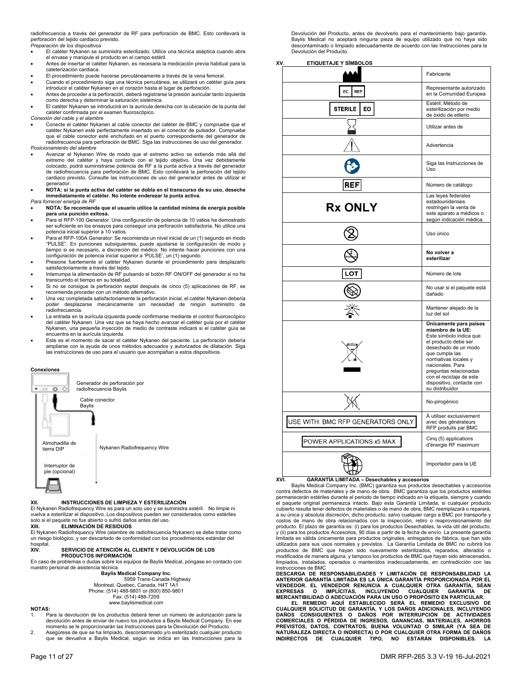radiofrecuencia a través del generador de RF para perforación de BMC. Esto conllevará la perforación del tejido cardiaco previsto. *Preparación de los dispositivos* 

- El catéter Nykanen se suministra esterilizado. Utilice una técnica aséptica cuando abra el envase y manipule el producto en el campo estéril.
- Antes de insertar el catéter Nykanen, es necesaria la medicación previa habitual para la cateterización cardiaca.
- El procedimiento puede hacerse percutáneamente a través de la vena femoral.
- Cuando el procedimiento siga una técnica percutánea, se utilizará un catéter guía para introducir el catéter Nykanen en el corazón hasta el lugar de perforación. Antes de proceder a la perforación, deberá registrarse la presión auricular tanto izquierda
- como derecha y determinar la saturación sistémica. El catéter Nykanen se introducirá en la aurícula derecha con la ubicación de la punta del catéter confirmada por el examen fluoroscópico.
- 
- *Conexión del cable y el alambre*  Conecte el catéter Nykanen al cable conector del catéter de BMC y compruebe que el catéter Nykanen esté perfectamente insertado en el conector de pulsador. Compruebe que el cable conector esté enchufado en el puerto correspondiente del generador de radiofrecuencia para perforación de BMC. Siga las instrucciones de uso del generador. *Posicionamiento del alambre*
- 
- Avanzar el Nykanen Wire de modo que el extremo activo se extienda más allá del extremo del catéter y haya contacto con el tejido objetivo. Una vez debidamente colocado, podrá suministrarse potencia de RF a la punta activa a través del generador de radiofrecuencia para perforación de BMC. Esto conllevará la perforación del tejido cardiaco previsto. Consulte las instrucciones de uso del generador antes de utilizar el generador.
- **NOTA: si la punta activa del catéter se dobla en el transcurso de su uso, deseche inmediatamente el catéter. No intente enderezar la punta activa.**

## *Para fornecer energia de RF*

- **NOTA: Se recomienda que el usuario utilice la cantidad mínima de energía posible para una punción exitosa.**
- Para el RFP-100 Generator: Una configuración de potencia de 10 vatios ha demostrado ser suficiente en los ensayos para conseguir una perforación satisfactoria. No utilice una potencia inicial superior a 10 vatios.
- Para el RFP-100A Generator: Se recomienda un nivel inicial de un (1) segundo en modo "PULSE". En punciones subsiguientes, puede ajustarse la configuración de modo y tiempo si es necesario, a discreción del médico. No intente hacer punciones con una configuración de potencia inicial superior a 'PULSE', un (1) segundo.
- Presione fuertemente el catéter Nykanen durante el procedimiento para desplazarlo satisfactoriamente a través del tejido.
- Interrumpa la alimentación de RF pulsando el botón RF ON/OFF del generador si no ha transcurrido el tiempo en su totalidad.
- Si no se consigue la perforación septal después de cinco (5) aplicaciones de RF, se recomienda proceder con un método alternativo.
- Una vez completada satisfactoriamente la perforación inicial, el catéter Nykanen debería poder desplazarse mecánicamente sin necesidad de ningún suministro de radiofrecuencia.
- La entrada en la aurícula izquierda puede confirmarse mediante el control fluoroscópico del catéter Nykanen. Una vez que se haya hecho avanzar el catéter guía por el catéter Nykanen, una pequeña inyección de medio de contraste indicará si el catéter guía se encuentra en la aurícula izquierda.
- Este es el momento de sacar el catéter Nykanen del paciente. La perforación debería ampliarse con la ayuda de unos métodos adecuados y autorizados de dilatación. Siga las instrucciones de uso para el usuario que acompañan a estos dispositivos.





### **XII. INSTRUCCIONES DE LIMPIEZA Y ESTERILIZACIÓN**

El Nykanen Radiofrequency Wire es para un solo uso y se suministra estéril. No limpie ni vuelva a esterilizar el dispositivo. Los dispositivos pueden ser considerados como estériles solo si el paquete no fue abierto o sufrió daños antes del uso. **XIII. ELIMINACIÓN DE RESIDUOS** 

El Nykanen Radiofrequency Wire (alambre de radiofrecuencia Nykanen) se debe tratar como un riesgo biológico, y ser descartado de conformidad con los procedimientos estándar del hospital<br>XIV.

#### **XIV. SERVICIO DE ATENCIÓN AL CLIENTE Y DEVOLUCIÓN DE LOS PRODUCTOS INFORMACIÓN**

En caso de problemas o dudas sobre los equipos de Baylis Medical, póngase en contacto con nuestro personal de asistencia técnica.

**Baylis Medical Company Inc.** 

 5959 Trans-Canada Highway Montreal, Quebec, Canada, H4T 1A1 Phone: (514) 488-9801 or (800) 850-9801 Fax: (514) 488-7209 www.baylismedical.com

#### **NOTAS:**

- Para la devolución de los productos deberá tener un número de autorización para la devolución antes de enviar de nuevo los productos a Baylis Medical Company. En ese momento se le proporcionarán las Instrucciones para la Devolución del Producto.
- 2. Asegúrese de que se ha limpiado, descontaminado y/o esterilizado cualquier producto que se devuelva a Baylis Medical, según se indica en las Instrucciones para la

Devolución del Producto, antes de devolverlo para el mantenimiento bajo garantía. Baylis Medical no aceptará ninguna pieza de equipo utilizado que no haya sido descontaminado o limpiado adecuadamente de acuerdo con las Instrucciones para la Devolución del Producto.

**XV. ETIQUETAJE Y SÍMBOLOS** 

|                                   | Fabricante                                                                                                                                                                                                                                                                                 |
|-----------------------------------|--------------------------------------------------------------------------------------------------------------------------------------------------------------------------------------------------------------------------------------------------------------------------------------------|
| EC<br><b>REP</b>                  | Representante autorizado<br>en la Comunidad Europea                                                                                                                                                                                                                                        |
| <b>STERILE</b><br>EO.             | Estéril; Método de<br>esterilización por medio<br>de óxido de etileno                                                                                                                                                                                                                      |
|                                   | Utilizar antes de                                                                                                                                                                                                                                                                          |
|                                   | Advertencia                                                                                                                                                                                                                                                                                |
|                                   | Siga las Instrucciones de<br>Uso                                                                                                                                                                                                                                                           |
| REF                               | Número de catálogo                                                                                                                                                                                                                                                                         |
| <b>Rx ONLY</b>                    | Las leyes federales<br>estadounidenses<br>restringen la venta de<br>este aparato a médicos o<br>según indicación médica.                                                                                                                                                                   |
|                                   | Uso único                                                                                                                                                                                                                                                                                  |
|                                   | No volver a<br>esterilizar                                                                                                                                                                                                                                                                 |
| .OT                               | Número de lote                                                                                                                                                                                                                                                                             |
|                                   | No usar si el paquete está<br>dañado                                                                                                                                                                                                                                                       |
|                                   | Mantener alejado de la<br>luz del sol                                                                                                                                                                                                                                                      |
|                                   | Únicamente para países<br>miembro de la UE:<br>Este símbolo indica que<br>el producto debe ser<br>desechado de un modo<br>que cumpla las<br>normativas locales y<br>nacionales. Para<br>preguntas relacionadas<br>con el reciclaje de este<br>dispositivo, contacte con<br>su distribuidor |
|                                   | No-pirogénico                                                                                                                                                                                                                                                                              |
| USE WITH: BMC RFP GENERATORS ONLY | À utiliser exclusivement<br>avec des générateurs<br>RFP produits par BMC                                                                                                                                                                                                                   |
| POWER APPLICATIONS x5 MAX         | Cinq (5) applications<br>d'énergie RF maximum                                                                                                                                                                                                                                              |
|                                   | Importador para la UE                                                                                                                                                                                                                                                                      |

## **XVI. GARANTÍA LIMITADA – Desechables y accesorios**

 Baylis Medical Company Inc. (BMC) garantiza sus productos desechables y accesorios contra defectos de materiales y de mano de obra. BMC garantiza que los productos estériles permanecerán estériles durante el periodo de tiempo indicado en la etiqueta, siempre y cuando el paquete original permanezca intacto. Bajo esta Garantía Limitada, si cualquier producto cubierto resulta tener defectos de materiales o de mano de obra, BMC reemplazará o reparará, a su única y absoluta discreción, dicho producto, salvo cualquier cargo a BMC por transporte y costos de mano de obra relacionados con la inspección, retiro o reaprovisionamiento del producto. El plazo de garantía es: (i) para los productos Desechables, la vida útil del producto, y (ii) para los productos Accesorios, 90 días a partir de la fecha de envío. La presente garantía limitada es válida únicamente para productos originales, entregados de fábrica, que han sido utilizados para sus usos normales y previstos. La Garantía Limitada de BMC no cubrirá los productos de BMC que hayan sido nuevamente esterilizados, reparados, alterados o modificados de manera alguna, y tampoco los productos de BMC que hayan sido almacenados, limpiados, instalados, operados o mantenidos inadecuadamente, en contradicción con las instrucciones de BMC

**DESCARGA DE RESPONSABILIDADES Y LIMITACIÓN DE RESPONSABILIDAD LA ANTERIOR GARANTÍA LIMITADA ES LA ÚNICA GARANTÍA PROPORCIONADA POR EL**  VENDEDOR. EL VENDEDOR RENUNCIA A CUALQUIER OTRA GARANTIA, SEAN<br>EXPRESAS O IMPLÍCITAS, INCLUYENDO CUALQUIER GARANTÍA DE<br>MERCANTIBILIDADO ADECUACIÓN PARA UN USO OPROPÓSITO EN PARTICULAR.<br>FL REMEDIO AQUÍ ESTABLECIDO SERÁ EL R

**DAÑOS CONSIGUIENTES O DAÑOS POR INTERRUPCIÓN DE ACTIVIDADES COMERCIALES O PÉRDIDA DE INGRESOS, GANANCIAS, MATERIALES, AHORROS PREVISTOS, DATOS, CONTRATOS, BUENA VOLUNTAD O SIMILAR (YA SEA DE NATURALEZA DIRECTA O INDIRECTA) O POR CUALQUIER OTRA FORMA DE DAÑOS INDIRECTOS DE CUALQUIER TIPO, NO ESTARÁN DISPONIBLES. LA**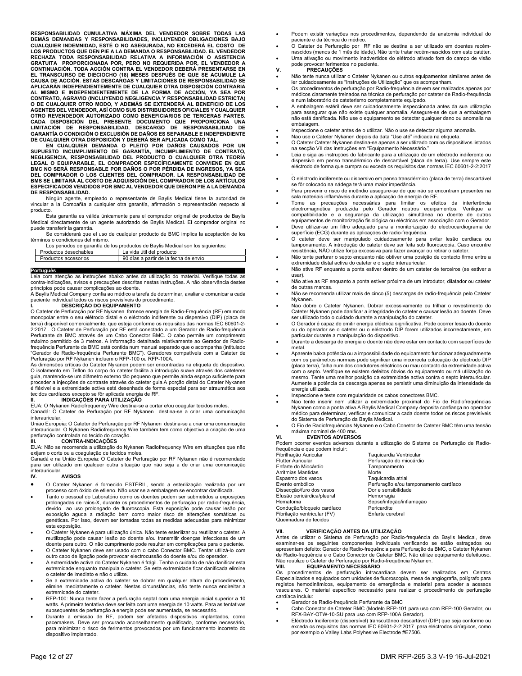**RESPONSABILIDAD CUMULATIVA MÁXIMA DEL VENDEDOR SOBRE TODAS LAS**  DEMAS DEMANDAS Y RESPONSABILIDADES, INCLUYENDO OBLIGACIONES BAJO<br>CUALQUIER INDEMNIDAD, ESTÉ O NO ASEGURADA, NO EXCEDERÁ EL COSTO DE<br>LOS PRODUCTOS QUE DEN PIE A LA DEMANDA O RESPONSABILIDAD. EL VENDEDOR<br>RECHAZA TODA RESPONS **GRATUITA PROPORCIONADA POR, PERO NO REQUERIDA POR, EL VENDEDOR A CONTINUACIÓN. TODA ACCIÓN CONTRA EL VENDEDOR DEBERÁ PRESENTARSE EN EL TRANSCURSO DE DIECIOCHO (18) MESES DESPUÉS DE QUE SE ACUMULE LA CAUSA DE ACCIÓN. ESTAS DESCARGAS Y LIMITACIONES DE RESPONSABILIDAD SE APLICARÁN INDEPENDIENTEMENTE DE CUALQUIER OTRA DISPOSICIÓN CONTRARIA AL MISMO E INDEPENDIENTEMENTE DE LA FORMA DE ACCIÓN, YA SEA POR**  CONTRATO, AGRAVIO (INCLUYENDO NEGLIGENCIA Y RESPONSABILIDAD ESTRICTA)<br>O DE CUALQUIER OTRO MODO, Y ADEMÁS SE EXTENDERÁ AL BENEFICIO DE LOS<br>AGENTES DEL VENDEDOR, ASÍ COMO SUS DISTRIBUIDORES OFICIALES Y CUALQUIER<br>OTRO REVENDE **CADA DISPOSICIÓN DEL PRESENTE DOCUMENTO QUE PROPORCIONA UNA LIMITACIÓN DE RESPONSABILIDAD, DESCARGO DE RESPONSABILIDAD DE GARANTÍA O CONDICIÓN O EXCLUSIÓN DE DAÑOS ES SEPARABLE E INDEPENDIENTE** 

**DE CUALQUIER OTRA DISPOSICIÓN Y DEBERÁ SER APLICADA COMO TAL. EN CUALQUIER DEMANDA O PLEITO POR DAÑOS CAUSADOS POR UN SUPUESTO INCUMPLIMIENTO DE GARANTÍA, INCUMPLIMIENTO DE CONTRATO, NEGLIGENCIA, RESPONSABILIDAD DEL PRODUCTO O CUALQUIER OTRA TEORÍA LEGAL O EQUIPARABLE, EL COMPRADOR ESPECÍFICAMENTE CONVIENE EN QUE BMC NO SERÁ RESPONSABLE POR DAÑOS O POR PÉRDIDA DE INGRESOS, YA SEA DEL COMPRADOR O LOS CLIENTES DEL COMPRADOR. LA RESPONSABILIDAD DE BMS SE LIMITARÁ AL COSTO DE ADQUISICIÓN DEL COMPRADOR DE LOS ARTÍCULOS ESPECIFICADOS VENDIDOS POR BMC AL VENDEDOR QUE DIERON PIE A LA DEMANDA DE RESPONSABILIDAD.** 

 Ningún agente, empleado o representante de Baylis Medical tiene la autoridad de vincular a la Compañía a cualquier otra garantía, afirmación o representación respecto al producto.

 Esta garantía es válida únicamente para el comprador original de productos de Baylis Medical directamente de un agente autorizado de Baylis Medical. El comprador original no puede transferir la garantía.

 Se considerará que el uso de cualquier producto de BMC implica la aceptación de los términos o condiciones del mismo.

Los periodos de garantía de los productos de Baylis Medical son los siguientes:

| Productos desechables | La vida útil del producto             |
|-----------------------|---------------------------------------|
| Productos accesorios  | 90 días a partir de la fecha de envío |

#### **Português\_\_\_\_\_\_\_\_\_\_\_\_\_\_\_\_\_\_\_\_ \_\_\_\_\_\_\_\_\_\_**

Leia com atenção as instruções abaixo antes da utilização do material. Verifique todas as contra-indicações, avisos e precauções descritas nestas instruções. A não observância destes princípios pode causar complicações ao doente.

A Baylis Medical Company confia ao médico a tarefa de determinar, avaliar e comunicar a cada paciente individual todos os riscos previsíveis do procedimento.

## **I. DESCRIÇÃO DO EQUIPAMENTO**

O Cateter de Perfuração por RF Nykanen fornece energia de Radio-Frequência (RF) em modo monopolar entre o seu elétrodo distal e o eléctrodo indiferente ou dispersivo (DIP) (placa de terra) disponível comercialmente, que esteja conforme os requisitos das normas IEC 60601-2- 2:2017 . O Cateter de Perfuração por RF está conectado a um Gerador de Radio-frequência Perfurante da BMC através de um Cabo Conector BMC. O cabo permite um comprimento máximo permitido de 3 metros. A informação detalhada relativamente ao Gerador de Radio-frequência Perfurante da BMC está contida num manual separado que o acompanha (intitulado "Gerador de Radio-frequência Perfurante BMC"). Geradores compatíveis com a Cateter de Perfuração por RF Nykanen incluem o RFP-100 ou RFP-100A.

As dimensões críticas do Cateter Nykanen podem ser encontradas na etiqueta do dispositivo. O isolamento em Teflon do corpo do cateter facilita a introdução suave através dos cateteres guia, mantendo-se um diâmetro externo tão pequeno que permite ainda espaço suficiente para proceder a injecções de contraste através do cateter guia.A porção distal do Cateter Nykanen é fléxivel e a extremidade activa está desenhada de forma especial para ser atraumática aos tecidos cardíacos excepto se fôr aplicada energia de RF.

**II. INDICAÇÕES PARA UTILIZAÇÂO**<br>EUA: O Nykanen Radiofrequency Wire destina-se a cortar e/ou coagular tecidos moles.

Canadá: O Cateter de Perfuração por RF Nykanen destina-se a criar uma comunicação interauricular.

União Europeia: O Cateter de Perfuração por RF Nykanen destina-se a criar uma comunicação interauricular. O Nykanen Radiofrequency Wire também tem como objectivo a criação de uma perfuração controlada no tecido do coração.

## **III. CONTRA-INDICAÇÕES**

EUA: Não se recomenda a utilização do Nykanen Radiofrequency Wire em situações que não exijam o corte ou a coagulação de tecidos moles.

Canadá e na União Europeia: O Cateter de Perfuração por RF Nykanen não é recomendado para ser utilizado em qualquer outra situação que não seja a de criar uma comunicação

#### interauricular.<br>IV. **IV. AVISOS**

- O Cateter Nykanen é fornecido ESTÉRIL, sendo a esterilização realizada por um processo com óxido de etileno. Não usar se a embalagem se encontrar danificada.
- Tanto o pessoal do Laboratório como os doentes podem ser submetidos a exposições prolongadas de raios-X, durante os procedimentos de perfuração por radio-frequência, devido ao uso prolongado de fluoroscopia. Esta exposição pode causar lesão por exposição aguda a radiação bem como maior risco de alterações somáticas ou genéticas. Por isso, devem ser tomadas todas as medidas adequadas para minimizar esta exposição.
- O Cateter Nykanen é para utilização única. Não tente esterilizar ou reutilizar o cateter. A reutilização pode causar lesão ao doente e/ou transmitir doenças infecciosas de um doente para outro. O não cumprimento pode resultar em complicações para o paciente. O Cateter Nykanen deve ser usado com o cabo Conector BMC. Tentar utilizá-lo com
- outro cabo de ligação pode provocar electrocussão do doente e/ou do operador. A extremidade activa do Cateter Nykanen é frágil. Tenha o cuidado de não danificar esta
- extremidade enquanto manipula o cateter. Se esta extremidade ficar danificada elimine o cateter de imediato e não o utilize.
- Se a extremidade activa do cateter se dobrar em qualquer altura do procedimento, elimine imediatamente o cateter. Nestas circunstâncias, não tente nunca endireitar a extremidade do cateter.
- RFP-100: Nunca tente fazer a perfuração septal com uma energia inicial superior a 10 watts. A primeira tentativa deve ser feita com uma energia de 10 watts. Para as tentativas subsequentes de perfuração a energia pode ser aumentada, se necessário.
- Durante a emissão de RF, podem ser afetados dispositivos implantados, como pacemakers. Deve ser procurado aconselhamento qualificado, conforme necessário, para minimizar o risco de ferimentos provocados por um funcionamento incorreto do dispositivo implantado.
- Podem existir variações nos procedimentos, dependendo da anatomia individual do paciente e da técnica do médico.
- O Cateter de Perfuração por RF não se destina a ser utilizado em doentes recém-nascidos (menos de 1 mês de idade). Não tente tratar recém-nascidos com este catéter.
	- Uma ativação ou movimento inadvertidos do elétrodo ativado fora do campo de visão pode provocar ferimentos no paciente.
- **V. PRECAUÇÕES**
- Não tente nunca utilizar o Cateter Nykanen ou outros equipamentos similares antes de ler cuidadosamente as "Instruções de Utilização" que os acompanham.
- Os procedimentos de perfuração por Radio-frequência devem ser realizados apenas por médicos claramente treinados na técnica de perfuração por cateter de Radio-frequência e num laboratório de cateterismo completamente equipado.
- A embalagem estéril deve ser cuidadosamente inspeccionada antes da sua utilização para assegurar que não existe qualquer anomalia. Assegure-se de que a embalagem não está danificada. Não use o equipamento se detectar qualquer dano ou anomalia na embalagem.
- Inspeccione o cateter antes de o utilizar. Não o use se detectar alguma anomalia.
- Não use o Cateter Nykanen depois da data "Use até" indicada na etiqueta.
- O Cateter Cateter Nykanen destina-se apenas a ser utilizado com os dispositivos listados na secção VII das Instruções em "Equipamento Necessário."
- Leia e siga as instruções do fabricante para a utilização de um eléctrodo indiferente ou dispersivo em penso transdérmico de descartável (placa de terra). Use sempre este eléctrodo de forma que cumpra ou exceda os requisitos das normas IEC 60601-2-2:2017 .
- O eléctrodo indiferente ou dispersivo em penso transdérmico (placa de terra) descartável se fôr colocado na nádega terá uma maior impedância.
- Para prevenir o risco de incêndio assegure-se de que não se encontram presentes na sala materiais inflamáveis durante a aplicação de energia de RF.
- Tome as precauções necessárias para limitar os efeitos da interferência electromagnética produzida pelo Gerador noutros equipamentos. Verifique a compatibilidade e a segurança da utilização simultânea no doente de outros equipamentos de monitorização fisiológica ou eléctricos em associação com o Gerador.
- Deve utilizar-se um filtro adequado para a monitorização do electrocardiograma de superfície (ECG) durante as aplicações de radio-frequência.
- O cateter deve ser manipulado cuidadosamente para evitar lesão cardíaca ou tamponamento. A introdução do cateter deve ser feita sob fluoroscopia. Caso encontre resistência, NÃO utilize força excessiva para fazer avançar ou retirar o cateter.
- Não tente perfurar o septo enquanto não obtiver uma posição de contacto firme entre a extremidade distal activa do cateter e o septo interauricular.
- Não ative RF enquanto a ponta estiver dentro de um cateter de terceiros (se estiver a usar).
- Não ative as RF enquanto a ponta estiver próxima de um introdutor, dilatador ou cateter de outras marcas.
- Não se recomenda utilizar mais de cinco (5) descargas de radio-frequência pelo Cateter Nykanen.
- Não dobre o Cateter Nykanen. Dobrar excessivamente ou trilhar o revestimento do Cateter Nykanen pode danificar a integridade do cateter e causar lesão ao doente. Deve ser utilizado todo o cuidado durante a manipulação do cateter.
- O Gerador é capaz de emitir energia eléctrica significativa. Pode ocorrer lesão do doente ou do operador se o cateter ou o eléctrodo DIP forem utilizados incorrectamente, em particular durante a manipulação do dispositivo.
- Durante a descarga de energia o doente não deve estar em contacto com superfícies de metal.
- Aparente baixa potência ou a impossibilidade do equipamento funcionar adequadamente com os parâmetros normais pode significar uma incorrecta colocação do eléctrodo DIP (placa terra), falha num dos condutores eléctricos ou mau contacto da extremidade activa com o septo. Verifique se existem defeitos óbvios do equipamento ou má utilização do mesmo. Tente uma melhor posição da extremidade activa contra o septo interauricular. Aumente a potência da descarga apenas se persistir uma diminuição da intensidade da energia utilizada.
- Inspeccione e teste com regularidade os cabos conectores BMC.
- Não tente inserir nem utilizar a extremidade proximal do Fio de Radiofrequências Nykanen como a ponta ativa.A Baylis Medical Company deposita confiança no operador médico para determinar, verificar e comunicar a cada doente todos os riscos previsíveis do Sistema de Perfuração da Baylis Medical.
- O Fio de Radiofrequências Nykanen e o Cabo Conetor de Cateter BMC têm uma tensão máxima nominal de 400 rms.

## **VI. EVENTOS ADVERSOS**

Podem ocorrer eventos adversos durante a utilização do Sistema de Perfuração de Radio-frequência e que podem incluir:

| Taquicardia Ventricular               |
|---------------------------------------|
| Perfuração do miocárdio               |
| Tamponamento                          |
| Morte                                 |
| Taquicardia atrial                    |
| Perfuração e/ou tamponamento cardíaco |
| Dor e sensibilidade                   |
| Hemorragia                            |
| Sepse/infeção/inflamação              |
| Pericardite                           |
| Enfarte cerebral                      |
|                                       |
|                                       |

#### **VII. VERIFICAÇÃO ANTES DA UTILIZAÇÃO**

Antes de utilizar o Sistema de Perfuração por Radio-frequência da Baylis Medical, deve examinar-se os seguintes componentes individuais verificando se estão estragados ou apresentam defeito: Gerador de Radio-frequência para Perfuração da BMC, o Cateter Nykanen de Radio-frequência e o Cabo Conector de Cateter BMC. Não utilize equipamento defeituoso. Não reutilize o Cateter de Perfuração por Radio-frequência Nykanen. **VIII. EQUIPAMENTO NECESSÁRIO** 

Os procedimentos de perfuração intracardíaca devem ser realizados em Centros Especializados e equipados com unidades de fluoroscopia, mesa de angiografia, polígrafo para registos hemodinâmicos, equipamento de emergência e material para aceder a acessos vasculares. O material específico necessário para realizar o procedimento de perfuração cardíaca incluiu:

- Gerador de Radio-frequência Perfurante da BMC
- Cabo Conector de Cateter BMC (Modelo RFP-101 para uso com RFP-100 Gerador, ou RFX-BAY-OTW-10-SU para uso com RFP-100A Gerador).
- Eléctrodo Indiferente (dispersível) transcutâneo descartável (DIP) que seja conforme ou exceda os requisitos das normas IEC 60601-2-2:2017 para eléctrodos cirúrgicos, como por exemplo o Valley Labs Polyhesive Electrode #E7506.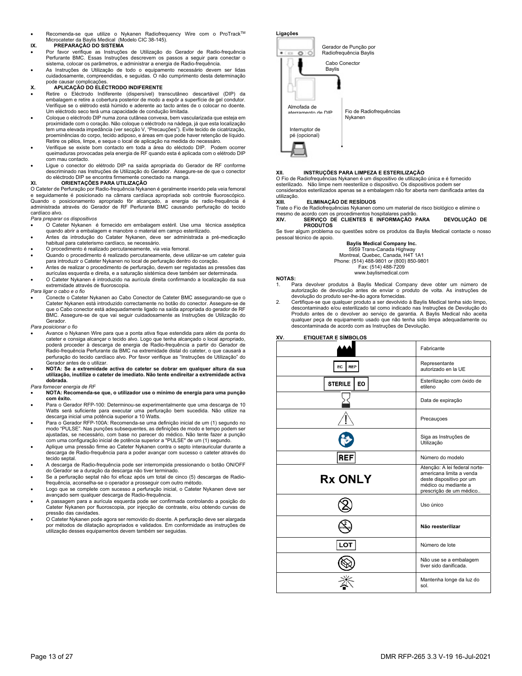Recomenda-se que utilize o Nykanen Radiofrequency Wire com o ProTrack™ Microcateter da Baylis Medical (Modelo CIC 38-145).

## **IX. PREPARAÇÃO DO SISTEMA**

- Por favor verifique as Instruções de Utilização do Gerador de Radio-frequência Perfurante BMC. Essas Instruções descrevem os passos a seguir para conectar o sistema, colocar os parâmetros, e administrar a energia de Radio-frequência.
- As Instruções de Utilização de todo o equipamento necessário devem ser lidas cuidadosamente, compreendidas, e seguidas. O não cumprimento desta determinação pode causar complicações.

## **X. APLICAÇÃO DO ELÉCTRODO INDIFERENTE**

- Retire o Eléctrodo Indiferente (dispersível) transcutâneo descartável (DIP) da embalagem e retire a cobertura posterior de modo a expôr a superfície de gel condutor. Verifique se o elétrodo está húmido e aderente ao tacto antes de o colocar no doente. Um eléctrodo seco terá uma capacidade de condução limitada.
- Coloque o eléctrodo DIP numa zona cutânea convexa, bem vascularizada que esteja em proximidade com o coração. Não coloque o eléctrodo na nádega, já que esta localização tem uma elevada impedância (ver secção V, "Precauções"). Evite tecido de cicatrização, proeminências do corpo, tecido adiposo, e áreas em que pode haver retenção de líquido. Retire os pêlos, limpe, e seque o local de aplicação na medida do necessáro.
- Verifique se existe bom contacto em toda a área do eléctodo DIP. Podem ocorrer queimaduras provocadas pela energia de RF quando esta é aplicada com o elétrodo DIP com mau contacto.
- Ligue o conector do elétrodo DIP na saída apropriada do Gerador de RF conforme descriminado nas Instruções de Utilização do Gerador. Assegure-se de que o conector do eléctrodo DIP se encontra firmemente conectado na manga.

## **XI. ORIENTAÇÕES PARA UTILIZAÇÃO**

O Cateter de Perfuração por Radio-frequência Nykanen é geralmente inserido pela veia femoral e seguidamente é posicionado na câmara cardíaca apropriada sob controle fluoroscópico. Quando o posicionamento apropriado fôr alcançado, a energia de radio-frequência é administrada através do Gerador de RF Perfurante BMC causando perfuração do tecido cardíaco alvo.

#### *Para preparar os dispositivos*

- O Cateter Nykanen é fornecido em embalagem estéril. Use uma técnica asséptica quando abrir a embalagem e manobre o material em campo esterilizado.
- Antes da introdução do Catater Nykanen, deve ser administrada a pré-medicação habitual para cateterismo cardíaco, se necessário.
- O procedimento é realizado percutaneamente, via veia femoral.
- Quando o procedimento é realizado percutaneamente, deve utilizar-se um cateter guia para introduzir o Cateter Nykanen no local de perfuração dentro do coração.
- Antes de realizar o procedimento de perfuração, devem ser registadas as pressões das aurículas esquerda e direita, e a saturação sistémica deve também ser determinada.
- O Cateter Nykanen é introduzido na aurícula direita confirmando a localização da sua extremidade através de fluoroscopia.

#### *Para ligar o cabo e o fio*

 Conecte o Cateter Nykanen ao Cabo Conector de Cateter BMC assegurando-se que o Cateter Nykanen está introduzido correctamente no botão do conector. Assegure-se de que o Cabo conector está adequadamente ligado na saída apropriada do gerador de RF BMC. Assegure-se de que vai seguir cuidadosamente as Instruções de Utilização do Gerador.

#### *Para posicionar o fio*

- Avance o Nykanen Wire para que a ponta ativa fique estendida para além da ponta do cateter e consiga alcançar o tecido alvo. Logo que tenha alcançado o local apropriado, poderá proceder à descarga de energia de Radio-frequência a partir do Gerador de Radio-frequência Perfurante da BMC na extremidade distal do cateter, o que causará a perfuração do tecido cardíaco alvo. Por favor verifique as "Instruções de Utilização" do Gerador antes de o utilizar.
- **NOTA: Se a extremidade activa do cateter se dobrar em qualquer altura da sua utilização, inutilize o cateter de imediato. Não tente endireitar a extremidade activa dobrada.**

#### *Para fornecer energia de RF*

- **NOTA: Recomenda-se que, o utilizador use o mínimo de energia para uma punção com êxito.**
- Para o Gerador RFP-100: Determinou-se experimentalmente que uma descarga de 10 Watts será suficiente para executar uma perfuração bem sucedida. Não utilize na descarga inicial uma potência superior a 10 Watts.
- Para o Gerador RFP-100A: Recomenda-se uma definição inicial de um (1) segundo no modo "PULSE". Nas punções subsequentes, as definições de modo e tempo podem ser ajustadas, se necessário, com base no parecer do médico. Não tente fazer a punção com uma configuração inicial de potência superior a "PULSE" de um (1) segundo.
- Aplique uma pressão firme ao Cateter Nykanen contra o septo interauricular durante a descarga de Radio-frequência para a poder avançar com sucesso o cateter através do tecido septal.
- A descarga de Radio-frequência pode ser interrompida pressionando o botão ON/OFF do Gerador se a duração da descarga não tiver terminado.
- Se a perfuração septal não foi eficaz após um total de cinco (5) descargas de Radiofrequência, aconselha-se o operador a prosseguir com outro método.
- Logo que se complete com sucesso a perfuração inicial, o Cateter Nykanen deve ser avançado sem qualquer descarga de Radio-frequência.
- A passagem para a aurícula esquerda pode ser confirmada controlando a posição do Cateter Nykanen por fluoroscopia, por injecção de contraste, e/ou obtendo curvas de pressão das cavidades.
- O Cateter Nykanen pode agora ser removido do doente. A perfuração deve ser alargada por métodos de dilatação apropriados e validados. Em conformidade as instruções de utilização desses equipamentos devem também ser seguidas.



#### **XII. INSTRUÇÕES PARA LIMPEZA E ESTERILIZAÇÃO**

O Fio de Radiofrequências Nykanen é um dispositivo de utilização única e é fornecido esterilizado. Não limpe nem reesterilize o dispositivo. Os dispositivos podem se considerados esterilizados apenas se a embalagem não for aberta nem danificada antes da utilização.

#### **XIII. ELIMINAÇÃO DE RESÍDUOS**

Trate o Fio de Radiofrequências Nykanen como um material de risco biológico e elimine o

mesmo de acordo com os procedimentos hospitalares padrão. **XIV. SERVIÇO DE CLIENTES E INFORMAÇÃO PARA DEVOLUÇÃO DE PRODUTOS** 

Se tiver algum problema ou questões sobre os produtos da Baylis Medical contacte o nosso pessoal técnico de apoio.

**Baylis Medical Company Inc.** 

 5959 Trans-Canada Highway Montreal, Quebec, Canada, H4T 1A1 Phone: (514) 488-9801 or (800) 850-9801

Fax: (514) 488-7209 www.baylismedical.com

#### **NOTAS:**

- 1. Para devolver produtos à Baylis Medical Company deve obter um número de autorização de devolução antes de enviar o produto de volta. As instruções de devolução do produto ser-lhe-ão agora fornecidas.
- Certifique-se que qualquer produto a ser devolvido à Baylis Medical tenha sido limpo, descontaminado e/ou esterilizado tal como indicado nas Instruções de Devolução do Produto antes de o devolver ao serviço de garantia. A Baylis Medical não aceita qualquer peça de equipamento usado que não tenha sido limpa adequadamente ou descontaminada de acordo com as Instruções de Devolução.

|                             | Fabricante                                                                                                                               |
|-----------------------------|------------------------------------------------------------------------------------------------------------------------------------------|
| <b>REP</b><br>EС            | Representante<br>autorizado en la UE                                                                                                     |
| <b>STERILE</b><br><b>EO</b> | Esterilização com óxido de<br>etileno                                                                                                    |
|                             | Data de expiração                                                                                                                        |
|                             | Precauçoes                                                                                                                               |
|                             | Siga as Instruções de<br>Utilização                                                                                                      |
| <b>REF</b>                  | Número do modelo                                                                                                                         |
| <b>Rx ONLY</b>              | Atenção: A lei federal norte-<br>americana limita a venda<br>deste dispositivo por um<br>médico ou mediante a<br>prescrição de um médico |
|                             | Uso único                                                                                                                                |
|                             | Não reesterilizar                                                                                                                        |
| LOT                         | Número de lote                                                                                                                           |
|                             | Não use se a embalagem<br>tiver sido danificada.                                                                                         |
|                             | Mantenha longe da luz do<br>sol.                                                                                                         |

# **XV. ETIQUETAR E SÍMBOLOS**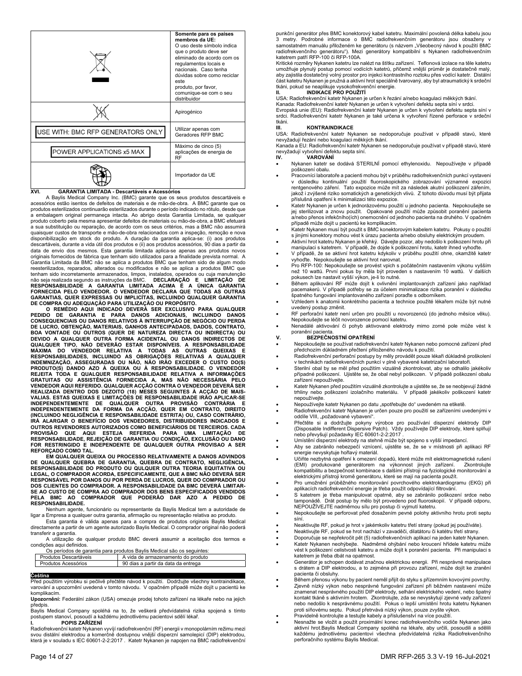|                                   | Somente para os países<br>membros da UE:<br>O uso deste símbolo indica<br>que o produto deve ser<br>eliminado de acordo com os<br>regulamentos locais e<br>nacionais. Caso tenha<br>dúvidas sobre como reciclar<br>este<br>produto, por favor,<br>comunique-se com o seu<br>distribuidor |
|-----------------------------------|------------------------------------------------------------------------------------------------------------------------------------------------------------------------------------------------------------------------------------------------------------------------------------------|
|                                   | Apirogénico                                                                                                                                                                                                                                                                              |
| USE WITH: BMC RFP GENERATORS ONLY | Utilizar apenas com<br>Geradores RFP BMC                                                                                                                                                                                                                                                 |
| POWER APPLICATIONS x5 MAX         | Máximo de cinco (5)<br>aplicações de energia de<br><b>RF</b>                                                                                                                                                                                                                             |
|                                   | Importador da UE                                                                                                                                                                                                                                                                         |

## **XVI. GARANTIA LIMITADA - Descartáveis e Acessórios**

 A Baylis Medical Company Inc. (BMC) garante que os seus produtos descartáveis e acessórios estão isentos de defeitos de materiais e de mão-de-obra. A BMC garante que os produtos esterilizados continuarão esterilizados durante o período indicado no rótulo, desde que a embalagem original permaneça intacta. Ao abrigo desta Garantia Limitada, se qualquer produto coberto pela mesma apresentar defeitos de materiais ou mão-de-obra, a BMC efetuará a sua substituição ou reparação, de acordo com os seus critérios, mas a BMC não assumirá quaisquer custos de transporte e mão-de-obra relacionados com a inspeção, remoção e nova disponibilização em stock do produto. A duração da garantia aplica-se: (i) aos produtos descartáveis, durante a vida útil dos produtos e (ii) aos produtos acessórios, 90 dias a partir da data de envio dos mesmos. Esta garantia limitada aplica-se apenas aos produtos novos originais fornecidos de fábrica que tenham sido utilizados para a finalidade prevista normal. A Garantia Limitada da BMC não se aplica a produtos BMC que tenham sido de algum modo reesterilizados, reparados, alterados ou modificados e não se aplica a produtos BMC que tenham sido incorretamente armazenados, limpos, instalados, operados ou cuja manutenção não seja realizada segundo as instruções da BMC. **DECLARAÇÃO E LIMITAÇÃO DE**  RESPONSABILIDADE A GARANTIA LIMITADA ACIMA É A ÚNICA GARANTIA<br>FORNECIDA PELO VENDEDOR. O VENDEDOR DECLARA QUE TODAS AS OUTRAS<br>GARANTIAS, QUER EXPRESSAS OU IMPLICÍTAS, INCLUINDO QUALQUER GARANTIA

DE COMPRA OU ADEQUAÇÃO PARA UTILIZAÇÃO OU PROPOSITO.<br>O REMÉDIO AQUI INDICADO DEVERÁ SER EXCLUSIVO PARA QUALQUER<br>PEDIDO DE GARANTIA E PARA DANOS ADICIONAIS, INCLUINDO DANOS<br>CONSEQUENCIAIS OU DANOS RELATIVOS À INTERRUPÇÃO DE **BOA VONTADE OU OUTROS (QUER DE NATUREZA DIRECTA OU INDIRECTA) OU DEVIDO A QUALQUER OUTRA FORMA ACIDENTAL OU DANOS INDIRECTOS DE QUALQUER TIPO, NÃO DEVERÃO ESTAR DISPONÍVEIS. A RESPONSABILIDADE**  MAXIMA DO VENDEDOR RELATIVA A TODAS AS OUTRAS QUEIXAS E<br>RESPONSABILIDADES, INCLUINDO AS OBRIGAÇÕES RELATIVAS A QUALQUER<br>INDEMNIZAÇÃO, ASSEGURADAS OU NÃO, NÃO IRÃO EXCEDER O CUSTO DO(S)<br>PRODUTO(S) DANDO AZO À QUEIXA OU À RE **REJEITA TODA E QUALQUER RESPONSABILIDADE RELATIVA A INFORMAÇÕES GRATUITAS OU ASSISTÊNCIA FORNECIDA A, MAS NÃO NECESSÁRIA PELO VENDEDOR AQUI REFERIDO. QUALQUER ACÇÃO CONTRA O VENDEDOR DEVERÁ SER**  REALIZADA DENTRO DOS DEZOITO (18) MESES SEGUINTES A ACÇÃO DE MAIS-<br>VALIAS. ESTAS QUEIXAS E LIMITAÇÕES DE RESPONSABILIDADE IRÃO APLICAR-SE<br>INDEPENDENTEMENTE DE QUALQUER OUTRA PROVISÃO CONTRÁRIA E **INDEPENDENTEMENTE DA FORMA DA ACÇÃO, QUER EM CONTRATO, DIREITO (INCLUINDO NEGLIGÊNCIA E RESPONSABILIDADE ESTRITA) OU, CASO CONTRÁRIO, IRÁ ALARGAR O BENEFÍCIO DOS VENDEDORES, DISTRIBUIDORES INDICADOS E OUTROS REVENDORES AUTORIZADOS COMO BENEFICIÁRIOS DE TERCEIROS. CADA PROVISÃO QUE AQUI ESTEJA REFERIDA PARA UMA LIMITAÇÃO DE RESPONSABILIDADE, REJEIÇÃO DE GARANTIA OU CONDIÇÃO, EXCLUSÃO OU DANO FOR RESTRINGIDO E INDEPENDENTE DE QUALQUER OUTRA PROVISAO A SER REFORÇADO COMO TAL.** 

**EM QUALQUER QUEIXA OU PROCESSO RELATIVAMENTE A DANOS ADVINDOS DE QUALQUER QUEBRA DE GARANTIA, QUEBRA DE CONTRATO, NEGLIGÊNCIA, RESPONSABILIDADE DO PRODUTO OU QULQUER OUTRA TEORIA EQUITATIVA OU LEGAL, O COMPRADOR ACORDA, ESPECIFICAMENTE, QUE A BMC NÃO DEVERÁ SER RESPONSÁVEL POR DANOS OU POR PERDA DE LUCROS, QUER DO COMPRADOR OU DOS CLIENTES DO COMPRADOR. A RESPONSABILIDADE DA BMC DEVERÁ LIMITAR-SE AO CUSTO DE COMPRA AO COMPRADOR DOS BENS ESPECIFICADOS VENDIDOS PELA BMC AO COMPRADOR QUE PODERÃO DAR AZO A PEDIDO DE RESPONSABILIDADE.**

 Nenhum agente, funcionário ou representante da Baylis Medical tem a autoridade de ligar a Empresa a qualquer outra garantia, afirmação ou representação relativa ao produto.

 Esta garantia é válida apenas para a compra de produtos originais Baylis Medical directamente a partir de um agente autorizado Baylis Medical. O comprador original não poderá transferir a garantia.

 A utilização de qualquer produto BMC deverá assumir a aceitação dos termos e condições aqui definidos.

| Os períodos de garantia para produtos Baylis Medical são os seguintes: |                       |                                     |
|------------------------------------------------------------------------|-----------------------|-------------------------------------|
|                                                                        | Produtos Descartáveis | A vida de armazenamento do produto  |
|                                                                        | Produtos Acessórios   | 90 dias a partir da data da entrega |

**Čeština**<br>Před použitím výrobku si pečlivě přečtěte návod k použití. Dodržujte všechny kontraindikace, varování a upozornění uvedená v tomto návodu. V opačném případě může dojít u pacientů ke komplikacím.

**Upozornění:** Federální zákon (USA) omezuje prodej tohoto zařízení na lékaře nebo na jejich předpis. Baylis Medical Company spoléhá na to, že veškerá předvídatelná rizika spojená s tímto

postupem stanoví, posoudí a každému jednotlivému pacientovi sdělí lékař. **I. POPIS ZAŘÍZENÍ** 

Radiofrekvenční katetr Nykanen vyvíjí radiofrekvenční (RF) energii v monopolárním režimu mezi svou distální elektrodou a komerčně dostupnou vnější disperzní samolepicí (DIP) elektrodou, která je v souladu s IEC 60601-2-2:2017 . Katetr Nykanen je napojen na BMC radiofrekvenční punkční generátor přes BMC konektorový kabel katetru. Maximální povolená délka kabelu jsou<br>3 metry. Podrobné informace o BMC radiofrekvenčním generátoru jsou obsaženy v<br>samostatném manuálu přiloženém ke ge radiofrekvenčního generátoru"). Mezi generátory kompatibilní s Nykanen radiofrekvenčním katetrem patří RFP-100 či RFP-100A.

Kritické rozměry Nykanen katetru lze nalézt na štítku zařízení. Teflonová izolace na těle katetru umožňuje plynulý postup pomocí vodících katetrů, přičemž vnější průměr je dostatečně malý, aby zajistila dostatečný volný prostor pro injekci kontrastního roztoku přes vodící katetr. Distální část katetru Nykanen je pružná a aktivní hrot speciálně tvarovaný, aby byl atraumatický k srdeční tkáni, pokud se neaplikuje vysokofrekvenční energie.

## **II. INDIKACE PRO POUŽITÍ**

USA: Radiofrekvenční katetr Nykanen je určen k řezání a/nebo koagulaci měkkých tkání. Kanada: Radiofrekvenční katetr Nykanen je určen k vytvoření defektu septa síní v srdci. Evropská unie (EU): Radiofrekvenční katetr Nykanen je určen k vytvoření defektu septa síní v srdci. Radiofrekvenční katetr Nykanen je také určena k vytvoření řízené perforace v srdeční

#### tkáni.<br>III. **III. KONTRAINDIKACE**

USA: Radiofrekvenční katetr Nykanen se nedoporučuje používat v případě stavů, které nevyžadují řezání nebo koagulaci měkkých tkání.

Kanada a EU: Radiofrekvenční katetr Nykanen se nedoporučuje používat v případě stavů, které nevyžadují vytvoření defektu septa síní.<br>IV. VAROVÁNÍ

#### **IV. VAROVÁNÍ**

- Nykanen katetr se dodává STERILNÍ pomocí ethylenoxidu. Nepoužívejte v případě poškození obalu.
- Pracovníci laboratoře a pacienti mohou být v průběhu radiofrekvenčních punkcí vystaveni v důsledku kontinuální použití fluoroskopického zobrazování významné expozici rentgenového záření. Tato expozice může mít za následek akutní poškození zářením, jakož i zvýšené riziko somatických a genetických vlivů. Z tohoto důvodu musí být přijata příslušná opatření k minimalizaci této expozice.
- .<br>Katetr Nykanen je určen k jednorázovému použití u jednoho pacienta. Nepokoušejte se jej sterilizovat a znovu použít. Opakované použití může způsobit poranění pacienta a/nebo přenos infekčního(ích) onemocnění od jednoho pacienta na druhého. V opačném případě může dojít u pacientů ke komplikacím.
- .<br>Katetr Nykanen musí být použit s BMC konektorovým kabelem katetru. Pokusy o použití s jinými konektory mohou vést k úrazu pacienta a/nebo obsluhy elektrickým proudem.
- Aktivní hrot katetru Nykanen je křehký. Dávejte pozor, aby nedošlo k poškození hrotu při manipulaci s katetrem. V případě, že dojde k poškození hrotu, katetr ihned vyhoďte.
- V případě, že se aktivní hrot katetru kdykoliv v průběhu použití ohne, okamžitě katetr vyhoďte. Nepokoušejte se aktivní hrot narovnat.
- Pro RFP-100: Nepokoušejte se provést vpich s počátečním nastavením výkonu vyšším než 10 wattů. První pokus by měla být proveden s nastavením 10 wattů. V dalších pokusech lze nastavit vyšší výkon, je-li to nutné.
- Během aplikování RF může dojít k ovlivnění implantovaných zařízení jako například pacemakerů. V případě potřeby se za účelem minimalizace rizika poranění v důsledku špatného fungování implantovaného zařízení poraďte s odborníkem.
- Vzhledem k anatomii konkrétního pacienta a technice použité lékařem může být nutné
- uvedený postup změnit. RF perforační katetr není určen pro použití u novorozenců (do jednoho měsíce věku). Nepokoušejte se léčit novorozence pomocí katetru.
- Nenadálé aktivování či pohyb aktivované elektrody mimo zorné pole může vést k poranění pacienta.

## **V. BEZPEČNOSTNÍ OPATŘENÍ**

 Nepokoušejte se používat radiofrekvenční katetr Nykanen nebo pomocné zařízení před předchozím důkladném přečtení přiloženého návodu k použití.

- Radiofrekvenční perforační postupy by měly provádět pouze lékaři důkladně proškolení v technikách radiofrekvenčních punkcí v plně vybavené katetrizační laboratoři. Sterilní obal by se měl před použitím vizuálně zkontrolovat, aby se odhalilo jakékoliv
- případné poškození. Ujistěte se, že obal nebyl poškozen. V případě poškození obalu zařízení nepoužívejte.
- Katetr Nykanen před použitím vizuálně zkontrolujte a ujistěte se, že se neobjevují žádné trhliny nebo poškození izolačního materiálu. V případě jakékoliv poškození katetr nepoužívejte.
- Nepoužívejte katetr Nykanen po datu "spotřebujte do" uvedeném na etiketě.
- Radiofrekvenční katetr Nykanen je určen pouze pro použití se zařízeními uvedenými v oddíle VIII, "požadované vybavení".
- Přečtěte si a dodržujte pokyny výrobce pro používání disperzní elektrody DIP (Disposable Indifferent Dispersive Patch). Vždy používejte DIP elektrody, které splňují nebo převyšují požadavky IEC 60601-2-2:2017 .
- Umístění disperzní elektrody na stehně může být spojeno s vyšší impedancí.
- Aby se zabránilo nebezpečí vznícení, ujistěte se, že se v místnosti při aplikaci RF energie nevyskytuje hořlavý materiál.
- Učiňte nezbytná opatření k omezení dopadů, které může mít elektromagnetické rušení (EMI) produkované generátorem na výkonnost jiných zařízení. Zkontrolujte kompatibilitu a bezpečnost kombinace s dalšími přístroji na fyziologické monitorování a
- elektrickými přístroji kromě generátoru, které se mají na pacienta použít. Pro umožnění průběžného monitorování povrchového elektrokardiogramu (EKG) při aplikacích radiofrekvenční energie je třeba použít odpovídající filtrování.
- S katetrem je třeba manipulovat opatrně, aby se zabránilo poškození srdce nebo tamponádě. Drát postup by mělo být provedeno pod fluoroskopií. V případě odporu, NEPOUŽÍVEJTE nadměrnou sílu pro postup či vyjmutí katetru.
- Nepokoušejte se perforovat před dosažením pevné polohy aktivního hrotu proti septu síní.
- Neaktivujte RF, pokud je hrot v jakémkoliv katetru třetí strany (pokud jej používáte).
- Neaktivujte RF, pokud se hrot nachází v zavaděči, dilatátoru či katétru třetí strany.
- Doporučuje se nepřekročit pět (5) radiofrekvenčních aplikací na jeden katetr Nykanen.
- Katetr Nykanen neohýbejte. Nadměrné ohýbání nebo kroucení hřídele katetru může vést k poškození celistvosti katetru a může dojít k poranění pacienta. Při manipulaci s katetrem je třeba dbát na opatrnost.
- Generátor je schopen dodávat značnou elektrickou energii. Při nesprávné manipulace s drátem a DIP elektrodou, a to zejména při provozu zařízení, může dojít ke zranění pacienta či obsluhy.
- Během přenosu výkonu by pacient neměl přijít do styku s přízemním kovovými povrchy.
- Zjevně nízký výkon nebo nesprávné fungování zařízení při běžném nastavení může znamenat nesprávného použití DIP elektrody, selhání elektrického vedení, nebo špatný kontakt tkáně s aktivním hrotem. Zkontrolujte, zda se nevyskytují zjevné vady zařízení nebo nedošlo k nesprávnému použití. Pokus o lepší umístění hrotu katetru Nykanen proti síňovému septu. Pokud přetrvává nízký výkon, pouze zvyšte výkon.
- Pravidelně kontrolujte a testujte kabely a příslušenství na více použití.
- Nesnažte se vložit a použít proximální konec radiofrekvenčního vodiče Nykanen jako aktivní hrot.Baylis Medical Company spoléhá na lékaře, aby určili, posoudili a sdělili každému jednotlivému pacientovi všechna předvídatelná rizika Radiofrekvenčního perforačního systému Baylis Medical.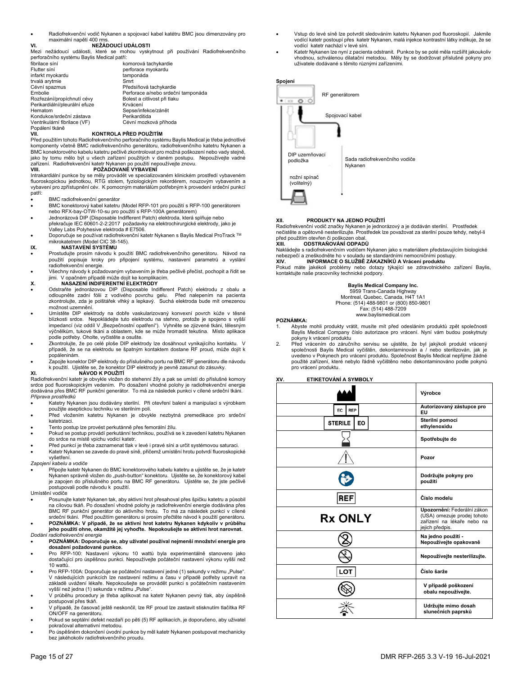Radiofrekvenční vodič Nykanen a spojovací kabel katétru BMC jsou dimenzovány pro maximální napětí 400 rm

## **VI. NEŽÁDOUCÍ UDÁLOSTI**

Mezi nežádoucí události, které se mohou vyskytnout při používání Radiofrekvenčního perforačního systému Baylis Medical patří:

| fibrilace síní                | komorová tachykardie               |
|-------------------------------|------------------------------------|
| Flutter síní                  | perforace myokardu                 |
| infarkt myokardu              | tamponáda                          |
| trvalá arytmie                | Smrt                               |
| Cévní spazmus                 | Předsíňová tachykardie             |
| Embolie                       | Perforace a/nebo srdeční tamponáda |
| Rozřezání/propíchnutí cévy    | Bolest a citlivost při tlaku       |
| Perikardiální/pleurální efuze | Krvácení                           |
| Hematom                       | Sepse/infekce/zánět                |
| Kondukce/srdeční zástava      | Perikarditida                      |
| Ventrikulární fibrilace (VF)  | Cévní mozková příhoda              |
| Popálení tkáně                |                                    |

#### **VII. KONTROLA PŘED POUŽITÍM**

Před použitím tohoto Radiofrekvenčního perforačního systému Baylis Medical je třeba jednotlivé komponenty včetně BMC radiofrekvenčního generátoru, radiofrekvenčního katetru Nykanen a BMC konektorového kabelu katetru pečlivě zkontrolovat pro možná poškození nebo vady stejně, jako by tomu mělo být u všech zařízení použitých v daném postupu. Nepoužívejte vadné zařízení. Radiofrekvenční katetr Nykanen po použití nepoužívejte znovu. **VIII. POŽADOVANÉ VYBAVENÍ** 

Intrakardiální punkce by se měly provádět ve specializovaném klinickém prostředí vybaveném<br>fluoroskopickou jednotkou, RTG stolem, fyziologickým rekordérem, nouzovým vybavením a<br>vybavení pro zpřístupnění cév. K pomocným mat patří:

- BMC radiofrekvenční generátor
- BMC konektorový kabel katetru (Model RFP-101 pro použití s RFP-100 generátorem nebo RFX-bay-OTW-10-su pro použití s RFP-100A generátorem)
- Jednorázová DIP (Disposable Indifferent Patch) elektroda, která splňuje nebo překračuje IEC 60601-2-2:2017 požadavky na elektrochirurgické elektrody, jako je
- .<br>Valley Labs Polyhesive elektroda # E7506. Doporučuje se používat radiofrekvenční katetr Nykanen s Baylis Medical ProTrack TM mikrokatetrem (Model CIC 38-145).

## **IX. NASTAVENÍ SYSTÉMU**

- Prostudujte prosím návodu k použití BMC radiofrekvenčního generátoru. Návod na použití popisuje kroky pro připojení systému, nastavení parametrů a vyslání radiofrekvenční energie.
- Všechny návody k požadovaným vybavením je třeba pečlivě přečíst, pochopit a řídit se jimi. V opačném případě může dojít ke komplikacím.

#### **X. NASAZENÍ INDIFERENTNÍ ELEKTRODY**

- Odstraňte jednorázovou DIP (Disposable Indifferent Patch) elektrodu z obalu a odloupněte zadní fólii z vodivého povrchu gelu. Před nalepením na pacienta<br>zkontrolujte, zda je polštářek vlhký a lepkavý. Suchá elektroda bude mít omezenou možnost uzemnění.
- Umístěte DIP elektrody na dobře vaskularizovaný konvexní povrch kůže v těsné blízkosti srdce. Nepokládejte tuto elektrodu na stehno, protože je spojeno s vyšší impedancí (viz oddíl V "Bezpečnostní opatření"). Vyhněte se zjizvené tkáni, tělesným výčnělkům, tukové tkáni a oblastem, kde se může hromadit tekutina. Místo aplikace podle potřeby. Oholte, vyčistěte a osušte.
- Zkontrolujte, že po celé ploše DIP elektrody lze dosáhnout vynikajícího kontaktu. V případě, že se na elektrodu se špatným kontaktem dostane RF proud, může dojít k popáleninám.
- .<br>Zapojte konektor DIP elektrody do příslušného portu na BMC RF generátoru dle návodu k použití. Ujistěte se, že konektor DIP elektrody je pevně zasunut do zásuvky.

#### **XI. NÁVOD K POUŽITÍ**

Radiofrekvenční katetr je obvykle vložen do stehenní žíly a pak se umístí do příslušné komory srdce pod fluoroskopickým vedením. Po dosažení vhodné polohy je radiofrekvenční energie dodávána přes BMC RF punkční generátor. To má za následek punkci v cílené srdeční tkáni. *Příprava prostředků*

- Katetry Nykanen jsou dodávány sterilní. Při otevření balení a manipulaci s výrobkem použijte aseptickou techniku ve sterilním poli.
- Před vložením katetru Nykanen je obvykle nezbytná premedikace pro srdeční katetrizaci.
- Tento postup lze provést perkutánně přes femorální žílu.
- Pokud se postup provádí perkutánní technikou, používá se k zavedení katetru Nykanen do srdce na místě vpichu vodicí katetr.
- Před punkcí je třeba zaznamenat tlak v levé i pravé síni a určit systémovou saturaci.
- Katetr Nykanen se zavede do pravé síně, přičemž umístění hrotu potvrdí fluoroskopické vyšetření.
- *Zapojení kabelu a vodiče*

 Připojte katetr Nykanen do BMC konektorového kabelu katetru a ujistěte se, že je katetr Nykanen správně vložen do "push-button" konektoru. Ujistěte se, že konektorový kabel je zapojen do příslušného portu na BMC RF generátoru. Ujistěte se, že jste pečlivě postupovali podle návodu k použití.

Umístění vodiče

 Posunujte katetr Nykanen tak, aby aktivní hrot přesahoval přes špičku katetru a působil na cílovou tkáň. Po dosažení vhodné polohy je radiofrekvenční energie dodávána přes BMC RF punkční generátor do aktivního hrotu. To má za následek punkci v cílené srdeční tkáni. Před použitím generátoru si prosím přečtěte návod k použití generátoru. **POZNÁMKA: V případě, že se aktivní hrot katetru Nykanen kdykoliv v průběhu** 

**jeho použití ohne, okamžitě jej vyhoďte. Nepokoušejte se aktivní hrot narovnat.** *Dodání radiofrekvenční energie* 

#### **POZNÁMKA: Doporučuje se, aby uživatel používal nejmenší množství energie pro dosažení požadované punkce.**

- Pro RFP-100: Nastavení výkonu 10 wattů byla experimentálně stanoveno jako dostačující pro úspěšnou punkci. Nepoužívejte počáteční nastavení výkonu vyšší než 10 wattů.
- Pro RFP-100A: Doporučuje se počáteční nastavení jedné (1) sekundy v režimu "Pulse". V následujících punkcích lze nastavení režimu a času v případě potřeby upravit na základě uvážení lékaře. Nepokoušejte se provádět punkci s počátečním nastavením vyšší než jedna (1) sekunda v režimu "Pulse"
- V průběhu procedury je třeba aplikovat na katetr Nykanen pevný tlak, aby úspěšně postupoval přes tkáň.
- V případě, že časovač ještě neskončil, lze RF proud lze zastavit stisknutím tlačítka RF ON/OFF na generátoru.
- Pokud se septální defekt nezdaří po pěti (5) RF aplikacích, je doporučeno, aby uživatel pokračoval alternativní metodou.
- Po úspěšném dokončení úvodní punkce by měl katetr Nykanen postupovat mechanicky bez jakéhokoliv radiofrekvenčního proudu.
- Vstup do levé síně lze potvrdit sledováním katetru Nykanen pod fluoroskopií. Jakmile vodící katetr postoupí přes katetr Nykanen, malá injekce kontrastní látky indikuje, že se vodící katetr nachází v levé síni.
- Katetr Nykanen lze nyní z pacienta odstranit. Punkce by se poté měla rozšířit jakoukoliv vhodnou, schválenou dilatační metodou. Měly by se dodržovat příslušné pokyny pro uživatele dodávané s těmito různými zařízeními.

## **Spojení**



#### **XII. PRODUKTY NA JEDNO POUŽITÍ**

Radiofrekvenční vodič značky Nykanen je jednorázový a je dodáván sterilní. Prostředek<br>nečistěte a opětovně nesterilizujte. Prostředek lze považovat za sterilní pouze tehdy, nebyl-li před použitím otevřen či poškozen obal.<br>XIII. COD OD TRAŇOVÁNÍ ODPAD

**XIII. ODSTRAŇOVÁNÍ ODPADŮ**

Nakládejte s radiofrekvenčním vodičem Nykanen jako s materiálem představujícím biologické nebezpečí a zneškodněte ho v souladu se standardními nemocničními postupy.<br>XIV. JINFORMACE O SLUŽBĚ ZÁKAZNÍKŮ A Vrácení produktu

**XIV. INFORMACE O SLUŽBĚ ZÁKAZNÍKŮ A Vrácení produktu** 

Pokud máte jakékoli problémy nebo dotazy týkající se zdravotnického zařízení Baylis, kontaktujte naše pracovníky technické podpory.

#### **Baylis Medical Company Inc.**

5959 Trans-Canada Highway

Montreal, Quebec, Canada, H4T 1A1 Phone: (514) 488-9801 or (800) 850-9801

Fax: (514) 488-7209 www.baylismedical.com

#### **POZNÁMKA:**

- Abyste mohli produkty vrátit, musíte mít před odesláním produktů zpět společnosti Baylis Medical Company číslo autorizace pro vrácení. Nyní vám budou poskytnuty pokyny k vrácení produktu
- 2. Před vrácením do záručního servisu se ujistěte, že byl jakýkoli produkt vrácený společnosti Baylis Medical vyčištěn, dekontaminován a / nebo sterilizován, jak je uvedeno v Pokynech pro vrácení produktu. Společnost Baylis Medical nepřijme žádné použité zařízení, které nebylo řádně vyčištěno nebo dekontaminováno podle pokynů pro vrácení produktu.

#### **XV. ETIKETOVÁNÍ A SYMBOLY**

|                      | Výrobce                                                                                                     |
|----------------------|-------------------------------------------------------------------------------------------------------------|
| <b>REP</b><br>EC     | Autorizovaný zástupce pro<br>EU                                                                             |
| <b>STERILE</b><br>EO | Sterilní pomocí<br>ethylenoxidu                                                                             |
|                      | Spotřebujte do                                                                                              |
|                      | Pozor                                                                                                       |
|                      | Dodržujte pokyny pro<br>použití                                                                             |
| <b>REF</b>           | Číslo modelu                                                                                                |
| <b>Rx ONLY</b>       | Upozornění: Federální zákon<br>(USA) omezuje prodej tohoto<br>zařízení na lékaře nebo na<br>jejich předpis. |
|                      | Na jedno použití -<br>Nepoužívejte opakovaně                                                                |
|                      | Nepoužívejte nesterilizujte.                                                                                |
| LOT                  | Číslo šarže                                                                                                 |
|                      | V případě poškození<br>obalu nepoužívejte.                                                                  |
|                      | Udržujte mimo dosah                                                                                         |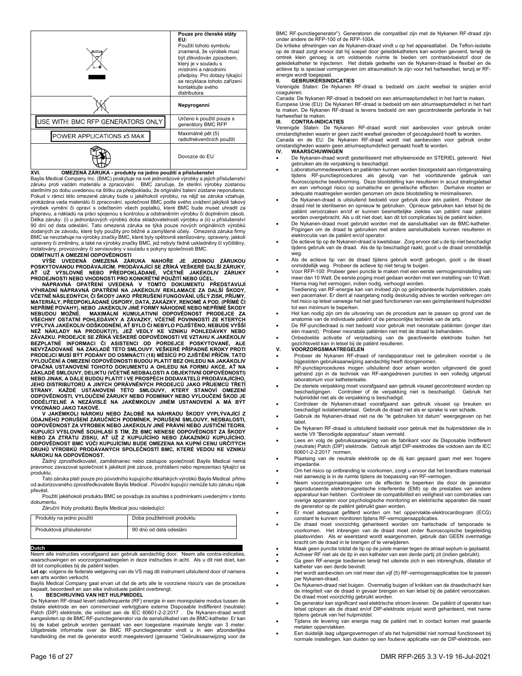|                                   | Pouze pro členské státy<br>EU:<br>Použití tohoto symbolu<br>znamená, že výrobek musí<br>být zlikvidován způsobem,<br>který je v souladu s<br>místními a národními<br>předpisy. Pro dotazy týkající<br>se recyklace tohoto zařízení<br>kontaktujte svého<br>distributora |
|-----------------------------------|-------------------------------------------------------------------------------------------------------------------------------------------------------------------------------------------------------------------------------------------------------------------------|
|                                   | Nepyrogenní                                                                                                                                                                                                                                                             |
| USE WITH: BMC RFP GENERATORS ONLY | Určeno k použití pouze s<br>generátory BMC RFP                                                                                                                                                                                                                          |
| POWER APPLICATIONS x5 MAX         | Maximálně pět (5)<br>radiofrekvenčních použití                                                                                                                                                                                                                          |
|                                   | Dovozce do EU                                                                                                                                                                                                                                                           |

**XVI. OMEZENÁ ZÁRUKA - produkty na jedno použití a příslušenství**  Baylis Medical Company Inc. (BMC) poskytuje na své jednorázové výrobky a jejich příslušenství záruku proti vadám materiálu a zpracování. BMC zaručuje, že sterilní výrobky zůstanou sterilními po dobu uvedenou na štítku za předpokladu, že originální balení zůstane neporušeno. Pokud v rámci této omezené záruky bude u jakéhokoli výrobku, na nějž se záruka vztahuje, prokázána vada materiálů či zpracování, společnost BMC podle svého uvážení jakýkoli takový výrobek vymění či opraví s odečtením všech poplatků, které BMC bude muset uhradit za přepravu, a nákladů na práci spojenou s kontrolou a odstraněním výrobku či doplněním zásob. Délka záruky: (i) u jednorázových výrobků doba skladovatelnosti výrobku a (ii) u příslušenství<br>90 dní od data odeslání. Tato omezená záruka se týká pouze nových originálních výrobků dodaných ze závodu, které byly použity pro běžné a zamýšlené účely. Omezená záruka firmy<br>BMC se nevztahuje na výrobky značky BMC, které byly opětovně sterilizovány, opraveny, jakkoli<br>upraveny či změněny, a také na výrobky instalovány, provozovány či servisovány v souladu s pokyny společnosti BMC. **ODMÍTNUTÍ A OMEZENÍ ODPOVĚDNOSTI** 

VYSE UVEDENA OMEZENA ZARUKA NAHORE JE JEDINOU ZARUKOU<br>POSKYTOVANOU PRODÁVAJÍCÍM. PRODÁVAJÍCÍ SE ZŘÍKÁ VEŠKERÉ DALŠÍZÁRUKY,<br>AŤ UŽ VÝSLOVNÉ NEBO PŘEDPOKLÁDANÉ, VČETNĚ JAKÉKOLIV ZÁRUKY<br>PRODEJNOSTI NEBO VHODNOSTI PRO KONKRÉTNÍ

**VČETNĚ NÁSLEDNÝCH, ČI ŠKODY JAKO PŘERUŠENÍ FUNGOVÁNÍ, UŠLÝ ZISK, PŘÍJMY, MATERIÁLY, PŘEDPOKLÁDANÉ ÚSPORY, DATA, ZAKÁZKY, RENOMÉ A POD. (PŘÍMÉ ČI NEPŘÍMÉ POVAHY), NEBO JAKÉKOLIV JINÉ FORMY NÁHODNÉ NEBO NEPŘÍMÉ ŠKODY NEBUDOU MOŽNÉ. MAXIMÁLNÍ KUMULATIVNÍ ODPOVĚDNOST PRODEJCE ZA VŠECHNY OSTATNÍ POHLEDÁVKY A ZÁVAZKY, VČETNĚ POVINNOSTÍ ZE KTERÝCH**  VYPLÝVA JAKEKOLIV ODSKODNÉNI, AŤ BYLO CI NEBYLO POJISTÉNO, NEBUDE VYSSI<br>NEŽ NÁKLADY NA PRODUKT(Y), JEŽ VEDLY KE VZNIKU POHLEDÁVKY NEBO<br>ZÁVAZKU. PRODEJCE SE ZŘÍKÁ VEŠKERÉ ODPOVĚDNOSTI VE VZTAHU K JAKÉKOLIV<br>BEZPLATNÉ INFORMA PRODEJCI MUSI BYT PODANY DO OSMNACTI (18) MÉSICŮ PO ZJISTÉNÍ PŘÍČIN. TATO<br>VYLOUČENÍ A OMEZENÍ ODPOVĚDNOSTI BUDOU PLATIT BEZ OHLEDU NA JAKÁKOLIV OPAČNA USTANOVENI TOHOTO DOKUMENTU A OHLEDU NA FORMU AKCE, AT NA<br>ZÁKLADĚ SMLOUVY, DELIKTU (VČETNĚ NEDBALOSTI A OBJEKTIVNÍ ODPOVĚDNOSTI)<br>NEBO JINAK, A DÁLE BUDOU PLATIT I VE PROSPĚCH DODAVATELŮ PRODÁVAJÍCÍHO, JEHO DISTRIBUTORŮ A JINYCH OPRAVNÉNYCH PRODEJCŮ JAKO PRIJEMCŮ TRETI<br>STRANY. KAŽDÉ USTANOVENÍ TÉTO SMLOUVY, KTERÝ STANOVÍ OMEZENÍ<br>ODPOVĚDNOSTI, VYLOUČENÍ ZÁRUKY NEBO PODMÍNKY NEBO VYLOUČENÍ ŠKOD JE<br>ODDĚLITELNÉ A NE **VYKONÁNO JAKO TAKOVÉ.**

V JAKEMKOLI NAROKU NEBO ŽALOBE NA NAHRADU SKODY VYPLYVAJICI Z<br>ÚDAJNÉHO PORUŠENÍ ZÁRUČNÍCH PODMÍNEK, PORUŠENÍ SMLOUVY, NEDBALOSTI,<br>ODPOVĚDNOST ZA VÝROBEK NEBO JAKÉKOLIV JINÉ PRÁVNÍ NEBO JUSTIČNÍ TEORII,<br>KUPUJÍCÍ VÝSLOVNĚ SO ODPOVÉDNOST BMC VÚČI KUPUJÍCIMU BUDE OMEZENA NA KUPNÍ CENU URČITÝCH<br>DRUHŮ VÝROBKŮ PRODÁVANÝCH SPOLEČNOSTÍ BMC, KTERÉ VEDOU KE VZNIKU **NÁROKU NA ODPOVĚDNOST.** 

 Žádný zprostředkovatel, zaměstnanec nebo zástupce společnosti Baylis Medical nemá pravomoc zavazovat společnost k jakékoli jiné záruce, prohlášení nebo reprezentaci týkající se produktu.

 Tato záruka platí pouze pro původního kupujícího lékařských výrobků Baylis Medical přímo od autorizovaného zprostředkovatele Baylis Medical . Původní kupující nemůže tuto záruku nijak převést.

 Použití jakéhokoli produktu BMC se považuje za souhlas s podmínkami uvedenými v tomto dokumentu.

Záruční lhůty produktů Baylis Medical jsou následující:

| Produkty na jedno použití | Doba použitelnosti produktu |
|---------------------------|-----------------------------|
| Produktová příslušenství  | 90 dnů od data odeslání     |

**Dutch**<br>Neem alle instructies voorafgaand aan gebruik aandachtig door. Neem alle contra-indicaties, waarschuwingen en voorzorgsmaatregelen in deze instructies in acht. Als u dit niet doet, kan dit tot complicaties bij de patiënt leiden.

**Let op:** volgens de federale wetgeving van de VS mag dit instrument uitsluitend door of namens een arts worden verkocht.

Baylis Medical Company gaat ervan uit dat de arts alle te voorziene risico's van de procedure bepaalt, beoordeelt en aan elke individuele patiënt overbrengt.

## **I. BESCHRIJVING VAN HET HULPMIDDEL**

De Nykanen RF-draad levert radiofrequente (RF) energie in een monopolaire modus tussen de distale elektrode en een commercieel verkrijgbare externe Disposable Indifferent (neutrale) Patch (DIP) elektrode, die voldoet aan de IEC 60601-2-2:2017 . De Nykanen-draad wordt aangesloten op de BMC RF-punctiegenerator via de aansluitkabel van de BMC-katheter. Er kan bij de kabel gebruik worden gemaakt van een toegestane maximale lengte van 3 meter. Uitgebreide informatie over de BMC RF-punctiegenerator vindt u in een afzonderlijke handleiding die met de generator wordt meegeleverd (genaamd "Gebruiksaanwijzing voor de

BMC RF-punctiegenerator"). Generatoren die compatibel zijn met de Nykanen RF-draad zijn onder andere de RFP-100 of de RFP-100A.

De kritieke afmetingen van de Nykanen-draad vindt u op het apparaatlabel. De Teflon-isolatie op de draad zorgt ervoor dat hij soepel door geleidekatheters kan worden gevoerd, terwijl de omtrek klein genoeg is om voldoende ruimte te bieden om contrastvloeistof door de geleidekatheter te injecteren. Het distale gedeelte van de Nykanen-draad is flexibel en de actieve tip is speciaal vormgegeven om atraumatisch te zijn voor het hartweefsel, tenzij er RFenergie wordt toegepast.

## **GEBRUIKERSINDICATIES**

Verenigde Staten: De Nykanen RF-draad is bedoeld om zacht weefsel te snijden en/of coaguleren.

Canada: De Nykanen RF-draad is bedoeld om een atriumseptumdefect in het hart te maken. Europese Unie (EU): De Nykanen RF-draad is bedoeld om een atriumseptumdefect in het hart te maken. De Nykanen RF-draad is tevens bedoeld om een gecontroleerde perforatie in het hartweefsel te maken.

## **III. CONTRA-INDICATIES**

Verenigde Staten: De Nykanen RF-draad wordt niet aanbevolen voor gebruik onder omstandigheden waarin er geen zacht weefsel gesneden of gecoaguleerd hoeft te worden. Canada en de EU: De Nykanen RF-draad wordt niet aanbevolen voor gebruik onder omstandigheden waarin geen atriumseptumdefect gemaakt hoeft te worden.

#### **IV. WAARSCHUWINGEN**

- De Nykanen-draad wordt gesteriliseerd met ethyleenoxide en STERIEL geleverd. Niet gebruiken als de verpakking is beschadigd.
- Laboratoriummedewerkers en patiënten kunnen worden blootgesteld aan röntgenstraling tijdens RF-punctieprocedures als gevolg van het voortdurende gebruik van fluoroscopische beeldvorming. Deze blootstelling kan resulteren in acuut stralingsletsel en een verhoogd risico op somatische en genetische effecten. Derhalve moeten er adequate maatregelen worden genomen om deze blootstelling te minimaliseren.
- De Nykanen-draad is uitsluitend bedoeld voor gebruik door één patiënt. Probeer de draad niet te steriliseren en opnieuw te gebruiken. Opnieuw gebruiken kan letsel bij de patiënt veroorzaken en/of er kunnen besmettelijke ziektes van patiënt naar patiënt worden overgebracht. Als u dit niet doet, kan dit tot complicaties bij de patiënt leiden.
- De Nykanen-draad moet gebruikt worden met de aansluitkabel van de BMC-katheter. Pogingen om de draad te gebruiken met andere aansluitkabels kunnen resulteren in elektrocutie van de patiënt en/of operator.
- De actieve tip op de Nykanen-draad is kwetsbaar. Zorg ervoor dat u de tip niet beschadigt tijdens gebruik van de draad. Als de tip beschadigd raakt, gooit u de draad onmiddellijk
- weg. Als de actieve tip van de draad tijdens gebruik wordt gebogen, gooit u de draad
- onmiddellijk weg. Probeer de actieve tip niet terug te buigen.<br>• Voor RFP-100: Probeer geen punctie te maken met een eerste vermogensinstelling van<br>• meer dan 10 Watt. De eerste poging moet gedaan wor Hierna mag het vermogen, indien nodig, verhoogd worden.
- Toediening van RF-energie kan van invloed zijn op geïmplanteerde hulpmiddelen, zoals een pacemaker. Er dient al naargelang nodig deskundig advies te worden verkregen om het risico op letsel vanwege het niet goed functioneren van een geïmplanteerd hulpmiddel tot een minimum te beperken.
- Het kan nodig zijn om de uitvoering van de procedure aan te passen op grond van de anatomie van de individuele patiënt of de persoonlijke techniek van de arts.
- De RF-punctiedraad is niet bedoeld voor gebruik met neonatale patiënten (jonger dan één maand). Probeer neonatale patiënten niet met de draad te behandelen.
- Onbedoelde activatie of verplaatsing van de geactiveerde elektrode buiten het gezichtsveld kan in letsel bij de patiënt resulteren. **V. VOORZORGSMAATREGELEN**
- 
- Probeer de Nykanen RF-draad of randapparatuur niet te gebruiken voordat u de bijgesloten gebruiksaanwijzing aandachtig heeft doorgenomen.
- RF-punctieprocedures mogen uitsluitend door artsen worden uitgevoerd die goed getraind zijn in de techniek van RF-aangedreven puncties in een volledig uitgerust laboratorium voor katheterisatie.
- De steriele verpakking moet voorafgaand aan gebruik visueel gecontroleerd worden op beschadigingen. Controleer of de verpakking niet is beschadigd. Gebruik het beschadigingen. Controleer of de verpakking niet is beschadigd. Gebruik het hulpmiddel niet als de verpakking is beschadigd.
- Controleer de Nykanen-draad voorafgaand aan gebruik visueel op breuken en beschadigd isolatiemateriaal. Gebruik de draad niet als er sprake is van schade.
- Gebruik de Nykanen-draad niet na de "te gebruiken tot datum" weergegeven op het label.
- De Nykanen RF-draad is uitsluitend bedoeld voor gebruik met de hulpmiddelen die in sectie VII "Benodigde apparatuur" staan vermeld.
- Lees en volg de gebruiksaanwijzing van de fabrikant voor de Disposable Indifferent (neutrale) Patch (DIP) elektrode. Gebruik altijd DIP-elektrodes die voldoen aan de IEC 60601-2-2:2017 normen.
- Plaatsing van de neutrale elektrode op de dij kan gepaard gaan met een hogere impedantie.
- Om het risico op ontbranding te voorkomen, zorgt u ervoor dat het brandbare materiaal niet aanwezig is in de ruimte tijdens de toepassing van RF-vermogen.
- Neem voorzorgsmaatregelen om de effecten te beperken die door de generator geproduceerde elektromagnetische interferentie (EMI) op de prestaties van andere apparatuur kan hebben. Controleer de compatibiliteit en veiligheid van combinaties van overige apparaten voor psychologische monitoring en elektrische apparaten die naast de generator op de patiënt gebruikt gaan worden.
- Er moet adequaat gefilterd worden om het oppervlakte-elektrocardiogram (ECG) constant te kunnen monitoren tijdens RF-vermogensapplicaties.
- De draad moet voorzichtig gehanteerd worden om hartschade of tamponade te voorkomen. Het inbrengen van de draad moet onder fluoroscopische begeleiding plaatsvinden. Als er weerstand wordt waargenomen, gebruik dan GEEN overmatige kracht om de draad in te brengen of te verwijderen.
- 
- Maak geen punctie totdat de tip op de juiste manier tegen de atriaal septum is geplaatst. Activeer RF niet als de tip in een katheter van een derde partij zit (indien gebruikt).
- Ga geen RF-energie toedienen terwijl het uiteinde zich in een inbrenghuls, dilatator of katheter van een derde bevindt.
- Het wordt aanbevolen om niet meer dan vijf (5) RF-vermogensapplicaties toe te passen per Nykanen-draad.
- De Nykanen-draad niet buigen. Overmatig buigen of knikken van de draadschacht kan de integriteit van de draad in gevaar brengen en kan letsel bij de patiënt veroorzaken. De draad moet voorzichtig gebruikt worden.
- De generator kan significant veel elektrische stroom leveren. De patiënt of operator kan letsel oplopen als de draad en/of DIP-elektrode onjuist wordt gehanteerd, met name tijdens gebruik van het hulpmiddel.
- Tijdens de levering van energie mag de patiënt niet in contact komen met geaarde metalen oppervlakken.
- Een duidelijk laag uitgangsvermogen of als het hulpmiddel niet normaal functioneert bij normale instellingen, kan duiden op een foutieve applicatie van de DIP-elektrode, een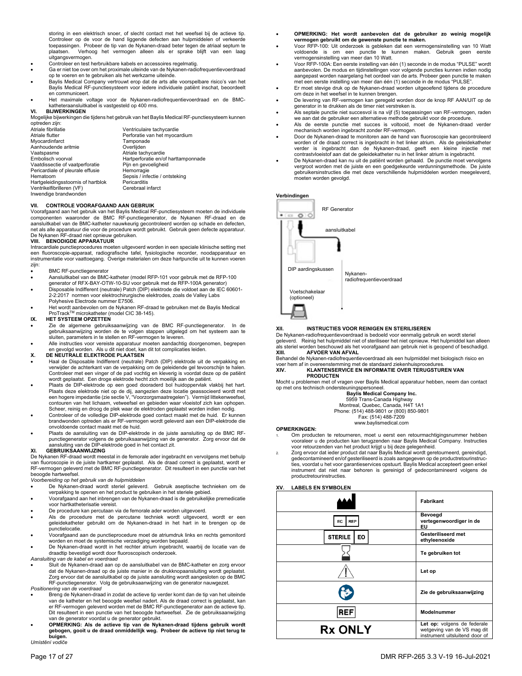storing in een elektrisch snoer, of slecht contact met het weefsel bij de actieve tip. Controleer op de voor de hand liggende defecten aan hulpmiddelen of verkeerde toepassingen. Probeer de tip van de Nykanen-draad beter tegen de atriaal septum te plaatsen. Verhoog het vermogen alleen als er sprake blijft van een laag uitgangsvermogen.

- Controleer en test herbruikbare kabels en accessoires regelmatig.
- Ga er niet toe over om het proximale uiteinde van de Nykanen-radiofrequentievoerdraad op te voeren en te gebruiken als het werkzame uiteinde.
- Baylis Medical Company vertrouwt erop dat de arts alle voorspelbare risico's van het Baylis Medical RF-punctiesysteem voor iedere individuele patiënt inschat, beoordeelt en communiceert.
- Het maximale voltage voor de Nykanen-radiofrequentievoerdraad en de BMCkatheteraansluitkabel is vastgesteld op 400 rms. **VI. BIJWERKINGEN**

Mogelijke bijwerkingen die tijdens het gebruik van het Baylis Medical RF-punctiesysteem kunnen

| optreden zijn:                     |                                     |
|------------------------------------|-------------------------------------|
| Atriale fibrillatie                | Ventriculaire tachycardie           |
| Atriale flutter                    | Perforatie van het myocardium       |
| Myocardinfarct                     | Tamponade                           |
| Aanhoudende aritmie                | Overlijden                          |
| Vaatspasme                         | Atriale tachycardie                 |
| Embolisch voorval                  | Hartperforatie en/of harttamponnade |
| Vaatdissectie of vaatperforatie    | Pijn en gevoeligheid                |
| Pericardiale of pleurale effusie   | Hemorragie                          |
| Hematoom                           | Sepsis / infectie / ontsteking      |
| Hartgeleidingsstoornis of hartblok | Pericarditis                        |
| Ventrikelfibrilleren (VF)          | Cerebraal infarct                   |
| Inwendige brandwonden              |                                     |

### **VII. CONTROLE VOORAFGAAND AAN GEBRUIK**

Voorafgaand aan het gebruik van het Baylis Medical RF-punctiesysteem moeten de individuele componenten waaronder de BMC RF-punctiegenerator, de Nykanen RF-draad en de aansluitkabel van de BMC-katheter nauwkeurig gecontroleerd worden op schade en defecten, net als alle apparatuur die voor de procedure wordt gebruikt. Gebruik geen defecte apparatuur. De Nykanen RF-draad niet opnieuw gebruiken.

#### **VIII. BENODIGDE APPARATUUR**

Intracardiale punctieprocedures moeten uitgevoerd worden in een speciale klinische setting met een fluoroscopie-apparaat, radiografische tafel, fysiologische recorder, noodapparatuur en instrumentatie voor vaattoegang. Overige materialen om deze hartpunctie uit te kunnen voeren zijn:

- BMC RF-punctiegenerator
- Aansluitkabel van de BMC-katheter (model RFP-101 voor gebruik met de RFP-100
- generator of RFX-BAY-OTW-10-SU voor gebruik met de RFP-100A generator) Disposable Indifferent (neutrale) Patch (DIP) elektrode die voldoet aan de IEC 60601- 2-2:2017 normen voor elektrochirurgische elektrodes, zoals de Valley Labs Polyhesive Electrode nummer E7506.
- Het wordt aanbevolen om de Nykanen RF-draad te gebruiken met de Baylis Medical ProTrackTM microkatheter (model CIC 38-145).

#### **IX. HET SYSTEEM OPZETTEN**

- Zie de algemene gebruiksaanwijzing van de BMC RF-punctiegenerator. In de gebruiksaanwijzing worden de te volgen stappen uitgelegd om het systeem aan te sluiten, parameters in te stellen en RF-vermogen te leveren.
- Alle instructies voor vereiste apparatuur moeten aandachtig doorgenomen, begrepen en gevolgd worden. Als u dit niet doet, kan dit tot complicaties leiden.

## **X. DE NEUTRALE ELEKTRODE PLAATSEN**

- Haal de Disposable Indifferent (neutrale) Patch (DIP) elektrode uit de verpakking en verwijder de achterkant van de verpakking om de geleidende gel tevoorschijn te halen. Controleer met een vinger of de pad vochtig en kleverig is voordat deze op de patiënt wordt geplaatst. Een droge elektrode hecht zich moeilijk aan de patiënt.
- Plaats de DIP-elektrode op een goed dooraderd bol huidoppervlak vlakbij het hart.<br>Plaats deze elektrode niet op de dij, aangezien deze locatie geassocieerd wordt met<br>een hogere impedantie (zie sectie V, "Voorzorgsmaatreg contouren van het lichaam, vetweefsel en gebieden waar vloeistof zich kan ophopen. Scheer, reinig en droog de plek waar de elektroden geplaatst worden indien nodig.
- Controleer of de volledige DIP-elektrode goed contact maakt met de huid. Er kunnen brandwonden optreden als er RF-vermogen wordt geleverd aan een DIP-elektrode die onvoldoende contact maakt met de huid.
- Plaats de aansluiting van de DIP-elektrode in de juiste aansluiting op de BMC RFpunctiegenerator volgens de gebruiksaanwijzing van de generator. Zorg ervoor dat de aansluiting van de DIP-elektrode goed in het contact zit.

## **XI. GEBRUIKSAANWIJZING**

De Nykanen RF-draad wordt meestal in de femorale ader ingebracht en vervolgens met behulp van fluoroscopie in de juiste hartkamer geplaatst. Als de draad correct is geplaatst, wordt er RF-vermogen geleverd met de BMC RF-punctiegenerator. Dit resulteert in een punctie van het beoogde hartweefsel.

## *Voorbereiding op het gebruik van de hulpmiddelen*

- De Nykanen-draad wordt steriel geleverd. Gebruik aseptische technieken om de verpakking te openen en het product te gebruiken in het steriele gebied.
- Voorafgaand aan het inbrengen van de Nykanen-draad is de gebruikelijke premedicatie voor hartkatheterisatie vereist.
- De procedure kan percutaan via de femorale ader worden uitgevoerd.
- Als de procedure met de percutane techniek wordt uitgevoerd, wordt er een geleidekatheter gebruikt om de Nykanen-draad in het hart in te brengen op de punctielocatie.
- Voorafgaand aan de punctieprocedure moet de atriumdruk links en rechts gemonitord worden en moet de systemische verzadiging worden bepaald.
- De Nykanen-draad wordt in het rechter atrium ingebracht, waarbij de locatie van de draadtip bevestigd wordt door fluoroscopisch onderzoek. *Aansluiting van de kabel en voerdraad*
- 
- Sluit de Nykanen-draad aan op de aansluitkabel van de BMC-katheter en zorg ervoor dat de Nykanen-draad op de juiste manier in de drukknopaansluiting wordt geplaatst. Zorg ervoor dat de aansluitkabel op de juiste aansluiting wordt aangesloten op de BMC RF-punctiegenerator. Volg de gebruiksaanwijzing van de generator nauwgezet. *Positionering van de voerdraad*
- Breng de Nykanen-draad in zodat de actieve tip verder komt dan de tip van het uiteinde van de katheter en het beoogde weefsel nadert. Als de draad correct is geplaatst, kan er RF-vermogen geleverd worden met de BMC RF-punctiegenerator aan de actieve tip. Dit resulteert in een punctie van het beoogde hartweefsel. Zie de gebruiksaanwijzing van de generator voordat u de generator gebruikt.
- **OPMERKING: Als de actieve tip van de Nykanen-draad tijdens gebruik wordt gebogen, gooit u de draad onmiddellijk weg. Probeer de actieve tip niet terug te buigen.**

*Umístění vodiče* 

- **OPMERKING: Het wordt aanbevolen dat de gebruiker zo weinig mogelijk vermogen gebruikt om de gewenste punctie te maken.**
- Voor RFP-100: Uit onderzoek is gebleken dat een vermogensinstelling van 10 Watt voldoende is om een punctie te kunnen maken. Gebruik geen eerste vermogensinstelling van meer dan 10 Watt.
- Voor RFP-100A: Een eerste instelling van één (1) seconde in de modus "PULSE" wordt aanbevolen. De modus en tijdinstellingen voor volgende puncties kunnen indien nodig aangepast worden naargelang het oordeel van de arts. Probeer geen punctie te maken
- met een eerste instelling van meer dan één (1) seconde in de modus "PULSE". Er moet stevige druk op de Nykanen-draad worden uitgeoefend tijdens de procedure om deze in het weefsel in te kunnen brengen.
- De levering van RF-vermogen kan geregeld worden door de knop RF AAN/UIT op de generator in te drukken als de timer niet verstreken is.
- Als septale punctie niet succesvol is na vijf (5) toepassingen van RF-vermogen, raden we aan dat de gebruiker een alternatieve methode gebruikt voor de procedure. Als de eerste punctie met succes is voltooid, moet de Nykanen-draad verder
- mechanisch worden ingebracht zonder RF-vermogen.
- Door de Nykanen-draad te monitoren aan de hand van fluoroscopie kan gecontroleerd worden of de draad correct is ingebracht in het linker atrium. Als de geleidekatheter verder is ingebracht dan de Nykanen-draad, geeft een kleine injectie met contrastvloeistof aan dat de geleidekatheter nu in het linker atrium is ingebracht.
- De Nykanen-draad kan nu uit de patiënt worden gehaald. De punctie moet vervolgens vergroot worden met de juiste en een goedgekeurde verdunningsmethode. De juiste gebruikersinstructies die met deze verschillende hulpmiddelen worden meegeleverd, moeten worden gevolgd.

#### **Verbindingen**



#### **XII. INSTRUCTIES VOOR REINIGEN EN STERILISEREN**

De Nykanen-radiofrequentievoerdraad is bedoeld voor eenmalig gebruik en wordt steriel geleverd. Reinig het hulpmiddel niet of steriliseer het niet opnieuw. Het hulpmiddel kan alleen als steriel worden beschouwd als het voorafgaand aan gebruik niet is geopend of beschadigd.<br>XIII AFVOER VAN AFVAI **AFVOER VAN AFVAL** 

Behandel de Nykanen-radiofrequentievoerdraad als een hulpmiddel met biologisch risico en voer hem af in overeenstemming met de standaard ziekenhuisprocedures. **XIV. KLANTENSERVICE EN INFORMATIE OVER TERUGSTUREN VAN** 

# **PRODUCTEN**

Mocht u problemen met of vragen over Baylis Medical apparatuur hebben, neem dan contact op met ons technisch ondersteuningspersoneel.

**Baylis Medical Company Inc.**  5959 Trans-Canada Highway

Montreal, Quebec, Canada, H4T 1A1

Phone: (514) 488-9801 or (800) 850-9801 Fax: (514) 488-7209

www.baylismedical.com

#### **OPMERKINGEN:**

- Om producten te retourneren, moet u eerst een retourmachtigingsnummer hebben vooraleer u de producten kan terugzenden naar Baylis Medical Company. Instructies voor retourzenden van het product krijgt u bij deze gelegenheid.
- Zorg ervoor dat ieder product dat naar Baylis Medical wordt geretourneerd, gereindigd, gedecontamineerd en/of gesteriliseerd is zoals aangegeven op de productretourinstruc-ties, voordat u het voor garantieservices opstuurt. Baylis Medical accepteert geen enkel instrument dat niet naar behoren is gereinigd of gedecontamineerd volgens de productretourinstructies.

## **XV. LABELS EN SYMBOLEN**

|                      | Fabrikant                                                                                    |
|----------------------|----------------------------------------------------------------------------------------------|
| <b>REP</b><br>EC     | Bevoegd<br>vertegenwoordiger in de<br>EU                                                     |
| <b>STERILE</b><br>EO | Gesteriliseerd met<br>ethyleenoxide                                                          |
|                      | Te gebruiken tot                                                                             |
|                      | Let op                                                                                       |
|                      | Zie de gebruiksaanwijzing                                                                    |
| <b>REF</b>           | Modelnummer                                                                                  |
| <b>Rx ONLY</b>       | Let op: volgens de federale<br>wetgeving van de VS mag dit<br>instrument uitsluitend door of |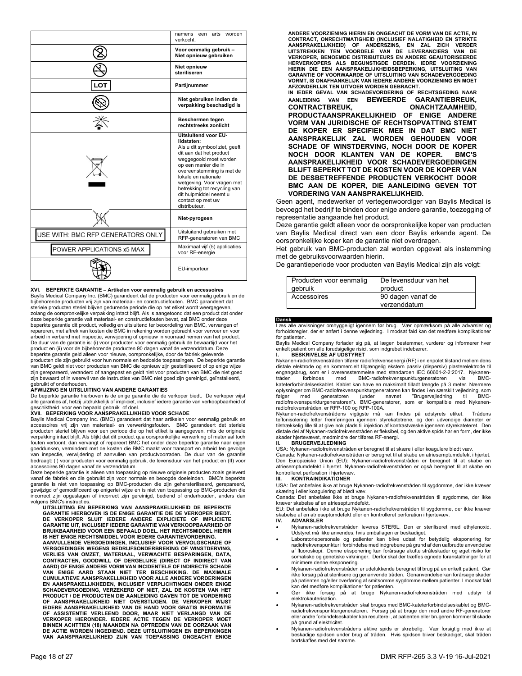|                                   | worden<br>arts<br>namens<br>een<br>verkocht.                                                                                                                                                                                                                                                                                       |
|-----------------------------------|------------------------------------------------------------------------------------------------------------------------------------------------------------------------------------------------------------------------------------------------------------------------------------------------------------------------------------|
|                                   | Voor eenmalig gebruik -<br>Niet opnieuw gebruiken                                                                                                                                                                                                                                                                                  |
|                                   | Niet opnieuw<br>steriliseren                                                                                                                                                                                                                                                                                                       |
| LOT                               | Partijnummer                                                                                                                                                                                                                                                                                                                       |
|                                   | Niet gebruiken indien de<br>verpakking beschadigd is                                                                                                                                                                                                                                                                               |
|                                   | Beschermen tegen<br>rechtstreeks zonlicht                                                                                                                                                                                                                                                                                          |
|                                   | Uitsluitend voor EU-<br>lidstaten:<br>Als u dit symbool ziet, geeft<br>dit aan dat het product<br>weggegooid moet worden<br>op een manier die in<br>overeenstemming is met de<br>lokale en nationale<br>wetgeving. Voor vragen met<br>betrekking tot recycling van<br>dit hulpmiddel neemt u<br>contact op met uw<br>distributeur. |
|                                   | Niet-pyrogeen                                                                                                                                                                                                                                                                                                                      |
| USE WITH: BMC RFP GENERATORS ONLY | Uitsluitend gebruiken met<br>RFP-generatoren van BMC                                                                                                                                                                                                                                                                               |
| POWER APPLICATIONS x5 MAX         | Maximaal vijf (5) applicaties<br>voor RF-energie                                                                                                                                                                                                                                                                                   |
|                                   | EU-importeur                                                                                                                                                                                                                                                                                                                       |

## **XVI. BEPERKTE GARANTIE – Artikelen voor eenmalig gebruik en accessoires**

Baylis Medical Company Inc. (BMC) garandeert dat de producten voor eenmalig gebruik en de bijbehorende producten vrij zijn van materiaal- en constructiefouten. BMC garandeert dat steriele producten steriel blijven gedurende periode die op het etiket wordt weergegeven, zolang de oorspronkelijke verpakking intact blijft. Als is aangetoond dat een product dat onder deze beperkte garantie valt materiaal- en constructiefouten bevat, zal BMC onder deze beperkte garantie dit product, volledig en uitsluitend ter beoordeling van BMC, vervangen of repareren, met aftrek van kosten die BMC in rekening worden gebracht voor vervoer en voor arbeid in verband met inspectie, verwijdering of opnieuw in voorraad nemen van het product. De duur van de garantie is: (i) voor producten voor eenmalig gebruik de bewaartijd voor het product en (ii) voor de bijbehorende producten 90 dagen vanaf de verzenddatum. Deze beperkte garantie geld alleen voor nieuwe, oorspronkelijke, door de fabriek geleverde producten die zijn gebruikt voor hun normale en bedoelde toepassingen. De beperkte garantie van BMC geldt niet voor producten van BMC die opnieuw zijn gesteriliseerd of op enige wijze zijn gerepareerd, veranderd of aangepast en geldt niet voor producten van BMC die niet goed zijn bewaard of in weerwil van de instructies van BMC niet goed zijn gereinigd, geïnstalleerd,

# gebruikt of onderhouden. **AFWIJZING EN UITSLUITING VAN ANDERE GARANTIES**

De beperkte garantie hierboven is de enige garantie die de verkoper biedt. De verkoper wijst<br>alle garanties af, hetzij uitdrukkelijk of impliciet, inclusief iedere garantie van verkoopbaarheid of

# geschiktheid voor een bepaald gebruik of doel. **XVII. BEPERKING VOOR AANSPRAKELIJKHEID VOOR SCHADE**

Baylis Medical Company Inc. (BMC) garandeert dat haar artikelen voor eenmalig gebruik en accessoires vrij zijn van materiaal- en verwerkingsfouten. BMC garandeert dat steriele producten steriel blijven voor een periode die op het etiket is aangegeven, mits de originele verpakking intact blijft. Als blijkt dat dit product qua oorspronkelijke verwerking of materiaal toch fouten vertoont, dan vervangt of repareert BMC het onder deze beperkte garantie naar eigen goeddunken, verminderd met de kosten die BMC maakt voor transport en arbeid ten gevolge van inspectie, verwijdering of aanvullen van productvoorraden. De duur van de garantie bedraagt: (i) voor producten voor eenmalig gebruik, de levensduur van het product en (II) voor accessoires 90 dagen vanaf de verzenddatum.

Deze beperkte garantie is alleen van toepassing op nieuwe originele producten zoals geleverd vanaf de fabriek en die gebruikt zijn voor normale en beoogde doeleinden. BMC's beperkte garantie is niet van toepassing op BMC-producten die zijn gehersteriliseerd, gerepareerd, gewijzigd of gemodificeerd op enigerlei wijze en is niet van toepassing op BMC-producten die incorrect zijn opgeslagen of incorrect zijn gereinigd, bediend of onderhouden, anders dan volgens BMC's instructies.

**UITSLUITING EN BEPERKING VAN AANSPRAKELIJKHEID DE BEPERKTE GARANTIE HIERBOVEN IS DE ENIGE GARANTIE DIE DE VERKOPER BIEDT. DE VERKOPER SLUIT IEDERE ANDERE EXPLICIETE OF IMPLICIETE GARANTIE UIT, INCLUSIEF IEDERE GARANTIE VAN VERKOOPBAARHEID OF BRUIKBAARHEID VOOR EEN BEPAALD DOEL. HET RECHTSMIDDEL HIERIN IS HET ENIGE RECHTSMIDDEL VOOR IEDERE GARANTIEVORDERING.** 

**AANVULLENDE VERGOEDINGEN, INCLUSIEF VOOR VERVOLGSCHADE OF VERGOEDINGEN WEGENS BEDRIJFSONDERBREKING OF WINSTDERVING, VERLIES VAN OMZET, MATERIAAL, VERWACHTE BESPARINGEN, DATA,**  CONTRACTEN, GOODWILL OF DERGELIJKE (DIRECT OF INDIRECT VAN<br>AARD)OF ENIGE ANDERE VORM VAN INCIDENTELE OF INDIRECTE SCHADE<br>VAN ENIGE AARD STAAN NIET TER BESCHIKKING. DE MAXIMALE<br>CUMULATIEVE AANSPRAKELIJKHEID VOOR ALLE ANDERE SCHADEVERGOEDING, VERZEKERD OF NIET, ZAL DE KOSTEN VAN HET<br>PRODUCT / DE PRODUCTEN DIE AANLEIDING GAVEN TOT DE VORDERING<br>OF AANSPRAKELIJKHEID NIET OVERSTIJGEN. DE VERKOPER WIJST<br>IEDERE AANSPRAKELIJKHEID VAN DE HAND VOOR GRA **VERKOPER HIERONDER. IEDERE ACTIE TEGEN DE VERKOPER MOET BINNEN ACHTTIEN (18) MAANDEN NA OPTREDEN VAN DE OORZAAK VAN DE ACTIE WORDEN INGEDIEND. DEZE UITSLUITINGEN EN BEPERKINGEN VAN AANSPRAKELIJKHEID ZIJN VAN TOEPASSING ONGEACHT ENIGE** 

**ANDERE VOORZIENING HIERIN EN ONGEACHT DE VORM VAN DE ACTIE, IN**  CONTRACT, ONRECHTMATIGHEID (INCLUSIEF NALATIGHEID EN STRIKTE<br>AANSPRAKELIJKHEID) OF ANDERSZINS, EN ZAL ZICH VERDER<br>UITSTREKKEN TEN VOORDELE VAN DE LEVERANCIERS VAN DE<br>VERKOPER, BENOEMDE DISTRIBUTEURS EN ANDERE GEAUTORISEERD **HERVERKOPERS ALS BEGUNSTIGDE DERDEN. IEDRE VOORZIENING HIERIN DIE EEN AANSPRAKELIJKHEIDSBEPERKING, UITSLUITING VAN GARANTIE OF VOORWAARDE OF UITSLUITING VAN SCHADEVERGOEDING VORMT, IS ONAFHANKELIJK VAN IEDERE ANDERE VOORZIENING EN MOET AFZONDERLIJK TEN UITVOER WORDEN GEBRACHT.** 

**IN IEDER GEVAL VAN SCHADEVORDERING OF RECHTSGEDING NAAR AANLEIDING VAN EEN BEWEERDE GARANTIEBREUK,**  CONTRACTBREUK, **ONACHTZAAMHEID**, **PRODUCTAANSPRAKELIJKHEID OF ENIGE ANDERE VORM VAN JURIDISCHE OF RECHTSOPVATTING STEMT DE KOPER ER SPECIFIEK MEE IN DAT BMC NIET AANSPRAKELIJK ZAL WORDEN GEHOUDEN VOOR SCHADE OF WINSTDERVING, NOCH DOOR DE KOPER NOCH DOOR KLANTEN VAN DE KOPER. BMC'S AANSPRAKELIJKHEID VOOR SCHADEVERGOEDINGEN BLIJFT BEPERKT TOT DE KOSTEN VOOR DE KOPER VAN DE DESBETREFFENDE PRODUCTEN VERKOCHT DOOR BMC AAN DE KOPER, DIE AANLEIDING GEVEN TOT VORDERING VAN AANSPRAKELIJKHEID.**

Geen agent, medewerker of vertegenwoordiger van Baylis Medical is bevoegd het bedrijf te binden door enige andere garantie, toezegging of representatie aangaande het product.

Deze garantie geldt alleen voor de oorspronkelijke koper van producten van Baylis Medical direct van een door Baylis erkende agent. De oorspronkelijke koper kan de garantie niet overdragen.

Het gebruik van BMC-producten zal worden opgevat als instemming met de gebruiksvoorwaarden hierin.

De garantieperiode voor producten van Baylis Medical zijn als volgt:

| Producten voor eenmalig<br>gebruik | De levensduur van het<br>product  |
|------------------------------------|-----------------------------------|
| Accessoires                        | 90 dagen vanaf de<br>verzenddatum |

#### **Dansk**

Læs alle anvisninger omhyggeligt igennem før brug. Vær opmærksom på alle advarsler og forholdsregler, der er anført i denne vejledning. I modsat fald kan det medføre komplikationer for patienten

Baylis Medical Company forlader sig på, at lægen bestemmer, vurderer og informerer hver<br>enkelt patient om alle forudsigelige risici, som indgrebet indebærer.<br>**I. BESKRIVELSE AF UDSTYRET** 

Nykanen-radiofrekvenstråden tilfører radiofrekvensenergi (RF) i en enpolet tilstand mellem dens distale elektrode og en kommercielt tilgængelig ekstern passiv (dispersiv) plasterelektrode til engangsbrug, som er i overensstemmelse med standarden IEC 60601-2-2:2017. Nykanenträden forbindes med BMC-radiofrekvenspunkturgeneratoren via BMCkateterforbindelseskablet. Kablet kan have en maksimalt tilladt længde på 3 meter. Nærmere oplysninger om BMC-radiofrekvenspunkturgeneratoren kan findes i en særskilt vejledning, som følger med generatoren (under navnet "Brugervejledning til BMC-radiofrekvenspunkturgeneratoren"). BMC-generatorer, som er kompatible med Nykanen-radiofrekvenstråden, er RFP-100 og RFP-100A.

Nykanen-radiofrekvenstrådens vigtigste må kan findes på udstyrets etiket. Trådens teflonisolering letter fremføringen igennem styrekatetrene, og den udvendige diameter er tilstrækkelig lille til at give nok plads til injektion af kontrastvæske igennem styrekateteret. Den distale del af Nykanen-radiofrekvenstråden er fleksibel, og den aktive spids har en form, der ikke skader hjertevævet, medmindre der tilføres RF-energi.

## **II. BRUGERVEJLEDNING**

USA: Nykanen-radiofrekvenstråden er beregnet til at skære i eller koagulere blødt væv.

Canada: Nykanen-radiofrekvenstråden er beregnet til at skabe en atriesemptumdefekt i hjertet. Den Europæiske Union (EU): Nykanen-radiofrekvenstråden er beregnet til at skabe en atriesemptumdefekt i hjertet. Nykanen-radiofrekvenstråden er også beregnet til at skabe en kontrolleret perforation i hjertevæv.

## **III.** KONTRAINDIKATIONER

USA: Det anbefales ikke at bruge Nykanen-radiofrekvenstråden til sygdomme, der ikke kræver skæring i eller koagulering af blødt væv.

Canada: Det anbefales ikke at bruge Nykanen-radiofrekvenstråden til sygdomme, der ikke kræver skabelse af en atrieseptumdefekt.

EU: Det anbefales ikke at bruge Nykanen-radiofrekvenstråden til sygdomme, der ikke kræver skabelse af en atrieseptumdefekt eller en kontrolleret perforation i hjertevæv. **ADVARSLER** 

- Nykanen-radiofrekvenstråden leveres STERIL. Den er steriliseret med ethylenoxid.
- Udstyret må ikke anvendes, hvis emballagen er beskadiget. Laboratoriepersonale og patienter kan blive udsat for betydelig eksponering for radiofrekvenspunktur i forbindelse med indgrebene på grund af den uafbrudte anvendelse af fluoroskopi. Denne eksponering kan forårsage akutte stråleskader og øget risiko for somatiske og genetiske virkninger. Derfor skal der træffes egnede foranstaltninger for at minimere denne eksponering.
- Nykanen-radiofrekvenstråden er udelukkende beregnet til brug på en enkelt patient. Gør ikke forsøg på at sterilisere og genanvende tråden. Genanvendelse kan forårsage skader på patienten og/eller overføring af smitsomme sygdomme mellem patienter. I modsat fald kan det medføre komplikationer for patienten.
- Gør ikke forsøg på at bruge Nykanen-radiofrekvenstråden med udstyr til elektrokauterisation.
- Nykanen-radiofrekvenstråden skal bruges med BMC-kateterforbindelseskablet og BMC-radiofrekvenspunkturgeneratoren. Forsøg på at bruge den med andre RF-generatorer eller andre forbindelseskabler kan resultere i, at patienten eller brugeren kommer til skade på grund af elektricitet.
- Nykanen-radiofrekvenstrådens aktive spids er skrøbelig. Vær forsigtig med ikke at beskadige spidsen under brug af tråden. Hvis spidsen bliver beskadiget, skal tråden bortskaffes med det samme.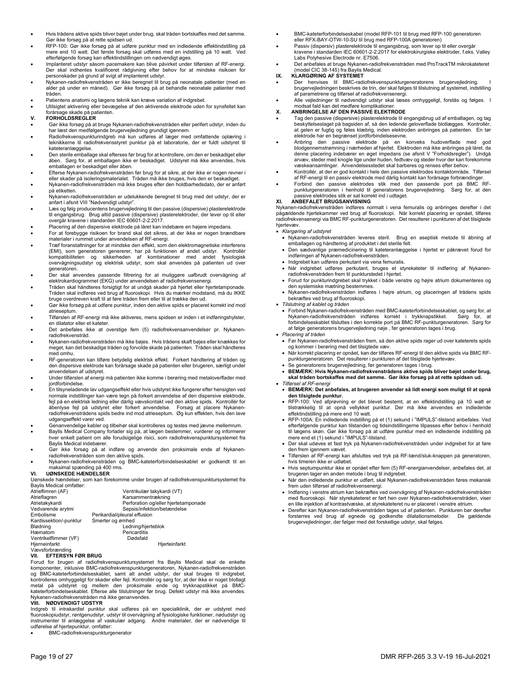- Hvis trådens aktive spids bliver bøjet under brug, skal tråden bortskaffes med det samme. Gør ikke forsøg på at rette spidsen ud.
- RFP-100: Gør ikke forsøg på at udføre punktur med en indledende effektindstilling på mere end 10 watt. Det første forsøg skal udføres med en indstilling på 10 watt. Ved efterfølgende forsøg kan effektindstillingen om nødvendigt øges.
- Implanteret udstyr såsom pacemakere kan blive påvirket under tilførslen af RF-energi. Der skal indhentes kvalificeret rådgivning efter behov for at mindske risikoen for personskader på grund af svigt af implanteret udstyr.
- Nykanen-radiofrekvenstråden er ikke beregnet til brug på neonatale patienter (med en alder på under en måned). Gør ikke forsøg på at behandle neonatale patienter med tråden.
- Patientens anatomi og lægens teknik kan kræve variation af indgrebet.
- Utilsigtet aktivering eller bevægelse af den aktiverede elektrode uden for synsfeltet kan forårsage skade på patienten.

## **V. FORHOLDSREGLER**

 Gør ikke forsøg på at bruge Nykanen-radiofrekvenstråden eller perifert udstyr, inden du har læst den medfølgende brugervejledning grundigt igennem.

- Radiofrekvenspunkturindgreb må kun udføres af læger med omfattende oplæring i teknikkerne til radiofrekvensstyret punktur på et laboratorie, der er fuldt udstyret til kateteranlæggelse.
- Den sterile emballage skal efterses før brug for at kontrollere, om den er beskadiget eller åben. Sørg for, at emballagen ikke er beskadiget. Udstyret må ikke anvendes, hvis emballagen er beskadiget eller åben.
- Efterse Nykanen-radiofrekvenstråden før brug for at sikre, at der ikke er nogen revner i eller skader på isoleringsmaterialet. Tråden må ikke bruges, hvis den er beskadiget.
- Nykanen-radiofrekvenstråden må ikke bruges efter den holdbarhedsdato, der er anført på etiketten.
- Nykanen-radiofrekvenstråden er udelukkende beregnet til brug med det udstyr, der er anført i afsnit VIII "Nødvendigt udstyr".
- Læs og følg producentens brugervejledning til den passive (dispersive) plasterelektrode til engangsbrug. Brug altid passive (dispersive) plasterelektroder, der lever op til eller overgår kravene i standarden IEC 60601-2-2:2017.
- Placering af den dispersive elektrode på låret kan indebære en højere impedans.
- For at forebygge risikoen for brand skal det sikres, at der ikke er nogen brændbare materialer i rummet under anvendelsen af RF-energi.
- Træf foranstaltninger for at mindske den effekt, som den elektromagnetiske interferens (EMI), som generatoren genererer, har på funktionen af andet udstyr. Kontrollér kompatibiliteten og sikkerheden af kombinationer med andet fysiologisk overvågningsudstyr og elektrisk udstyr, som skal anvendes på patienten ud over generatoren.
- Der skal anvendes passende filtrering for at muliggøre uafbrudt overvågning af elektrokardiogrammet (EKG) under anvendelsen af radiofrekvensenergi.
- Tråden skal håndteres forsigtigt for at undgå skader på hjertet eller hjertetamponade. Tråden skal indføres ved brug af fluoroskopi. Hvis du mærker modstand, må du IKKE bruge overdreven kraft til at føre tråden frem eller til at trække den ud.
- Gør ikke forsøg på at udføre punktur, inden den aktive spids er placeret korrekt ind mod atrieseptum.
- Tilførslen af RF-energi må ikke aktiveres, mens spidsen er inden i et indføringshylster, en dilatator eller et kateter.
- Det anbefales ikke at overstige fem (5) radiofrekvensanvendelser pr. Nykanenradiofrekvenstråd.
- Nykanen-radiofrekvenstråden må ikke bøjes. Hvis trådens skaft bøjes eller knækkes for meget, kan det beskadige tråden og forvolde skade på patienten. Tråden skal håndteres med omhu.
- RF-generatoren kan tilføre betydelig elektrisk effekt. Forkert håndtering af tråden og den dispersive elektrode kan forårsage skade på patienten eller brugeren, særligt under anvendelsen af udstyret.
- Under tilførslen af energi må patienten ikke komme i berøring med metaloverflader med jordforbindelse.
- En tilsyneladende lav udgangseffekt eller hvis udstyret ikke fungerer efter hensigten ved normale indstillinger kan være tegn på forkert anvendelse af den dispersive elektrode, fejl på en elektrisk ledning eller dårlig vævskontakt ved den aktive spids. Kontrollér for åbenlyse fejl på udstyret eller forkert anvendelse. Forsøg at placere Nykanenradiofrekvenstrådens spids bedre ind mod atrieseptum. Øg kun effekten, hvis den lave udgangseffekt varer ved.
- Genanvendelige kabler og tilbehør skal kontrolleres og testes med jævne mellemrum.
- Baylis Medical Company forlader sig på, at lægen bestemmer, vurderer og informerer hver enkelt patient om alle forudsigelige risici, som radiofrekvenspunktursystemet fra Baylis Medical indebærer.
- Gør ikke forsøg på at indføre og anvende den proksimale ende af Nykanenradiofrekvenstråden som den aktive spids. Nykanen-radiofrekvenstråden og BMC-kateterforbindelseskablet er godkendt til en
- maksimal spænding på 400 rms. **VI. UØNSKEDE HÆNDELSER**

Uønskede hændelser, som kan forekomme under brugen af radiofrekvenspunktursystemet fra

| Baylis Medical omfatter: |                                      |
|--------------------------|--------------------------------------|
| Atrieflimren (AF)        | Ventrikulær takykardi (VT)           |
| Atrieflagren             | Karsammentrækning                    |
| Atrietakykardi           | Perforation og/eller hjertetamponade |
| Vedvarende arytmi        | Sepsis/infektion/betændelse          |
| Embolisme                | Perikardial/pleural effusion         |
| Kardissektion/-punktur   | Smerter og ømhed                     |
| Blødning                 | Ledning/hjerteblok                   |
| Hæmatom                  | Pericarditis                         |
| Ventrikelflimmer (VF)    | Dødsfald                             |
| Hjerneinfarkt            | Hjerteinfarkt                        |
| Vaweforbranding          |                                      |

Vævsforbrænding<br>**VII. – EFTERSYN FØR BRUG** 

Forud for brugen af radiofrekvenspunktursystemet fra Baylis Medical skal de enkelte komponenter, inklusive BMC-radiofrekvenspunkturgeneratoren, Nykanen-radiofrekvenstråden og BMC-kateterforbindelseskablet, samt alt andet udstyr, der skal bruges til indgrebet,<br>kontrolleres omhyggeligt for skader eller fejl. Kontrollér og sørg for, at der ikke er noget blotlagt<br>metal på udstyret og mellem den

#### **VIII. NØDVENDIGT UDSTYR**

Indgreb til intrakardiel punktur skal udføres på en specialklinik, der er udstyret med fluoroskopiudstyr, røntgenudstyr, udstyr til overvågning af fysiologiske funktioner, nødudstyr og instrumenter til anlæggelse af vaskulær adgang. Andre materialer, der er nødvendige til udførelse af hjertepunktur, omfatter:

BMC-radiofrekvenspunkturgenerator

- BMC-kateterforbindelseskabel (model RFP-101 til brug med RFP-100 generatoren eller RFX-BAY-OTW-10-SU til brug med RFP-100A generatoren)
- Passiv (dispersiv) plasterelektrode til engangsbrug, som lever op til eller overgår kravene i standarden IEC 60601-2-2:2017 for elektrokirurgiske elektroder, f.eks. Valley Labs Polyhesive Electrode nr. E7506.
- Det anbefales at bruge Nykanen-radiofrekvenstråden med ProTrackTM mikrokateteret (model CIC 38-145) fra Baylis Medical.

## **IX. KLARGØRING AF SYSTEMET**

- Der henvises til BMC-radiofrekvenspunkturgeneratorens brugervejledning. brugervejledningen beskrives de trin, der skal følges til tilslutning af systemet, indstilling af parametrene og tilførsel af radiofrekvensenergi.
- Alle vejledninger til nødvendigt udstyr skal læses omhyggeligt, forstås og følges. I modsat fald kan det medføre komplikationer.

## **X. ANBRINGELSE AF DEN PASSIVE ELEKTRODE**

- Tag den passive (dispersive) plasterelektrode til engangsbrug ud af emballagen, og tag beskyttelseslaget på bagsiden af, så den ledende geloverflade blotlægges. Kontrollér, at gelen er fugtig og føles klæbrig, inden elektroden anbringes på patienten. En tør elektrode har en begrænset jordforbindelsesevne.
- Anbring den passive elektrode på en konveks hudoverflade med god blodgennemstrømning i nærheden af hjertet. Elektroden må ikke anbringes på låret, da denne placering indebærer en øget impedans (se afsnit V "Forholdsregler"). Undgå arvæv, steder med knogle lige under huden, fedtvæv og steder hvor der kan forekomme væskeansamlinger. Anvendelsesstedet skal barberes og renses efter behov.
- Kontrollér, at der er god kontakt i hele den passive elektrodes kontaktområde. Tilførsel af RF-energi til en passiv elektrode med dårlig kontakt kan forårsage forbrændinger.
- Forbind den passive elektrodes stik med den passende port på BMC RFpunkturgeneratoren i henhold til generatorens brugervejledning. Sørg for, at den passive elektrodes stik er sat korrekt ind i udtaget.

#### **XI. ANBEFALET BRUGSANVISNING**

Nykanen-radiofrekvenstråden indføres normalt i vena femuralis og anbringes derefter i det pågældende hjertekammer ved brug af fluoroskopi. Når korrekt placering er opnået, tilføres radiofrekvensenergi via BMC RF-punkturgeneratoren. Det resulterer i punkturen af det tilsigtede hjertevæv.

#### *Klargøring af udstyret*

- Nykanen-radiofrekvenstråden leveres steril. Brug en aseptisk metode til åbning af emballagen og håndtering af produktet i det sterile felt.
- Den sædvanlige præmedicinering til kateteranlæggelse i hjertet er påkrævet forud for indføringen af Nykanen-radiofrekvenstråden.
- Indgrebet kan udføres perkutant via vena femuralis.
- Når indgrebet udføres perkutant, bruges et styrekateter til indføring af Nykanenradiofrekvenstråden frem til punkturstedet i hjertet.
- Forud for punkturindgrebet skal trykket i både venstre og højre atrium dokumenteres og den systemiske mætning bestemmes.
- Nykanen-radiofrekvenstråden indføres i højre atrium, og placeringen af trådens spids bekræftes ved brug af fluoroskopi. *Tilslutning af kablet og tråden* 
	- Forbind Nykanen-radiofrekvenstråden med BMC-kateterforbindelseskablet, og sørg for, at Nykanen-radiofrekvenstråden indføres korrekt i trykknapstikket. Sørg for, at forbindelseskablet tilsluttes i den korrekte port på BMC RF-punkturgeneratoren. Sørg for at følge generatorens brugervejledning nøje , før generatoren tages i brug.
- *Placering af tråden*
- Før Nykanen-radiofrekvenstråden frem, så den aktive spids rager ud over kateterets spids og kommer i berøring med det tilsigtede væv.
- Når korrekt placering er opnået, kan der tilføres RF-energi til den aktive spids via BMC RFpunkturgeneratoren. Det resulterer i punkturen af det tilsigtede hjertevæv.
- Se generatorens brugervejledning, før generatoren tages i brug.
- **BEMÆRK: Hvis Nykanen-radiofrekvenstrådens aktive spids bliver bøjet under brug, skal tråden bortskaffes med det samme. Gør ikke forsøg på at rette spidsen ud.** *Tilførsel af RF-energi*
- **BEMÆRK: Det anbefales, at brugeren anvender så lidt energi som muligt til at opnå den tilsigtede punktur.**
- RFP-100: Ved afprøvning er det blevet bestemt, at en effektindstilling på 10 watt er tilstrækkelig til at opnå vellykket punktur. Der må ikke anvendes en indledende effektindstilling på mere end 10 watt.
- RFP-100A: En indledende indstilling på et (1) sekund i "IMPULS"-tilstand anbefales. Ved efterfølgende punktur kan tilstanden og tidsindstillingerne tilpasses efter behov i henhold til lægens skøn. Gør ikke forsøg på at udføre punktur med en indledende indstilling på mere end et (1) sekund i "IMPULS"-tilstand.
- Der skal udøves et fast tryk på Nykanen-radiofrekvenstråden under indgrebet for at føre den frem igennem vævet.
- Tilførslen af RF-energi kan afsluttes ved tryk på RF-tænd/sluk-knappen på generatoren, hvis timeren ikke er udløbet.
- Hvis septumpunktur ikke er opnået efter fem (5) RF-energianvendelser, anbefales det, at brugeren tager en anden metode i brug til indgrebet.
- Når den indledende punktur er udført, skal Nykanen-radiofrekvenstråden føres mekanisk frem uden tilførsel af radiofrekvensenergi.
- Indføring i venstre atrium kan bekræftes ved overvågning af Nykanen-radiofrekvenstråden med fluoroskopi. Når styrekateteret er ført hen over Nykanen-radiofrekvenstråden, viser en lille injektion af kontrastvæske, at styrekateteret nu er placeret i venstre atrium.
- Derefter kan Nykanen-radiofrekvenstråden tages ud af patienten. Punkturen bør derefter<br>forstørres ved brug af egnede og godkendte dilatationsmetoder. De gældende<br>brugervejledninger, der følger med det forske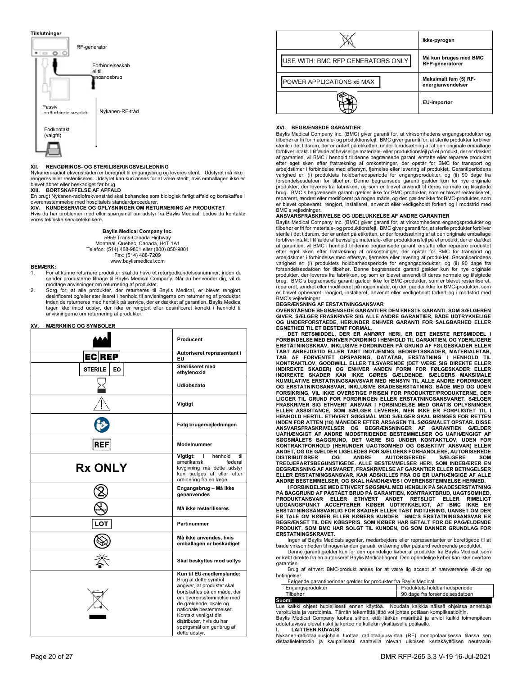

#### **XII. RENGØRINGS- OG STERILISERINGSVEJLEDNING**

Nykanen-radiofrekvenstråden er beregnet til engangsbrug og leveres steril. Udstyret må ikke rengøres eller resteriliseres. Udstyret kan kun anses for at være sterilt, hvis emballagen ikke er

blevet åbnet eller beskadiget før brug. **XIII. BORTSKAFFELSE AF AFFALD** 

En brugt Nykanen-radiofrekvenstråd skal behandles som biologisk farligt affald og bortskaffes i overensstemmelse med hospitalets standardprocedurer. **XIV. KUNDESERVICE OG OPLYSNINGER OM RETURNERING AF PRODUKTET** 

Hvis du har problemer med eller spørgsmål om udstyr fra Baylis Medical, bedes du kontakte vores tekniske serviceteknikere.

> **Baylis Medical Company Inc.**  5959 Trans-Canada Highway Montreal, Quebec, Canada, H4T 1A1 Telefon: (514) 488-9801 eller (800) 850-9801 Fax: (514) 488-7209 www.baylismedical.com

#### **BEMÆRK:**

- 1. For at kunne returnere produkter skal du have et returgodkendelsesnummer, inden du sender produkterne tilbage til Baylis Medical Company. Når du henvender dig, vil du modtage anvisninger om returnering af produktet.
- 2. Sørg for, at alle produkter, der returneres til Baylis Medical, er blevet rengjort, desinficeret og/eller steriliseret i henhold til anvisningerne om returnering af produkter,<br>inden de returneres med henblik på service, der er dækket af garantien. Baylis Medical tager ikke imod udstyr, der ikke er rengjort eller desinficeret korrekt i henhold til anvisningerne om returnering af produkter.

#### **XV. MÆRKNING OG SYMBOLER**

|                      | Producent                                                                                                                                                                                                                                                                                      |
|----------------------|------------------------------------------------------------------------------------------------------------------------------------------------------------------------------------------------------------------------------------------------------------------------------------------------|
| EC REP               | Autoriseret repræsentant i<br>EU                                                                                                                                                                                                                                                               |
| <b>STERILE</b><br>EO | Steriliseret med<br>ethylenoxid                                                                                                                                                                                                                                                                |
|                      | Udløbsdato                                                                                                                                                                                                                                                                                     |
|                      | Vigtigt                                                                                                                                                                                                                                                                                        |
|                      | Følg brugervejledningen                                                                                                                                                                                                                                                                        |
| <b>REF</b>           | Modelnummer                                                                                                                                                                                                                                                                                    |
| <b>Rx ONLY</b>       | Vigtigt:<br>henhold<br>til<br>$\mathbf{L}$<br>amerikansk<br>føderal<br>lovgivning må dette udstyr<br>kun sælges af eller efter<br>ordinering fra en læge.                                                                                                                                      |
|                      | Engangsbrug - Må ikke<br>genanvendes                                                                                                                                                                                                                                                           |
|                      | Må ikke resteriliseres                                                                                                                                                                                                                                                                         |
| LOT                  | Partinummer                                                                                                                                                                                                                                                                                    |
|                      | Må ikke anvendes, hvis<br>emballagen er beskadiget                                                                                                                                                                                                                                             |
|                      | Skal beskyttes mod sollys                                                                                                                                                                                                                                                                      |
|                      | Kun til EU-medlemslande:<br>Brug af dette symbol<br>angiver, at produktet skal<br>bortskaffes på en måde, der<br>er i overensstemmelse med<br>de gældende lokale og<br>nationale bestemmelser.<br>Kontakt venligst din<br>distributør, hvis du har<br>spørgsmål om genbrug af<br>dette udstyr. |



### **XVI. BEGRÆNSEDE GARANTIER**

Baylis Medical Company Inc. (BMC) giver garanti for, at virksomhedens engangsprodukter og tilbehør er fri for materiale- og produktionsfejl. BMC giver garanti for, at sterile produkter forbliver sterile i det tidsrum, der er anført på etiketten, under forudsætning af at den originale emballage forbliver intakt. I tilfælde af beviselige materiale- eller produktionsfejl på et produkt, der er dækket af garantien, vil BMC i henhold til denne begrænsede garanti erstatte eller reparere produktet efter eget skøn efter fratrækning af omkostninger, der opstår for BMC for transport og arbejdstimer i forbindelse med eftersyn, fjernelse eller levering af produktet. Garantiperiodens varighed er: (i) produktets holdbarhedsperiode for engangsprodukter, og (ii) 90 dage fra forsendelsesdatoen for tilbehør. Denne begrænsede garanti gælder kun for nye originale produkter, der leveres fra fabrikken, og som er blevet anvendt til deres normale og tilsigtede brug. BMC's begrænsede garanti gælder ikke for BMC-produkter, som er blevet resteriliseret, repareret, ændret eller modificeret på nogen måde, og den gælder ikke for BMC-produkter, som er blevet opbevaret, rengjort, installeret, anvendt eller vedligeholdt forkert og i modstrid med BMC's veiledninge

#### **ANSVARSFRASKRIVELSE OG UDELUKKELSE AF ANDRE GARANTIER**

Baylis Medical Company Inc. (BMC) giver garanti for, at virksomhedens engangsprodukter og tilbehør er fri for materiale- og produktionsfejl. BMC giver garanti for, at sterile produkter forbliver sterile i det tidsrum, der er anført på etiketten, under forudsætning af at den originale emballage forbliver intakt. I tilfælde af beviselige materiale- eller produktionsfejl på et produkt, der er dækket af garantien, vil BMC i henhold til denne begrænsede garanti erstatte eller reparere produktet efter eget skøn efter fratrækning af omkostninger, der opstår for BMC for transport og arbejdstimer i forbindelse med eftersyn, fjernelse eller levering af produktet. Garantiperiodens varighed er: (i) produktets holdbarhedsperiode for engangsprodukter, og (ii) 90 dage fra forsendelsesdatoen for tilbehør. Denne begrænsede garanti gælder kun for nye originale produkter, der leveres fra fabrikken, og som er blevet anvendt til deres normale og tilsigtede brug. BMC's begrænsede garanti gælder ikke for BMC-produkter, som er blevet resteriliseret, repareret, ændret eller modificeret på nogen måde, og den gælder ikke for BMC-produkter, som er blevet opbevaret, rengjort, installeret, anvendt eller vedligeholdt forkert og i modstrid med

# BMC's vejledninger. **BEGRÆNSNING AF ERSTATNINGSANSVAR**

**OVENSTÅENDE BEGRÆNSEDE GARANTI ER DEN ENESTE GARANTI, SOM SÆLGEREN GIVER. SÆLGER FRASKRIVER SIG ALLE ANDRE GARANTIER, BÅDE UDTRYKKELIGE OG UNDERFORSTÅEDE, HERUNDER ENHVER GARANTI FOR SALGBARHED ELLER** 

**EGNETHED TIL ET BESTEMT FORMÅL. DET RETSMIDDEL, DER ER ANFØRT HERI, ER DET ENESTE RETSMIDDEL I FORBINDELSE MED ENHVER FORDRING I HENHOLD TIL GARANTIEN, OG YDERLIGERE ERSTATNINGSKRAV, INKLUSIVE FORDRINGER PÅ GRUND AF FØLGESKADER ELLER TABT ARBEJDSTID ELLER TABT INDTJENING, BEDRIFTSSKADER, MATERIALETAB, TAB AF FORVENTET OPSPARING, DATATAB, ERSTATNING I HENHOLD TIL KONTRAKTLOV, GOODWILL ELLER TILSVARENDE (DET VÆRE SIG DIREKTE ELLER**  INDIREKTE SKADER) OG ENHVER ANDEN FORM FOR FØLGESKADER ELLER<br>INDIREKTE SKADER KAN IKKE GØRES GÆLDENDE. SÆLGERS MAKSIMALE<br>KUMULATIVE ERSTATNINGSANVSVAR MED HENSYN TIL ALLE ANDRE FORDRINGER **OG ERSTATNINGSANSVAR, INKLUSIVE SKADESERSTATNING, BÅDE MED OG UDEN FORSIKRING, VIL IKKE OVERSTIGE PRISEN FOR PRODUKTET/PRODUKTERNE, DER LIGGER TIL GRUND FOR FORDRINGEN ELLER ERSTATNINGSANSVARET. SÆLGER FRASKRIVER SIG ETHVERT ANSVAR I FORBINDELSE MED GRATIS OPLYSNINGER ELLER ASSISTANCE, SOM SÆLGER LEVERER, MEN IKKE ER FORPLIGTET TIL I**  HENHOLD HERTIL. ETHVERT SØGSMAL MOD SÆLGER SKAL BRINGES FOR RETTEN<br>INDEN FOR ATTEN (18) MÅNEDER EFTER ÅRSAGEN TIL SØGSMÅLET OPSTÅR. DISSE<br>ANSVARSFRASKRIVELSER – OG – BEGRÆNSNINGER – AF – GARANTIEN – GÆLDER<br>UAFHÆNGIGT – AF **ANDET, OG DE GÆLDER LIGELEDES FOR SÆLGERS FORHANDLERE, AUTORISEREDE**  DISTRIBUTØRER OG ANDRE AUTORISEREDE SÆLGERE SOM<br>TREDJEPARTSBEGUNSTIGEDE. ALLE BESTEMMELSER HERI, SOM INDEBÆRERER<br>BEGRÆNSNING AF ANSVARET, FRASKRIVELSE AF GARANTIER ELLER BETINGELSER **ELLER ERSTATNINGSANSVAR, KAN ADSKILLES FRA OG ER UAFHÆNGIGE AF ALLE** 

**ANDRE BESTEMMELSER, OG SKAL HÅNDHÆVES I OVERENSSTEMMELSE HERMED. I FORBINDELSE MED ETHVERT SØGSMÅL MED HENBLIK PÅ SKADESERSTATNING**  PA BAGGRUND AF PASTAET BRUD PA GARANTIEN, KONTRAKTBRUD, UAGTSOMHED,<br>PRODUKTANSVAR – ELLER – ETHVERT – ANDET – RETSLIGT – ELLER – RIMELIGT<br>UDGANGSPUNKT – ACCEPTERER – KØBER – UDTRYKKELIGT, – AT – BMC – IKKE – ER<br>ERSTATNINGS **BEGRÆNSET TIL DEN KØBSPRIS, SOM KØBER HAR BETALT FOR DE PÅGÆLDENDE PRODUKT, SOM BMC HAR SOLGT TIL KUNDEN, OG SOM DANNER GRUNDLAG FOR ERSTATNINGSKRAVET.** 

Ingen af Baylis Medicals agenter, medarbejdere eller repræsentanter er berettigede til at

binde virksomheden til nogen anden garanti, erklæring eller påstand vedrørende produktet. Denne garanti gælder kun for den oprindelige køber af produkter fra Baylis Medical, som er købt direkte fra en autoriseret Baylis Medical-agent. Den oprindelige køber kan ikke overføre garantien.

 Brug af ethvert BMC-produkt anses for at være lig accept af nærværende vilkår og betingel

Følgende garantiperioder gælder for produkter fra Baylis Medical:

| gangsprodukter | Produktets holdbarhedsperiode     |
|----------------|-----------------------------------|
| rilbehør       | dage fra forsendelsesdatoen<br>90 |
| Suomi          |                                   |

**Suomi**<br>Lue kaikki ohjeet huolellisesti ennen käyttöä. Noudata kaikkia näissä ohjeissa annettuja varoituksia ja varotoimia. Tämän tekemättä jättö voi johtaa potilaan komplikaatioihin. Baylis Medical Company luottaa siihen, että lääkäri määrittää ja arvioi kaikki toimenpiteen odotettavissa olevat riskit ja kertoo ne kullekin yksittäiselle potilaalle.

#### **I. LAITTEEN KUVAUS**

Nykanen-radiotaajuusjohdin tuottaa radiotaajuusvirtaa (RF) monopolaarisessa tilassa sen distaalielektrodin ja kaupallisesti saatavilla olevan ulkoisen kertakäyttöisen neutraalin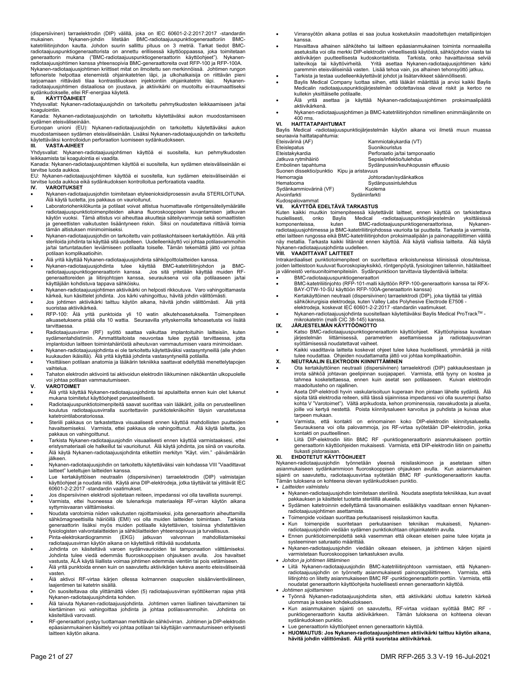(dispersiivinen) tarraelektrodin (DIP) välillä, joka on IEC 60601-2-2:2017:2017 -standardin<br>mukainen. Nykanen-johdin liitetään BMC-radiotaajuuspunktiogeneraattoriin BMC-<br>katetriliitinjohdon kautta. Johdon suurin salli radiotaajuuspunktiogeneraattorista on annettu erillisessä käyttöoppaassa, joka toimitetaan generaattorin mukana ("BMC-radiotaajuuspunktiogeneraattorin käyttöohjeet"). Nykanenradiotaajuusjohtimen kanssa yhteensopivia BMC-generaattoreita ovat RFP-100 ja RFP-100A.

Nykanen-radiotaajuusjohtimen kriittiset mitat on ilmoitettu sen merkinnöissä. Johtimen rungon tefloneriste helpottaa etenemistä ohjainkatetrien läpi, ja ulkohalkaisija on riittävän pieni tarjoamaan riittävästi tilaa kontrastiliuoksen injektointiin ohjainkatetrin läpi. Nyk radiotaajuusjohtimen distaaliosa on joustava, ja aktiivikärki on muotoiltu ei-traumaattiseksi sydänkudokselle, ellei RF-energiaa käytetä.

## **II. KÄYTTÖAIHEET**

Yhdysvallat: Nykanen-radiotaajuusjohdin on tarkoitettu pehmytkudosten leikkaamiseen ja/tai koagulointiin.

Kanada: Nykanen-radiotaajuusjohdin on tarkoitettu käytettäväksi aukon muodostamiseen sydämen eteisväliseinään.

Euroopan unioni (EU): Nykanen-radiotaajuusjohdin on tarkoitettu käytettäväksi aukon muodostamiseen sydämen eteisväliseinään. Lisäksi Nykanen-radiotaajuusjohdin on tarkoitettu käytettäväksi kontrolloidun perforaation luomiseen sydänkudokseen.

## **III. VASTA-AIHEET**

Yhdysvallat: Nykanen-radiotaajuusjohtimen käyttöä ei suositella, kun pehmytkudosten leikkaamista tai koagulointia ei vaadita.

Kanada: Nykanen-radiotaajuusjohtimen käyttöä ei suositella, kun sydämen eteisväliseinään ei tarvitse luoda aukkoa.

EU: Nykanen-radiotaajuusjohtimen käyttöä ei suositella, kun sydämen eteisväliseinään ei tarvitse luoda aukkoa eikä sydänkudoksen kontrolloitua perforaatiota vaadita.<br>IV. VAROITUKSET

- **IV. VAROITUKSET**
- Nykanen-radiotaajuusjohdin toimitetaan etyleenioksidiprosessin avulla STERILOITUNA. Älä käytä tuotetta, jos pakkaus on vaurioitunut.
- Laboratoriohenkilökunta ja potilaat voivat altistua huomattavalle röntgensäteilymäärälle radiotaajuuspunktiotoimenpiteiden aikana fluoroskooppisen kuvantamisen jatkuvan käytön vuoksi. Tämä altistus voi aiheuttaa akuutteja säteilyvammoja sekä somaattisten ja geneettisten vaikutusten lisääntyneen riskin. Siksi on noudatettava riittäviä toimia tämän altistuksen minimoimiseksi.
- Nykanen-radiotaajuusjohdin on tarkoitettu vain potilaskohtaiseen kertakäyttöön. Älä yritä steriloida johdinta tai käyttää sitä uudelleen. Uudelleenkäyttö voi johtaa potilasvammoihin ja/tai tartuntatautien leviämiseen potilaalta toiselle. Tämän tekemättä jättö voi johtaa potilaan komplikaatioihin.
- 
- Älä yritä käyttää Nykanen-radiotaajuusjohdinta sähköpolttolaitteiden kanssa. Nykanen-radiotaajuusjohdinta tulee käyttää BMC-katetriliitinjohdon ja BMCradiotaajuuspunktiogeneraattorin kanssa. Jos sitä yritetään käyttää muiden RFgeneraattoreiden ja liitinjohtojen kanssa, seurauksena voi olla potilaaseen ja/tai käyttäjään kohdistuva tappava sähköisku.
- Nykanen-radiotaajuusjohtimen aktiivikärki on helposti rikkoutuva. Varo vahingoittamasta kärkeä, kun käsittelet johdinta. Jos kärki vahingoittuu, hävitä johdin välittömästi.
- Jos johtimen aktiivikärki taittuu käytön aikana, hävitä johdin välittömästi. Älä yritä suoristaa aktiivikärkeä.
- RFP-100: Älä yritä punktoida yli 10 watin alkutehoasetuksella. Toimenpiteen alkuasetuksena pitää olla 10 wattia. Seuraavilla yrityskerroilla tehoasetusta voi lisätä tarvittaessa.
- Radiotaajuusvirran (RF) syöttö saattaa vaikuttaa implantoituihin laitteisiin, kuten sydämentahdistimiin. Ammattitaitoista neuvontaa tulee pyytää tarvittaessa, jotta implantoidun laitteen toimintahäiriöstä aiheutuvan vammautumisen vaara minimoidaan. Nykanen-radiotaajuusjohdinta ei ole tarkoitettu käytettäväksi vastasyntyneillä (alle yhden
- kuukauden ikäisillä). Älä yritä käyttää johdinta vastasyntyneillä potilailla. Yksittäisen potilaan anatomia ja lääkärin tekniikka saattavat edellyttää menettelytapojen
- vaihtelua. Tahaton elektrodin aktivointi tai aktivoidun elektrodin liikkuminen näkökentän ulkopuolelle
- voi johtaa potilaan vammautumiseen. **V. VAROTOIMET**

- Älä yritä käyttää Nykanen-radiotaajuusjohdinta tai apulaitteita ennen kuin olet lukenut mukana toimitetut käyttöohjeet perusteellisesti.
- Radiotaajuuspunktiotoimenpiteitä saavat suorittaa vain lääkärit, joilla on perusteellinen koulutus radiotaajuusvirralla suoritettaviin punktiotekniikoihin täysin varustetussa katetrointilaboratoriossa.
- Steriili pakkaus on tarkastettava visuaalisesti ennen käyttöä mahdollisten puutteiden havaitsemiseksi. Varmista, ettei pakkaus ole vahingoittunut. Älä käytä laitetta, jos pakkaus on vahingoittunut.
- Tarkista Nykanen-radiotaajuusjohdin visuaalisesti ennen käyttöä varmistaaksesi, ettei eristysmateriaali ole halkeillut tai vaurioitunut. Älä käytä johdinta, jos siinä on vaurioita.
- Älä käytä Nykanen-radiotaajuusjohdinta etikettiin merkityn "Käyt. viim." -päivämäärän jälkeen.
- Nykanen-radiotaajuusjohdin on tarkoitettu käytettäväksi vain kohdassa VIII "Vaadittavat laitteet" lueteltujen laitteiden kanssa.
- Lue kertakäyttöisen neutraalin (dispersiivinen) tarraelektrodin (DIP) valmistajan käyttöohjeet ja noudata niitä. Käytä aina DIP-elektrodeja, jotka täyttävät tai ylittävät IEC 60601-2-2:2017 -standardin vaatimukset.
- Jos dispersiivinen elektrodi sijoitetaan reiteen, impedanssi voi olla tavallista suurempi. Varmista, ettei huoneessa ole tulenarkoja materiaaleja RF-virran käytön aikana syttymisvaaran välttämiseksi.
- Noudata varotoimia niiden vaikutusten rajoittamiseksi, joita generaattorin aiheuttamilla sähkömagneettisilla häiriöillä (EMI) voi olla muiden laitteiden toimintaan. Tarkista generaattorin lisäksi myös muiden potilaalle käytettävien, toisiinsa yhdistettävien fysiologisten valvontalaitteiden ja sähkölaitteiden yhteensopivuus ja turvallisuus.
- Pinta-elektrokardiogrammin (EKG) jatkuvan valvonnan mahdollistamiseksi radiotaajuusvirran käytön aikana on käytettävä riittävää suodatusta.
- Johdinta on käsiteltävä varoen sydänvaurioiden tai tamponaation välttämiseksi. Johdinta tulee viedä edemmäs fluoroskooppisen ohjauksen avulla. Jos havaitset vastusta, ÄLÄ käytä liiallista voimaa johtimen edemmäs vientiin tai pois vetämiseen.
- Älä yritä punktoida ennen kuin on saavutettu aktiivikärjen tukeva asento eteisväliseinää vasten.
- Älä aktivoi RF-virtaa kärjen ollessa kolmannen osapuolen sisäänvientivälineen, laajentimen tai katetrin sisällä.
- On suositeltavaa olla ylittämättä viiden (5) radiotaajuusvirran syöttökerran rajaa yhtä Nykanen-radiotaajuusjohdinta kohden.
- Älä taivuta Nykanen-radiotaajuusjohdinta. Johtimen varren liiallinen taivuttaminen tai kiertäminen voi vahingoittaa johdinta ja johtaa potilasvammoihin. käsiteltävä varovasti.
- RF-generaattori pystyy tuottamaan merkittävän sähkövirran. Johtimen ja DIP-elektrodin epäasianmukainen käsittely voi johtaa potilaan tai käyttäjän vammautumiseen erityisesti laitteen käytön aikana.
- Virransyötön aikana potilas ei saa joutua kosketuksiin maadoitettujen metallipintojen kanssa.
- Havaittava alhainen sähköteho tai laitteen epäasianmukainen toiminta normaaleilla asetuksilla voi olla merkki DIP-elektrodin virheellisestä käytöstä, sähköjohdon viasta tai aktiivikärjen puutteellisesta kudoskontaktista. Tarkista, onko havaittavissa selviä laitevikoja tai käyttövirheitä. Yritä asettaa Nykanen-radiotaajuusjohtimen kärki paremmin eteisväliseinää vasten. Lisää tehoa vain, jos alhainen tehonsyöttö jatkuu.
- Tarkista ja testaa uudelleenkäytettävät johdot ja lisätarvikkeet säännöllisesti.
- Baylis Medical Company luottaa siihen, että lääkäri määrittää ja arvioi kaikki Baylis Medicalin radiotaajuuspunktiojärjestelmän odotettavissa olevat riskit ja kertoo ne kullekin yksittäiselle potilaalle.
- Älä yritä asettaa ja käyttää Nykanen-radiotaajuusjohtimen proksimaalipäätä aktiivikärkenä.
- Nykanen-radiotaajuusjohtimen ja BMC-katetriliitinjohdon nimellinen enimmäisjännite on 400 rms.

## **VI. HAITTATAPAHTUMAT**

Baylis Medical -radiotaajuuspunktiojärjestelmän käytön aikana voi ilmetä muun muassa seuraavia haittatapahtumia:

| Eteisvärinä (AF)         | Kammiotakykardia (VT)             |
|--------------------------|-----------------------------------|
| Eteislepatus             | Suonikouristus                    |
| Eteistakykardia          | Perforaatio ja/tai tamponaatio    |
| Jatkuva rytmihäiriö      | Sepsis/infektio/tulehdus          |
| Embolinen tapahtuma      | Sydänpussin/keuhkopussin effuusio |
| Suonen dissektio/punktio | Kipu ja aristavuus                |
| Hemorragia               | Johtoradan/sydänkatkos            |
| Hematooma                | Sydänpussintulehdus               |
| Sydänkammiovärinä (VF)   | Kuolema                           |
| Aivoinfarkti             | Svdäninfarkti                     |

#### Kudospalovamma **VII. KÄYTTÖÄ EDELTÄVÄ TARKASTUS**

Kuten kaikki muutkin toimenpiteessä käytettävät laitteet, ennen käyttöä on tarkistettava huolellisesti, onko Baylis Medical -radiotaajuuspunktiojärjestelmän yksittäisissä huolellisesti, onko Bayiis medicai -radiotaajuuspunkiioganesseiman yisitualisissa,<br>komponenteissa, kuten BMC-radiotaajuuspunktiogeneraattorissa, Nykanenradiotaajuusjohtimessa ja BMC-katetriliitinjohdossa vaurioita tai puutteita. Tarkasta ja varmista, ettei laitteen rungossa eikä BMC-katetriliitinjohdon proksimaalipään ja painonappiliittimen välillä näy metallia. Tarkasta kaikki liitännät ennen käyttöä. Älä käytä viallisia laitteita. Älä käytä Nykanen-radiotaajuusjohdinta uudelleen. **VIII. VAADITTAVAT LAITTEET** 

Intrakardiaaliset punktiotoimenpiteet on suoritettava erikoistuneissa kliinisissä olosuhteissa, joiden laitteistoon kuuluvat fluoroskopiayksikkö, röntgenpöytä, fysiologinen tallennin, hätälaitteet ja välineistö verisuonitoimenpiteisiin. Sydänpunktioon tarvittavia täydentäviä laitteita: BMC-radiotaajuuspunktiogeneraattori

- 
- BMC-katetriliitinjohto (RFP-101-malli käyttöön RFP-100-generaattorin kanssa tai RFX-BAY-OTW-10-SU käyttöön RFP-100A-generaattorin kanssa)
- Kertakäyttöinen neutraali (dispersiivinen) tarraelektrodi (DIP), joka täyttää tai ylittää sähkökirurgisia elektrodeja, kuten Valley Labs Polyhesive Electrode E7506 elektrodeja, koskevat IEC 60601-2-2:2017 -standardin vaatimukset.
- Nykanen-radiotaajuusjohdinta suositellaan käytettäväksi Baylis Medical ProTrackTM mikrokatetrin (malli CIC 38-145) kanssa.

### **IX. JÄRJESTELMÄN KÄYTTÖÖNOTTO**

- Katso BMC-radiotaajuuspunktiogeneraattorin käyttöohjeet. Käyttöohjeissa kuvataan järjestelmän liittämisessä, parametrien asettamisessa ja radiotaajuusvirran syöttämisessä noudatettavat vaiheet.
- Kaikki vaadittavia laitteita koskevat ohjeet tulee lukea huolellisesti, ymmärtää ja niitä tulee noudattaa. Ohjeiden noudattamatta jättö voi johtaa komplikaatioihin. **X. NEUTRAALIN ELEKTRODIN KIINNITTÄMINEN**
- 
- Ota kertakäyttöinen neutraali (dispersiivinen) tarraelektrodi (DIP) pakkauksestaan ja irrota sähköä johtavan geelipinnan suojapaperi. Varmista, että tyyny on kostea ja tahmea kosketettaessa, ennen kuin asetat sen potilaaseen. maadoitusteho on rajallinen.
- Aseta DIP-elektrodi hyvin vaskularisoituun kuperaan ihon pintaan lähelle sydäntä. Älä sijoita tätä elektrodia reiteen, sillä tässä sijainnissa impedanssi voi olla suurempi (katso kohta V "Varotoimet"). Vältä arpikudosta, kehon prominenssia, rasvakudosta ja alueita, joille voi kertyä nestettä. Poista kiinnitysalueen karvoitus ja puhdista ja kuivaa alue tarpeen mukaan.
- Varmista, että kontakti on erinomainen koko DIP-elektrodin kiinnitysalueella. Seurauksena voi olla palovammoja, jos RF-virtaa syötetään DIP-elektrodiin, jonka kontakti on puutteellinen.
- Liitä DIP-elektrodin liitin BMC RF -punktiogeneraattorin asianmukaiseen porttiin generaattorin käyttöohjeiden mukaisesti. Varmista, että DIP-elektrodin liitin on painettu tiukasti pistorasiaan.

#### **XI. EHDOTETUT KÄYTTÖOHJEET**

Nykanen-radiotaajuusjohdin työnnetään yleensä reisilaskimoon ja asetetaan sitten asianmukaiseen sydänkammioon fluoroskooppisen ohjauksen avulla. Kun asianmukainen sijainti on saavutettu, radiotaajuusvirtaa syötetään BMC RF -punktiogeneraattorin kautta. Tämän tuloksena on kohteena olevan sydänkudoksen punktio.

- *Laitteiden valmistelu*
- Nykanen-radiotaajuusjohdin toimitetaan steriilinä. Noudata aseptista tekniikkaa, kun avaat pakkauksen ja käsittelet tuotetta steriilillä alueella. Sydämen katetroinnin edellyttämä tavanomainen esilääkitys vaaditaan ennen Nykanen-
- radiotaajuusjohtimen asettamista.
- Toimenpide voidaan suorittaa perkutaanisesti reisilaskimon kautta.
- Kun toimenpide suoritetaan perkutaanisen tekniikan mukaisesti, Nykanen-radiotaajuusjohdin viedään sydämen punktiokohtaan ohjainkatetrin avulla.
- Ennen punktiotoimenpidettä sekä vasemman että oikean eteisen paine tulee kirjata ja systeeminen saturaatio määrittää.
- Nykanen-radiotaajuusjohdin viedään oikeaan eteiseen, ja johtimen kärjen sijainti varmistetaan fluoroskooppisen tarkastuksen avulla.
- *Johdon ja johtimen liittäminen*
- Liitä Nykanen-radiotaajuusjohdin BMC-katetriliitinjohtoon varmistaen, että Nykanenradiotaajuusjohdin on työnnetty asianmukaisesti painonappiliittimeen. Varmista, että<br>liitinjohto on liitetty asianmukaiseen BMC RF -punktiogeneraattorin porttiin. Varmista, että<br>noudatat generaattorin käyttöohjeit *Johtimen sijoittaminen*
- Työnnä Nykanen-radiotaajuusjohdinta siten, että aktiivikärki ulottuu katetrin kärkeä ulommas ja koskee kohdekudokseen.
- Kun asianmukainen sijainti on saavutettu, RF-virtaa voidaan syöttää BMC RF punktiogeneraattorin kautta aktiivikärkeen. Tämän tuloksena on kohteena olevan sydänkudoksen punktio.
- Lue generaattorin käyttöohjeet ennen generaattorin käyttöä.
- **HUOMAUTUS: Jos Nykanen-radiotaajuusjohtimen aktiivikärki taittuu käytön aikana, hävitä johdin välittömästi. Älä yritä suoristaa aktiivikärkeä.**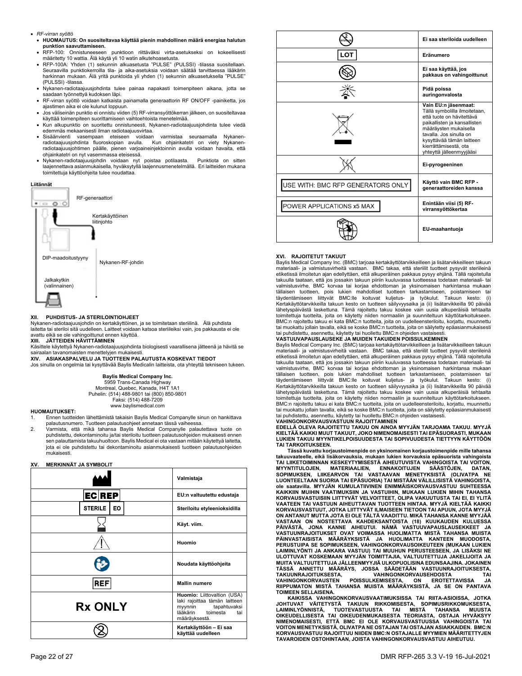- *RF-virran syöttö*
- **HUOMAUTUS: On suositeltavaa käyttää pienin mahdollinen määrä energiaa halutun punktion saavuttamiseen.**
- RFP-100: Onnistuneeseen punktioon riittäväksi virta-asetukseksi on kokeellisesti määritetty 10 wattia. Älä käytä yli 10 watin alkutehoasetusta.
- RFP-100A: Yhden (1) sekunnin alkuasetusta "PULSE" (PULSSI) -tilassa suositellaan. Seuraavilla punktiokerroilla tila- ja aika-asetuksia voidaan säätää tarvittaessa lääkärin harkinnan mukaan. Älä yritä punktoida yli yhden (1) sekunnin alkuasetuksella "PULSE" (PULSSI) -tilassa.
- Nykanen-radiotaajuusjohdinta tulee painaa napakasti toimenpiteen aikana, jotta se saadaan työnnettyä kudoksen läpi.
- RF-virran syöttö voidaan katkaista painamalla generaattorin RF ON/OFF -painiketta, jos ajastimen aika ei ole kulunut loppuun.
- Jos väliseinän punktio ei onnistu viiden (5) RF-virransyöttökerran jälkeen, on suositeltavaa käyttää toimenpiteen suorittamiseen vaihtoehtoista menetelmää.
- Kun alkupunktio on suoritettu onnistuneesti. Nykanen-radiotaajuusjohdinta tulee viedä
- edemmäs mekaanisesti ilman radiotaajuusvirtaa.<br>Sisäänvienti vasempaan eteiseen voidaan varmistaa seuraamalla Nykanen-<br>radiotaajuusjohdinta fluoroskopian avulla. Kun ohjainkatetri on viety Nykanen- Sisäänvienti vasempaan eteiseen voidaan varmistaa seuraamalla Nykanen-radiotaajuusjohdinta fluoroskopian avulla. Kun ohjainkatetri on viety Nykanenradiotaajuusjohtimen päälle, pienen varjoaineinjektoinnin avulla voidaan havaita, että ohjainkatetri on nyt vasemmassa eteisessä.
- Nykanen-radiotaajuusjohdin voidaan nyt poistaa potilaasta. Punktiota on sitten laajennettava asianmukaisella, hyväksytyllä laajennusmenetelmällä. Eri laitteiden mukana toimitettuja käyttöohjeita tulee noudattaa.

## **Liitännät**



#### **XII. PUHDISTUS- JA STERILOINTIOHJEET**

Nykanen-radiotaajuusjohdin on kertakäyttöinen, ja se toimitetaan steriilinä. Älä puhdista laitetta tai steriloi sitä uudelleen. Laitteet voidaan katsoa steriileiksi vain, jos pakkausta ei ole avattu eikä se ole vahingoittunut ennen käyttöä.

## **XIII. JÄTTEIDEN HÄVITTÄMINEN**

Käsittele käytettyä Nykanen-radiotaajuusjohdinta biologisesti vaarallisena jätteenä ja hävitä se sairaalan tavanomaisten menettelyjen mukaisesti.

**XIV. ASIAKASPALVELU JA TUOTTEEN PALAUTUSTA KOSKEVAT TIEDOT**  Jos sinulla on ongelmia tai kysyttävää Baylis Medicalin laitteista, ota yhteyttä tekniseen tukeen.

## **Baylis Medical Company Inc.**

5959 Trans-Canada Highway Montreal, Quebec, Kanada, H4T 1A1 Puhelin: (514) 488-9801 tai (800) 850-9801 Faksi: (514) 488-7209 www.baylismedical.com

#### **HUOMAUTUKSET:**

1. Ennen tuotteiden lähettämistä takaisin Baylis Medical Companylle sinun on hankittava palautusnumero. Tuotteen palautusohjeet annetaan tässä vaiheessa.

2. Varmista, että mikä tahansa Baylis Medical Companylle palautettava tuote on puhdistettu, dekontaminoitu ja/tai steriloitu tuotteen palautusohjeiden mukaisesti ennen sen palauttamista takuuhuoltoon. Baylis Medical ei ota vastaan mitään käytettyä laitetta, jota ei ole puhdistettu tai dekontaminoitu asianmukaisesti tuotteen palautusohjeiden mukaisesti.

### **XV. MERKINNÄT JA SYMBOLIT**

|                      | Valmistaja                                                                                                                              |
|----------------------|-----------------------------------------------------------------------------------------------------------------------------------------|
| <b>ECREP</b>         | EU:n valtuutettu edustaja                                                                                                               |
| <b>STERILE</b><br>EO | Steriloitu etyleenioksidilla                                                                                                            |
|                      | Käyt. viim.                                                                                                                             |
|                      | Huomio                                                                                                                                  |
|                      | Noudata käyttöohjeita                                                                                                                   |
| <b>REF</b>           | <b>Mallin numero</b>                                                                                                                    |
| <b>Rx ONLY</b>       | Huomio: Liittovaltion (USA)<br>laki rajoittaa tämän laitteen<br>myynnin<br>tapahtuvaksi<br>lääkärin<br>toimesta<br>tai<br>määräyksestä. |
|                      | Kertakäyttöön - Ei saa<br>käyttää uudelleen                                                                                             |



#### **XVI. RAJOITETUT TAKUUT**

Baylis Medical Company Inc. (BMC) tarjoaa kertakäyttötarvikkeilleen ja lisätarvikkeilleen takuun materiaali- ja valmistusvirheitä vastaan. BMC takaa, että steriilit tuotteet pysyvät steriileinä etiketissä ilmoitetun ajan edellyttäen, että alkuperäinen pakkaus pysyy ehjänä. Tällä rajoitetulla takuulla taataan, että jos jossakin takuun piiriin kuuluvassa tuotteessa todetaan materiaali- tai<br>valmistusvirhe, BMC korvaa tai korjaa ehdottoman ja yksinomaisen harkintansa mukaan<br>tällaisen tuotteen, pois lukien mahd Kertakäyttötarvikkeilla takuun kesto on tuotteen säilyvyysaika ja (ii) lisätarvikkeilla 90 päivää lähetyspäivästä laskettuna. Tämä rajoitettu takuu koskee vain uusia alkuperäisiä tehtaalta toimitettuja tuotteita, joita on käytetty niiden normaaliin ja suunniteltuun käyttötarkoitukseen. BMC:n rajoitettu takuu ei kata BMC:n tuotteita, joita on uudelleensteriloitu, korjattu, muunnettu tai muokattu jollain tavalla, eikä se koske BMC:n tuotteita, joita on säilytetty epäasianmukaisesti tai puhdistettu, asennettu, käytetty tai huollettu BMC:n ohjeiden vastaisesti.

**VASTUUVAPAUSLAUSEKE JA MUIDEN TAKUIDEN POISSULKEMINEN**<br>Baylis Medical Company Inc. (BMC) tarjoaa kertakäyttötarvikkeilleen ja lisätarvikkeilleen takuun materiaali- ja valmistusvirheitä vastaan. BMC takaa, että steriilit tuotteet pysyvät steriileinä etiketissä ilmoitetun ajan edellyttäen, että alkuperäinen pakkaus pysyy ehjänä. Tällä rajoitetulla takuulla taataan, että jos jossakin takuun piiriin kuuluvassa tuotteessa todetaan materiaali- tai valmistusvirhe, BMC korvaa tai korjaa ehdottoman ja yksinomaisen harkintansa mukaan<br>tällaisen tuotteen, pois lukien mahdolliset tuotteen tarkastamiseen, poistamiseen tai<br>tälydentämiseen liittyvät BMC:lle koituva lähetyspäivästä laskettuna. Tämä rajoitettu takuu koskee vain uusia alkuperäisiä tehtaalta toimitettuja tuotteita, joita on käytetty niiden normaaliin ja suunniteltuun käyttötarkoitukseen. BMC:n rajoitettu takuu ei kata BMC:n tuotteita, joita on uudelleensteriloitu, korjattu, muunnettu tai muokattu jollain tavalla, eikä se koske BMC:n tuotteita, joita on säilytetty epäasianmukaisesti tai puhdistettu, asennettu, käytetty tai huollettu BMC:n ohjeiden vastaisesti.

## **VAHINGONKORVAUSVASTUUN RAJOITTAMINEN**

**EDELLÄ OLEVA RAJOITETTU TAKUU ON AINOA MYYJÄN TARJOAMA TAKUU. MYYJÄ KIELTÄÄ KAIKKI MUUT TAKUUT, JOKO NIMENOMAISESTI TAI EPÄSUORASTI, MUKAAN LUKIEN TAKUU MYYNTIKELPOISUUDESTA TAI SOPIVUUDESTA TIETTYYN KÄYTTÖÖN TAI TARKOITUKSEEN.** 

 **Tässä kuvattu korjaustoimenpide on yksinomainen korjaustoimenpide mille tahansa**  takuuvaateelle, eikä lisäkorvauksia, mukaan lukien korvauksia epäsuorista vahingoista<br>TAI LIIKETOIMINNAN KESKEYTYMISESTÄ AIHEUTUVISTA VAHINGOISTA TAI VOITON,<br>MYYNTITULOJEN, MATERIAALIEN, ENNAKOITUJEN SÄÄSTÖJEN, **ole saatavilla. MYYJÄN KUMULATIIVINEN ENIMMÄISKORVAUSVASTUU SUHTEESSA KAIKKIIN MUIHIN VAATIMUKSIIN JA VASTUIHIN, MUKAAN LUKIEN MIHIN TAHANSA KORVAUSVASTUISIIN LIITTYVÄT VELVOITTEET, OLIPA VAKUUTUSTA TAI EI, EI YLITÄ VAATEEN TAI VASTUUN AIHEUTTAVAN TUOTTEEN HINTAA. MYYJÄ KIELTÄÄ KAIKKI KORVAUSVASTUUT, JOTKA LIITTYVÄT ILMAISEEN TIETOON TAI APUUN, JOTA MYYJÄ**  ON ANTANUT MUTTA JOTA EI OLE TÄLTÄ VAADITTU. MIKÄ TAHANSA KANNE MYYJÄÄ<br>VASTAAN ON NOSTETTAVA KAHDEKSANTOISTA (18) KUUKAUDEN KULUESSA<br>PÄIVÄSTÄ, JONA KANNE AIHEUTUI. NÄMÄ VASTUUVAPAUSLAUSEKKEET JA<br>VAS **PERUSTUIPA SE SOPIMUKSEEN, VAHINGONKORVAUSOIKEUTEEN (MUKAAN LUKIEN**  LAIMINLYÖNTI JA ANKARA VASTUU) TAI MUUHUN PERUSTEESEEN, JA LISÄKSI NE<br>ULOTTUVAT KOSKEMAAN MYYJÄN TOIMITTAJIA, VALTUUTETTUJA JAKELIJOITA JA<br>MUITAVALTUUTETTUJA JÄLLEENMYYJIÄ ULKOPUOLISINA EDUNSAAJINA JOKAINEN<br>MÄSSÄ – ANNETTU **TAKUUNRAJOITUKSESTA, VAHINGONKORVAUSEHDOSTA TAI VAHINGONKORVAUSTEN POISSULKEMISESTA, ON EROTETTAVISSA JA RIIPPUMATON MISTÄ TAHANSA MUISTA MÄÄRÄYKSISTÄ, JA SE ON PANTAVA TOIMEEN SELLAISENA.**

 **KAIKISSA VAHINGONKORVAUSVAATIMUKSISSA TAI RIITA-ASIOISSA, JOTKA**  JOHTUVAT VÄITETYSTÄ TAKUUN RIKKOMISESTA, SOPIMUSRIKKOMUKSESTA,<br>LAIMINLYÖNNISTÄ, TUOTEVASTUUSTA TAI MISTÄ TAHANSA MUUSTA<br>OIKEUDELLISESTA TAI OIKEUDENMUKAISESTA TEORIASTA, OSTAJA HYVÄKSYY<br>NIMENOMAISESTI, ETTÄ BMC EI OLE KORV **KORVAUSVASTUU RAJOITTUU NIIDEN BMC:N OSTAJALLE MYYMIEN MÄÄRITETTYJEN TAVAROIDEN OSTOHINTAAN, JOISTA VAHINGONKORVAUSVASTUU AIHEUTUU.**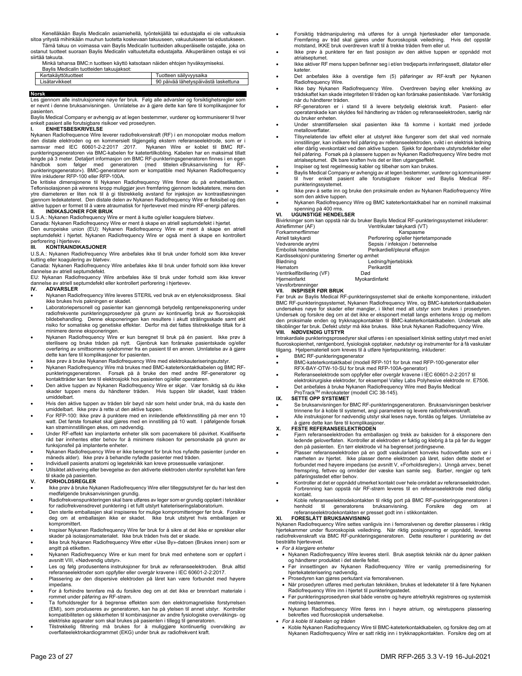Kenelläkään Baylis Medicalin asiamiehellä, työntekijällä tai edustajalla ei ole valtuuksia sitoa yritystä mihinkään muuhun tuotetta koskevaan takuuseen, vakuutukseen tai edustukseen. Tämä takuu on voimassa vain Baylis Medicalin tuotteiden alkuperäiselle ostajalle, joka on

ostanut tuotteet suoraan Baylis Medicalin valtuutetulta edustajalta. Alkuperäinen ostaja ei voi siirtää takuuta.

Minkä tahansa BMC:n tuotteen käyttö katsotaan näiden ehtojen hyväksymiseksi.

| Baylis Medicalin tuotteiden takuujaksot: |                                      |
|------------------------------------------|--------------------------------------|
| Kertakäyttötuotteet                      | Tuotteen säilyvyysaika               |
| Lisätarvikkeet                           | 90 päivää lähetyspäivästä laskettuna |
|                                          |                                      |

#### **Norsk**

Les gjennom alle instruksjonene nøye før bruk. Følg alle advarsler og forsiktighetsregler som er nevnt i denne bruksanvisningen. Unnlatelse av å gjøre dette kan føre til komplikasjoner for pasienten.

Baylis Medical Company er avhengig av at legen bestemmer, vurderer og kommuniserer til hver enkelt pasient alle forutsigbare risikoer ved prosedyren. **I. ENHETSBESKRIVELSE** 

Nykanen Radiofrequence Wire leverer radiofrekvenskraft (RF) i en monopolær modus mellom den distale elektroden og en kommersielt tilgjengelig ekstern referanseelektrode, som er i samsvar med IEC 60601-2-2:2017 :2017. Nykanen Wire er koblet til BMC RFpunkteringsgeneratoren via BMC-kabelen for katetertilkobling. Kabelen har en maksimal tillatt lengde på 3 meter. Detaljert informasjon om BMC RF-punkteringsgeneratoren finnes i en egen håndbok som følger med generatoren (med tittelen «Bruksanvisning for RFpunkteringsgenerator»). BMC-generatorer som er kompatible med Nykanen Radiofrequency Wire inkluderer RFP-100 eller RFP-100A.

De kritiske dimensjonene til Nykanen Radiofrequency Wire finner du på enhetsetiketten. Teflonisolasjonen på wirerens kropp muliggjør jevn fremføring gjennom ledekatetere, mens den ytre diameteren er liten nok til å gi tilstrekkelig avstand for injeksjon av kontrastløsningen gjennom ledekateteret. Den distale delen av Nykanen Radiofrequency Wire er fleksibel og den aktive tuppen er formet til å være atraumatisk for hjertevevet med mindre RF-energi påføres.

**II. INDIKASJONER FOR BRUK** 

U.S.A.: Nykanen Radiofrequency Wire er ment å kutte og/eller koagulere bløtvev. Canada: Nykanen Radiofrequency Wire er ment å skape en atriell septumdefekt i hjertet.

Den europeiske union (EU): Nykanen Radiofrequency Wire er ment å skape en atriell septumdefekt i hjertet. Nykanen Radiofrequency Wire er også ment å skape en kontrollert perforering i hjertevev.<br>III. KONTRAINDIK

#### **III. KONTRAINDIKASJONER**

U.S.A.: Nykanen Radiofrequency Wire anbefales ikke til bruk under forhold som ikke krever kutting eller koagulering av bløtvev.

Canada: Nykanen Radiofrequency Wire anbefales ikke til bruk under forhold som ikke krever dannelse av atriell septumdefekt.

EU: Nykanan Radiofrequency Wire anbefales ikke til bruk under forhold som ikke krever dannelse av atriell septumdefekt eller kontrollert perforering i hjertevev.<br>IV. ADVARSLER

#### **IV. ADVARSLER**

- Nykanen Radiofrequency Wire leveres STERIL ved bruk av en etylenoksidprosess. Skal ikke brukes hvis pakningen er skadet.
- Laboratoriepersonell og pasienter kan gjennomgå betydelig røntgeneksponering under radiofrekvente punkteringsprosedyrer på grunn av kontinuerlig bruk av fluoroskopisk bildebehandling. Denne eksponeringen kan resultere i akutt strålingsskade samt økt risiko for somatiske og genetiske effekter. Derfor må det fattes tilstrekkelige tiltak for å minimere denne eksponeringen.
- Mykanen Radiofrequency Wire er kun beregnet til bruk på én pasient. Ikke prøv å<br>sterilisere og bruke tråden på nytt. Gjenbruk kan forårsake pasientskade og/eller<br>overføring av smittsomme sykdommer fra en pasient til en ann dette kan føre til komplikasjoner for pasienten.<br>Ikke prøv å bruke Nykanen Radiofrequency Wire med elektrokauteriseringsutstyr.

- Ikke prøv å bruke Nykanen Radiofrequency Wire med elektrokauteriseringsutstyr.<br>- Nykanen Radiofrequency Wire må brukes med BMC-kateterkontaktkabelen og BMC RF-<br>- punkteringsgeneratoren. Forsøk på å bruke den med .<br>punkteringsgeneratoren. Forsøk på å bruke den med andre RF-generatorer og<br>kontakttråder kan føre til elektrosjokk hos pasienten og/eller operatøren.
- Den aktive tuppen av Nykanen Radiofrequency Wire er skjør. Vær forsiktig så du ikke skader tuppen mens du håndterer tråden. Hvis tuppen blir skadet, kast tråden umiddelbart.
- Hvis den aktive tuppen av tråden blir bøyd når som helst under bruk, må du kaste den umiddelbart. Ikke prøv å rette ut den aktive tuppen.
- For RFP-100: Ikke prøv å punktere med en innledende effektinnstilling på mer enn 10 watt. Det første forsøket skal gjøres med en innstilling på 10 watt. I påfølgende forsøk kan strøminnstillingen økes, om nødvendig.
- Under RF-effekt kan implanterte enheter slik som pacemakere bli påvirket. Kvalifiserte råd bør innhentes etter behov for å minimere risikoen for personskade på grunn av funksjonsfeil på implanterte enheter.
- Nykanen Radiofrequency Wire er ikke beregnet for bruk hos nyfødte pasienter (under en måneds alder). Ikke prøv å behandle nyfødte pasienter med tråden.
- Individuell pasients anatomi og legeteknikk kan kreve prosessuelle variasjoner. Utilsiktet aktivering eller bevegelse av den aktiverte elektroden utenfor synsfeltet kan føre

# til skade på pasienten.

## **V. FORHOLDSREGLER**

- Ikke prøv å bruke Nykanen Radiofrequency Wire eller tilleggsutstyret før du har lest den medfølgende bruksanvisningen grundig.
- Radiofrekvenspunkteringen skal bare utføres av leger som er grundig opplært i teknikker for radiofrekvensdrevet punktering i et fullt utstyrt kateteriseringslaboratorium.
- Den sterile emballasjen skal inspiseres for mulige kompromitteringer før bruk. Forsikre deg om at emballasjen ikke er skadet. Ikke bruk utstyret hvis emballasjen er kompromittert.
- Inspiser Nykanen Radiofrequency Wire før bruk for å sikre at det ikke er sprekker eller skader på isolasjonsmaterialet. Ikke bruk tråden hvis det er skade.
- Ikke bruk Nykanen Radiofrequency Wire etter «Use By»-datoen (Brukes innen) som er angitt på etiketten.
- Nykanen Radiofrequency Wire er kun ment for bruk med enhetene som er oppført i avsnitt VIII, «Nødvendig utstyr».
- Les og følg produsentens instruksjoner for bruk av referanseelektroden. Bruk alltid referanseelektroder som oppfyller eller overgår kravene i IEC 60601-2-2:2017.
- Plassering av den dispersive elektroden på låret kan være forbundet med høyere impedans.
- For å forhindre tennfare må du forsikre deg om at det ikke er brennbart materiale i rommet under påføring av RF-strøm.
- Ta forholdsregler for å begrense effekten som den elektromagnetiske forstyrrelsen<br>(EMI), som produseres av generatoren, kan ha på ytelsen til annet utstyr. Kontroller<br>kompatibiliteten og sikkerheten til kombinasjoner av an elektriske apparater som skal brukes på pasienten i tillegg til generatoren. Tilstrekkelig filtrering må brukes for å muliggjøre kontinuerlig overvåking av
- overflateelektrokardiogrammet (EKG) under bruk av radiofrekvent kraft.
- Forsiktig trådmanipulering må utføres for å unngå hjerteskader eller tamponade. Fremføring av tråd skal gjøres under fluoroskopisk veiledning. Hvis det oppstår motstand, IKKE bruk overdreven kraft til å trekke tråden frem eller ut.
- Ikke prøv å punktere før en fast posisjon av den aktive tuppen er oppnådd mot atrialsentumet
- Ikke aktiver RF mens tuppen befinner seg i et/en tredjeparts innføringssett, dilatator eller kateter.
- Det anbefales ikke å overstige fem (5) påføringer av RF-kraft per Nykanen Radiofrequency Wire.
- Ikke bøy Nykanen Radiofrequency Wire. Overdreven bøying eller knekking av trådskaftet kan skade integriteten til tråden og kan forårsake pasientskade. Vær forsiktig når du håndterer tråden.
- RF-generatoren er i stand til å levere betydelig elektrisk kraft. Pasient- eller operatørskade kan skyldes feil håndtering av tråden og referanseelektroden, særlig når du bruker enheten.
- Under strømtilførselen skal pasienten ikke få komme i kontakt med jordede metalloverflater.
- Tilsynelatende lav effekt eller at utstyret ikke fungerer som det skal ved normale innstillinger, kan indikere feil påføring av referanseelektroden, svikt i en elektrisk ledning eller dårlig vevskontakt ved den aktive tuppen. Sjekk for åpenbare utstyrsdefekter eller feil påføring. Forsøk på å plassere tuppen av Nykanen Radiofrequency Wire bedre mot atrialseptumet. Øk bare kraften hvis det er liten utgangseffekt.
- Inspiser og test regelmessig kabler og tilbehør som kan brukes.
	- Baylis Medical Company er avhengig av at legen bestemmer, vurderer og kommuniserer til hver enkelt pasient alle forutsigbare risikoer ved Baylis Medical RFpunkteringssystemet.
- Ikke prøv å sette inn og bruke den proksimale enden av Nykanen Radiofrequency Wire som den aktive tuppen.
- Nykanen Radiofrequency Wire og BMC kateterkontaktkabel har en nominell maksimal spenning på 400 rms. **VI. UGUNSTIGE HENDELSER**

Bivirkninger som kan oppstå når du bruker Baylis Medical RF-punkteringssystemet inkluderer:

| Atrieflimmer (AF)                          | Ventrikulær takykardi (VT)           |
|--------------------------------------------|--------------------------------------|
| Forkammerflimmer                           | Karspasme                            |
| Atriell takykardi                          | Perforering og/eller hjertetamponade |
| Vedvarende arytmi                          | Sepsis / infeksjon / betennelse      |
| Embolisk hendelse                          | Perikardiell/pleural effusjon        |
| Kardisseksion/-punktering Smerter og ømhet |                                      |
| Blødning                                   | Ledning/hjerteblokk                  |
| Hematom                                    | Perikarditt                          |
| Ventrikelfibrillering (VF)                 | Død                                  |
| Hjerneinfarkt                              | Myokardinfarkt                       |
| Veyeforbrenninger                          |                                      |

## **VII. INSPISER FØR BRUK**

Før bruk av Baylis Medical RF-punkteringssystemet skal de enkelte komponentene, inkludert BMC RF-punkteringssystemet, Nykanen Radiofrequency Wire, og BMC-kateterkontaktkabelen undersøkes nøye for skader eller mangler, i likhet med alt utstyr som brukes i prosedyren. Undersøk og forsikre deg om at det ikke er eksponert metall langs enhetens kropp og mellom<br>den proksimale enden og trykknappkontakten til BMC-kateterkontaktkabelen. Undersøk alle<br>tilkoblinger før bruk. Defekt utstyr må ikk **VIII. NØDVENDIG UTSTYR** 

Intrakardiale punkteringsprosedyrer skal utføres i en spesialisert klinisk setting utstyrt med en/et fluoroskopienhet, røntgenbord, fysiologisk opptaker, nødutstyr og instrumenter for å få vaskulær tilgang. Hjelpemateriell som kreves til å utføre hjertepunktering, inkluderer:

- BMC RF-punkteringsgenerator
- BMC-kateterkontaktkabel (modell RFP-101 for bruk med RFP-100-generator eller RFX-BAY-OTW-10-SU for bruk med RFP-100A-generator)
- Referanseelektrode som oppfyller eller overgår kravene i IEC 60601-2-2:2017 til elektrokirurgiske elektroder, for eksempel Valley Labs Polyhesive elektrode nr. E7506.
- Det anbefales å bruke Nykanen Radiofrequency Wire med Baylis Medical ProTrackTM mikrokateter (modell CIC 38-145).

- **IX. SETTE OPP SYSTEMET**
- Se bruksanvisningen for BMC RF-punkteringsgeneratoren. Bruksanvisningen beskriver trinnene for å koble til systemet, angi parametere og levere radiofrekvenskraft.
- Alle instruksjoner for nødvendig utstyr skal leses nøye, forstås og følges. Unnlatelse av å gjøre dette kan føre til komplikasjoner.

### **X. FESTE REFERANSEELEKTRODEN**

- Fjern referanseelektroden fra emballasjen og trekk av baksiden for å eksponere den ledende geloverflaten. Kontroller at elektroden er fuktig og klebrig å ta på før du legger den på pasienten. En tørr elektrode vil ha begrenset jordingsevne.
- Plasser referanseelektroden på en godt vaskularisert konveks hudoverflate som er i nærheten av hjertet. Ikke plasser denne elektroden på låret, siden dette stedet er forbundet med høyere impedans (se avsnitt V, «Forholdsregler»). Unngå arrvev, benet fremspring, fettvev og områder der væske kan samle seg. Barber, rengjør og tørk påføringsstedet etter behov.
- Kontroller at det er oppnådd utmerket kontakt over hele området av referanseelektroden. Forbrenning kan oppstå når RF-strøm leveres til en referanseelektrode med dårlig kontakt.
- Koble referanseelektrodekontakten til riktig port på BMC RF-punkteringsgeneratoren i<br>henhold til generatorens bruksanvisning. Forsikre deg om at henhold til generatorens bruksanvisning. Forsikre deg om at referanseelektrodekontakten er presset godt inn i stikkontakten.

## **XI. FORESLÅTT BRUKSANVISNING**

Nykanen Radiofrequency Wire settes vanligvis inn i femoralvenen og deretter plasseres i riktig<br>hjertekammer under fluoroskopisk veiledning. Når riktig posisjonering er oppnådd, leveres<br>radiofrekvenskraft via BMC RF-punkt bestrålte hjertevevet.

*For å klargjøre enheter* 

- Nykanen Radiofrequency Wire leveres steril. Bruk aseptisk teknikk når du åpner pakken og håndterer produktet i det sterile feltet.
- Før innsettingen av Nykanen Radiofrequency Wire er vanlig premedisinering for hjertekateterisering nødvendig.
- Prosedyren kan gjøres perkutant via femoralvenen.
- Når prosedyren utføres med perkutan teknikken, brukes et ledekateter til å føre Nykanen Radiofrequency Wire inn i hjertet til punkteringsstedet.
- Før punkteringsprosedyren skal både venstre og høyre atrieltrykk registreres og systemisk metning bestemmes.
- Nykanen Radiofrequency Wire føres inn i høyre atrium, og wiretuppens plassering bekreftes ved fluoroskopisk undersøkelse.
- *For å koble til kabelen og tråden*
- Koble Nykanen Radiofrequency Wire til BMC-kateterkontaktkabelen, og forsikre deg om at Nykanen Radiofrequency Wire er satt riktig inn i trykknappkontakten. Forsikre deg om at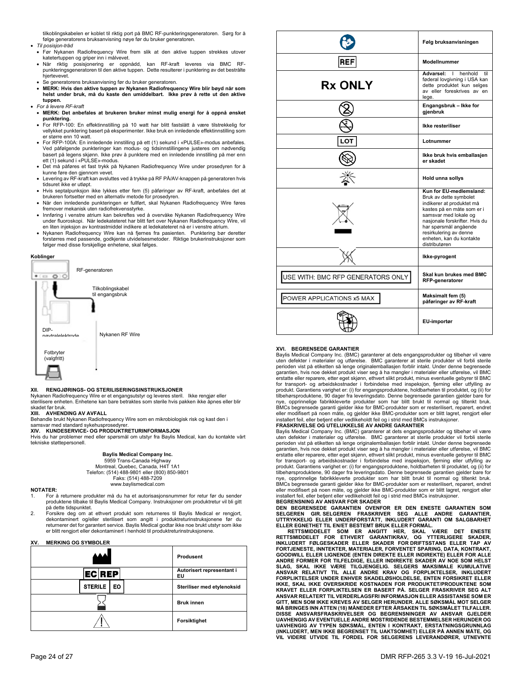tilkoblingskabelen er koblet til riktig port på BMC RF-punkteringsgeneratoren. Sørg for å følge generatorens bruksanvisning nøye før du bruker generatoren. *Til posisjon-tråd* 

- Før Nykanen Radiofrequency Wire frem slik at den aktive tuppen strekkes utover katetertuppen og griper inn i målvevet.
- Når riktig posisjonering er oppnådd, kan RF-kraft leveres via BMC RF-punkteringsgeneratoren til den aktive tuppen. Dette resulterer i punktering av det bestrålte hjertevevet.
- Se generatorens bruksanvisning før du bruker generatoren.
- **MERK: Hvis den aktive tuppen av Nykanen Radiofrequency Wire blir bøyd når som helst under bruk, må du kaste den umiddelbart. Ikke prøv å rette ut den aktive tuppen.**
- *For å levere RF-kraft* 
	- **MERK: Det anbefales at brukeren bruker minst mulig energi for å oppnå ønsket punktering.**
	- For RFP-100: En effektinnstilling på 10 watt har blitt fastslått å være tilstrekkelig for vellykket punktering basert på eksperimenter. Ikke bruk en innledende effektinnstilling som er større enn 10 watt.
	- For RFP-100A: En innledende innstilling på ett (1) sekund i «PULSE»-modus anbefales. Ved påfølgende punkteringer kan modus- og tidsinnstillingene justeres om nødvendig basert på legens skjønn. Ikke prøv å punktere med en innledende innstilling på mer enn ett (1) sekund i «PULSE»-modus.
	- Det må påføres et fast trykk på Nykanen Radiofrequency Wire under prosedyren for å kunne føre den gjennom vevet.
	- Levering av RF-kraft kan avsluttes ved å trykke på RF PÅ/AV-knappen på generatoren hvis tidsuret ikke er utløpt.
	- Hvis septalpunksjon ikke lykkes etter fem (5) påføringer av RF-kraft, anbefales det at brukeren fortsetter med en alternativ metode for prosedyren.
- Når den innledende punkteringen er fullført, skal Nykanen Radiofrequency Wire føres fremover mekanisk uten radiofrekvensstyrke.
- Innføring i venstre atrium kan bekreftes ved å overvåke Nykanen Radiofrequency Wire under fluoroskopi. Når ledekateteret har blitt ført over Nykanen Radiofrequency Wire, vil en liten injeksjon av kontrastmiddel indikere at ledekateteret nå er i venstre atrium.
- Nykanen Radiofrequency Wire kan nå fjernes fra pasienten. Punktering bør deretter forstørres med passende, godkjente utvidelsesmetoder. Riktige brukerinstruksjoner som følger med disse forskjellige enhetene, skal følges.



#### **XII. RENGJØRINGS- OG STERILISERINGSINSTRUKSJONER**

Nykanen Radiofrequency Wire er et engangsutstyr og leveres steril. Ikke rengjør eller sterilisere enheten. Enhetene kan bare betraktes som sterile hvis pakken ikke åpnes eller blir skadet før bruk.

#### **XIII. AVHENDING AV AVFALL**

Behandle brukt Nykanen Radiofrequency Wire som en mikrobiologisk risk og kast den i

# samsvar med standard sykehusprosedyrer. **XIV. KUNDESERVICE- OG PRODUKTRETURINFORMASJON**

Hvis du har problemer med eller spørsmål om utstyr fra Baylis Medical, kan du kontakte vårt tekniske støttepersonell.

#### **Baylis Medical Company Inc.**  5959 Trans-Canada Highway

Montreal, Quebec, Canada, H4T 1A1 Telefon: (514) 488-9801 eller (800) 850-9801 Faks: (514) 488-7209 www.baylismedical.com

#### **NOTATER:**

- 1. For å returnere produkter må du ha et autorisasjonsnummer for retur før du sender produktene tilbake til Baylis Medical Company. Instruksjoner om produktretur vil bli gitt på dette tidspunktet.
- 2. Forsikre deg om at ethvert produkt som returneres til Baylis Medical er rengjort, dekontaminert og/eller sterilisert som angitt i produktreturinstruksjonene før du returnerer det for garantert service. Baylis Medical godtar ikke noe brukt utstyr som ikke er blitt rengjort eller dekontaminert i henhold til produktreturinstruksjonen

#### **XV. MERKING OG SYMBOLER**

|                      | Produsent                       |
|----------------------|---------------------------------|
| <b>ECREP</b>         | Autorisert representant i<br>ΕU |
| <b>STERILE</b><br>EO | Steriliser med etylenoksid      |
|                      | <b>Bruk innen</b>               |
|                      | Forsiktighet                    |

|                                   | Følg bruksanvisningen                                                                                                                                                                                                                                                   |
|-----------------------------------|-------------------------------------------------------------------------------------------------------------------------------------------------------------------------------------------------------------------------------------------------------------------------|
| REF                               | <b>ModelInummer</b>                                                                                                                                                                                                                                                     |
| <b>Rx ONLY</b>                    | Advarsel:<br>$\mathbf{I}$<br>henhold<br>til<br>føderal lovgivning i USA kan<br>dette produktet kun selges<br>av eller foreskrives av en<br>lege.                                                                                                                        |
|                                   | Engangsbruk - Ikke for<br>gjenbruk                                                                                                                                                                                                                                      |
|                                   | Ikke resteriliser                                                                                                                                                                                                                                                       |
| LOT                               | Lotnummer                                                                                                                                                                                                                                                               |
|                                   | Ikke bruk hvis emballasjen<br>er skadet                                                                                                                                                                                                                                 |
|                                   | <b>Hold unna sollys</b>                                                                                                                                                                                                                                                 |
|                                   | Kun for EU-medlemsland:<br>Bruk av dette symbolet<br>indikerer at produktet må<br>kastes på en måte som er i<br>samsvar med lokale og<br>nasjonale forskrifter. Hvis du<br>har spørsmål angående<br>resirkulering av denne<br>enheten, kan du kontakte<br>distributøren |
|                                   | Ikke-pyrogent                                                                                                                                                                                                                                                           |
| USE WITH: BMC RFP GENERATORS ONLY | Skal kun brukes med BMC<br>RFP-generatorer                                                                                                                                                                                                                              |
| POWER APPLICATIONS x5 MAX         | Maksimalt fem (5)<br>påføringer av RF-kraft                                                                                                                                                                                                                             |
|                                   | EU-importør                                                                                                                                                                                                                                                             |

## **XVI. BEGRENSEDE GARANTIER**

Baylis Medical Company Inc. (BMC) garanterer at dets engangsprodukter og tilbehør vil være uten defekter i materialer og utførelse. BMC garanterer at sterile produkter vil forbli sterile perioden vist på etiketten så lenge originalemballasjen forblir intakt. Under denne begrensede garantien, hvis noe dekket produkt viser seg å ha mangler i materialer eller utførelse, vil BMC erstatte eller reparere, etter eget skjønn, ethvert slikt produkt, minus eventuelle gebyrer til BMC for transport- og arbeidskostnader i forbindelse med inspeksjon, fjerning eller utfylling av produkt. Garantiens varighet er: (i) for engangsproduktene, holdbarheten til produktet, og (ii) for tilbehørsproduktene, 90 dager fra leveringsdato. Denne begrensede garantien gjelder bare for nye, opprinnelige fabrikkleverte produkter som har blitt brukt til normal og tiltenkt bruk. BMCs begrensede garanti gjelder ikke for BMC-produkter som er resterilisert, reparert, endret eller modifisert på noen måte, og gjelder ikke BMC-produkter som er blitt lagret, rengjort eller<br>installert feil, eller betjent eller vedlikeholdt feil og i strid med BMCs instruksjoner.

#### **FRASKRIVELSE OG UTELUKKELSE AV ANDRE GARANTIER**

Baylis Medical Company Inc. (BMC) garanterer at dets engangsprodukter og tilbehør vil være uten defekter i materialer og utførelse. BMC garanterer at sterile produkter vil forbli sterile perioden vist på etiketten så lenge originalemballasjen forblir intakt. Under denne begrensede garantien, hvis noe dekket produkt viser seg å ha mangler i materialer eller utførelse, vil BMC erstatte eller reparere, etter eget skjønn, ethvert slikt produkt, minus eventuelle gebyrer til BMC for transport- og arbeidskostnader i forbindelse med inspeksjon, fjerning eller utfylling av produkt. Garantiens varighet er: (i) for engangsproduktene, holdbarheten til produktet, og (ii) for tilbehørsproduktene, 90 dager fra leveringsdato. Denne begrensede garantien gjelder bare for nye, opprinnelige fabrikkleverte produkter som har blitt brukt til normal og tiltenkt bruk. BMCs begrensede garanti gjelder ikke for BMC-produkter som er resterilisert, reparert, endret eller modifisert på noen måte, og gjelder ikke BMC-produkter som er blitt lagret, rengjort eller<br>installert feil, eller betjent eller vedlikeholdt feil og i strid med BMCs instruksjoner.

BEGRENSNING AV ANSVAR FOR SKADER<br>DEN BEGRENSEDE GARANTIEN OVENFOR ER DEN ENESTE GARANTIEN SOM<br>SELGEREN GIR. SELGEREN FRASKRIVER SEG ALLE ANDRE GARANTIER,<br>UTTRYKKELIG ELLER UNDERFORSTÅTT, INKLUDERT GARANTI OM SALGBARHET<br>ELL

**INKLUDERT FØLGESKADER ELLER SKADER FOR DRIFTSSTANS ELLER TAP AV FORTJENESTE, INNTEKTER, MATERIALER, FORVENTET SPARING, DATA, KONTRAKT, GOODWILL ELLER LIGNENDE (ENTEN DIREKTE ELLER INDIREKTE) ELLER FOR ALLE ANDRE FORMER FOR TILFELDIGE, ELLER INDIREKTE SKADER AV NOE SOM HELST SLAG, SKAL IKKE VÆRE TILGJENGELIG. SELGERS MAKSIMALE KUMULATIVE ANSVAR RELATIVT TIL ALLE ANDRE KRAV OG FORPLIKTELSER, INKLUDERT**  FORPLIKTELSER UNDER ENHVER SKADELØSHOLDELSE, ENTEN FORSIKRET ELLER<br>IKKE, SKAL IKKE OVERSKRIDE KOSTNADEN FOR PRODUKTET/PRODUKTENE SOM<br>KRAVET ELLER FORPLIKTELSEN ER BASERT PÅ. SELGER FRASKRIVER SEG ALT<br>ANSVAR RELATERT TIL VE **GITT, MEN SOM IKKE KREVES AV SELGER HERUNDER. ALLE SØKSMÅL MOT SELGER MÅ BRINGES INN ATTEN (18) MÅNEDER EFTER ÅRSAKEN TIL SØKSMÅLET TILFALLER.**  DISSE ANSVARSFRASKRIVELSER OG BEGRENSNINGER AV ANSVAR GJELDER<br>UAVHENGIG AV EVENTUELLE ANDRE MOSTRIDENDE BESTEMMELSER HERUNDER OG<br>UAVHENGIG AV TYPEN SØKSMÅL, ENTEN I KONTRAKT, ERSTATNINGSGRUNNLAG **(INKLUDERT, MEN IKKE BEGRENSET TIL UAKTSOMHET) ELLER PÅ ANNEN MÅTE, OG VIL VIDERE UTVIDE TIL FORDEL FOR SELGERENS LEVERANDØRER, UTNEVNTE**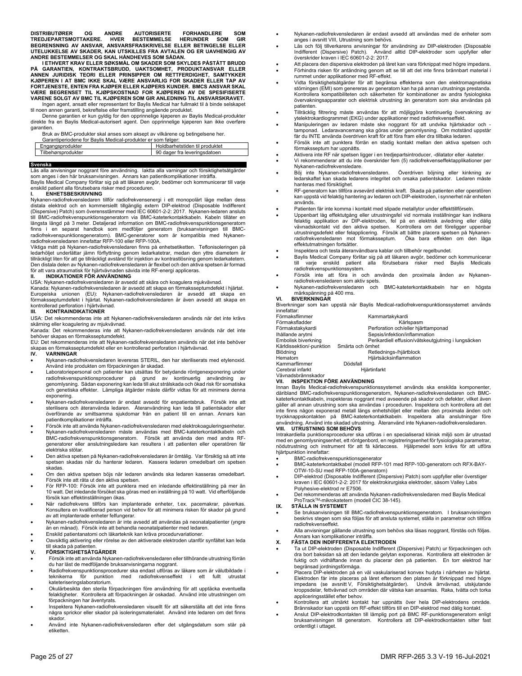DISTRIBUTØRER OG ANDRE AUTORISERTE FORHANDLERE SOM<br>TREDJEPARTSMOTTAKERE. HVER BESTEMMELSE HERUNDER SOM GIR<br>BEGRENSNING AV ANSVAR, ANSVARSFRASKRIVELSE ELLER BETINGELSE ELLER **UTELUKKELSE AV SKADER, KAN UTSKILLES FRA AVTALEN OG ER UAVHENGIG AV ANDRE BESTEMMELSER OG SKAL HÅNDHEVES SOM SÅDAN.**

 **I ETHVERT KRAV ELLER SØKSMÅL OM SKADER SOM SKYLDES PÅSTÅTT BRUDD**  PÅ GARANTIEN, KONTRAKTSBRUDD, UAKTSOMHET, PRODUKTANSVAR ELLER<br>ANNEN JURIDISK TEORI ELLER PRINSIPPER OM RETTFERDIGHET, SAMTYKKER<br>KJØPEREN I AT BMC IKKE SKAL VÆRE ANSVARLIG FOR SKADER ELLER TAP AV<br>FORTJENESTE,ENTENFRA KJØPER **VÆRE BEGRENSET TIL KJØPSKOSTNAD FOR KJØPEREN AV DE SPESIFISERTE VARENE SOLGT AV BMC TIL KJØPEREN SOM GIR ANLEDNING TIL ANSVARSKRAVET.** 

Ingen agent, ansatt eller representant for Baylis Medical har fullmakt til å binde selskapet til noen annen garanti, bekreftelse eller framstilling angående produktet.

 Denne garantien er kun gyldig for den opprinnelige kjøperen av Baylis Medical-produkter direkte fra en Baylis Medical-autorisert agent. Den opprinnelige kjøperen kan ikke overføre garantien.

Bruk av BMC-produkter skal anses som aksept av vilkårene og betingelsene her.

| Garantiperiodene for Baylis Medical-produkter er som følger: |                                |  |
|--------------------------------------------------------------|--------------------------------|--|
| Engangsprodukter                                             | Holdbarhetstiden til produktet |  |
| Tilbehørsprodukter                                           | 90 dager fra leveringsdatoen   |  |
|                                                              |                                |  |

#### **Svenska**

Läs alla anvisningar noggrant före användning. Iaktta alla varningar och försiktighetsåtgärder som anges i den här bruksanvisningen. Annars kan patientkomplikationer inträffa.

Baylis Medical Company förlitar sig på att läkaren avgör, bedömer och kommunicerar till varje enskild patient alla förutsebara risker med proceduren.

### **I. ENHETSBESKRIVNING**

Nykanen-radiofrekvensledaren tillför radiofrekvensenergi i ett monopolärt läge mellan dess distala elektrod och en kommersiellt tillgänglig extern DIP-elektrod (Disposable Indifferent (Dispersive) Patch) som överensstämmer med IEC 60601-2-2: 2017. Nykanen-ledaren ansluts till BMC-radiofrekvenspunktionsgeneratorn via BMC-kateterkontaktkabeln. Kabeln tillåter en<br>längsta längd på 3 meter. Detaljerad information om BMC-radiofrekvenspunktionsgeneratorn<br>finns i en separat handbok som medföljer g

Viktiga mått på Nykanen-radiofrekvensledaren finns på enhetsetiketten. Teflonisoleringen på<br>ledarhöljet underlättar jämn förflyttning genom ledarkatetrar, medan den yttre diametern är<br>tillräckligt liten för att ge tillräc Den distala delen av Nykanen-radiofrekvensledaren är flexibel och den aktiva spetsen är formad för att vara atraumatisk för hjärtvävnaden såvida inte RF-energi appliceras.

## **II. INDIKATIONER FÖR ANVÄNDNING**

USA: Nykanen-radiofrekvensledaren är avsedd att skära och koagulera mjukvävnad.

Kanada: Nykanen-radiofrekvensledaren är avsedd att skapa en förmaksseptumdefekt i hjärtat. Europeiska unionen (EU): Nykanen-radiofrekvensledaren är avsedd att skapa en förmaksseptumdefekt i hjärtat. Nykanen-radiofrekvensledaren är även avsedd att skapa en kontrollerad perforation i hjärtvävnad.

#### **III. KONTRAINDIKATIONER**

USA: Det rekommenderas inte att Nykanen-radiofrekvensledaren används när det inte krävs skärning eller koagulering av mjukvävnad.

Kanada: Det rekommenderas inte att Nykanen-radiofrekvensledaren används när det inte behöver skapas en förmaksseptumdefekt.

EU: Det rekommenderas inte att Nykanen-radiofrekvensledaren används när det inte behöver skapas en förmaksseptumdefekt eller en kontrollerad perforation i hjärtvävnad.<br>IV. VARNINGAR

### **IV. VARNINGAR**

- Nykanen-radiofrekvensledaren levereras STERIL, den har steriliserats med etylenoxid. Använd inte produkten om förpackningen är skadad. Laboratoriepersonal och patienter kan utsättas för betydande röntgenexponering under
- radiofrekvenspunktionsprocedurer på grund av kontinuerlig användning av<br>genomlysning. Sådan exponering kan leda till akut strålskada och ökad risk för somatiska<br>och genetiska effekter. Lämpliga åtgärder måste därför vidtas exponering.
- Nykanen-radiofrekvensledaren är endast avsedd för enpatientsbruk. Försök inte att sterilisera och återanvända ledaren. Återanvändning kan leda till patientskador eller överförande av smittsamma sjukdomar från en patient till en annan. Annars kan patientkomplikationer inträffa.
- Försök inte att använda Nykanen-radiofrekvensledaren med elektrokoaguleringsenheter.
- Nykanen-radiofrekvensledaren måste användas med BMC-kateterkontaktkabeln och BMC-radiofrekvenspunktionsgeneratorn. Försök att använda den med andra RF-generatorer eller anslutningsledare kan resultera i att patienten eller operatören får elektriska stötar.
- Den aktiva spetsen på Nykanen-radiofrekvensledaren är ömtålig. Var försiktig så att inte spetsen skadas när du hanterar ledaren. Kassera ledaren omedelbart om spetsen skadas.
- Om den aktiva spetsen böjs när ledaren används ska ledaren kasseras omedelbart. Försök inte att räta ut den aktiva spetsen.
- För RFP-100: Försök inte att punktera med en inledande effektinställning på mer än 10 watt. Det inledande försöket ska göras med en inställning på 10 watt. Vid efterföljande försök kan effektinställningen ökas.
- När radiofrekvens tillförs kan implanterade enheter, t.ex. pacemakrar, påverkas. Konsultera en kvalificerad person vid behov för att minimera risken för skador på grund av att implanterade enheter felfungerar.
- Nykanen-radiofrekvensledaren är inte avsedd att användas på neonatalpatienter (yngre än en månad). Försök inte att behandla neonatalpatienter med ledaren.
- Enskild patientanatomi och läkarteknik kan kräva procedurvariationer. Oavsiktlig aktivering eller rörelse av den aktiverade elektroden utanför synfältet kan leda
- till skada på patienten.

## **V. FÖRSIKTIGHETSÅTGÄRDER**

- Försök inte att använda Nykanen-radiofrekvensledaren eller tillhörande utrustning förrän du har läst de medföljande bruksanvisningarna noggrant. Radiofrekvenspunktionsprocedurer ska endast utföras av läkare som är välutbildade i
- teknikerna för punktion med radiofrekvenseffekt i ett fullt kateteriseringslaboratorium.
- Okulärbesikta den sterila förpackningen före användning för att upptäcka eventuella felaktigheter. Kontrollera att förpackningen är oskadad. Använd inte utrustningen om förpackningen har äventyrats.
- Inspektera Nykanen-radiofrekvensledaren visuellt för att säkerställa att det inte finns några sprickor eller skador på isoleringsmaterialet. Använd inte ledaren om det finns skador.
- Använd inte Nykanen-radiofrekvensledaren efter det utgångsdatum som står på etiketten.
- Nykanen-radiofrekvensledaren är endast avsedd att användas med de enheter som anges i avsnitt VIII, Utrustning som behövs.
- Läs och följ tillverkarens anvisningar för användning av DIP-elektroden (Disposable Indifferent (Dispersive) Patch). Använd alltid DIP-elektroder som uppfyller eller överskrider kraven i IEC 60601-2-2: 2017.
- Att placera den dispersiva elektroden på låret kan vara förknippat med högre impedans.
- Förhindra risken för antändning genom att se till att det inte finns brännbart material i rummet under applikationer med RF-effekt.
- vidta försiktighetsåtgärder för att begränsa effekterna som den elektromagnetiska<br>störningen (EMI) som genereras av generatorn kan ha på annan utrustnings prestanda.<br>Kontrollera kompatibiliteten och säkerheten för kombinat övervakningsapparater och elektrisk utrustning än generatorn som ska användas på patienten.
- Tillräcklig filtrering måste användas för att möjliggöra kontinuerlig övervakning av
- ytelektrokardiogrammet (EKG) under applikationer med radiofrekvenseffekt. Manipuleringen av ledaren måste ske noggrant för att undvika hjärtskador och tamponad. Ledaravancemang ska göras under genomlysning. Om motstånd uppstår får du INTE använda överdriven kraft för att föra fram eller dra tillbaka ledaren. Försök inte att punktera förrän en stadig kontakt mellan den aktiva spetsen och
- förmaksseptum har uppnåtts.
- Aktivera inte RF när spetsen ligger i en tredjepartsintroducer, -dilatator eller -kateter. Vi rekommenderar att du inte överskrider fem (5) radiofrekvenseffektapplikationer per
- Nykanen-radiofrekvensledare. Böj inte Nykanen-radiofrekvensledaren. Överdriven böjning eller kinkning av ledarskaftet kan skada ledarens integritet och orsaka patientskador. Ledaren måste
- hanteras med försiktighet.
- RF-generatorn kan tillföra avsevärd elektrisk kraft. Skada på patienten eller operatören kan uppstå vid felaktig hantering av ledaren och DIP-elektroden, i synnerhet när enheten används.
- Patienten får inte komma i kontakt med slipade metallytor under effekttillförseln.
- Uppenbart låg effektutgång eller utrustningsfel vid normala inställningar kan indikera felaktig applikation av DIP-elektroden, fel på en elektrisk avledning eller dålig vävnadskontakt vid den aktiva spetsen. Kontrollera om det föreligger uppenbar<br>utrustningsdefekt eller felapplicering. Försök att bättre placera spetsen på Nykanen-<br>radiofrekvensledaren mot förmaksseptum. Öka bara eff effektutmatningen fortsätter.

Inspektera och testa återanvändbara kablar och tillbehör regelbundet.

- Baylis Medical Company förlitar sig på att läkaren avgör, bedömer och kommunicerar till varje enskild patient alla förutsebara risker med Baylis Medicals radiofrekvenspunktionssystem.
- Försök inte att föra in och använda den proximala änden av Nykanenradiofrekvensledaren som aktiv spets.
- Nykanen-radiofrekvensledaren och BMC-kateterkontaktkabeln har en högsta märkspänning på 400 rms. **VI. BIVERKNINGAR**

Biverkningar som kan uppstå när Baylis Medical-radiofrekvenspunktionssystemet används innefattar:

| Förmaksflimmer           | Kammartakykardi                                     |
|--------------------------|-----------------------------------------------------|
| Förmaksfladder           | Kärlspasm                                           |
| Förmakstakykardi         | Perforation och/eller hjärttamponad                 |
| Ihållande arytmi         | Sepsis/infektion/inflammation                       |
| Embolisk biverkning      | Perikardiell effusion/vätskeutgjutning i lungsäcken |
| Kärldissektion/-punktion | Smärta och ömhet                                    |
| Blödning                 | Retlednings-/hjärtblock                             |
| Hematom                  | Hjärtsäcksinflammation                              |
| Kammarflimmer            | Dödsfall                                            |
| Cerebral infarkt         | Hiärtinfarkt                                        |
| Väynadehrännekador       |                                                     |

# Vävnadsbrännskador **VII. INSPEKTION FÖRE ANVÄNDNING**

Innan Baylis Medical-radiofrekvenspunktionssystemet används ska enskilda komponer däribland BMC-radiofrekvenspunktionsgeneratorn, Nykanen-radiofrekvensledaren och BMC-kateterkontaktkabeln, inspekteras noggrant med avseende på skador och defekter, vilket även gäller all annan utrustning som ska användas i proceduren. Inspektera och kontrollera att det inte finns någon exponerad metall längs enhetshöljet eller mellan den proximala änden och<br>tryckknappskontakten på BMC-kateterkontaktkabeln. Inspektera alla anslutningar före<br>användning. Använd inte skadad utrustning. **VIII. UTRUSTNING SOM BEHÖVS** 

## Intrakardiella punktionsprocedurer ska utföras i en specialiserad klinisk miljö som är utrustad med en genomlysningsenhet, ett röntgenbord, en registreringsenhet för fysiologiska parametrar,<br>nödutrustning och instrument för att få kärlaccess. Hjälpmedel som krävs för att utföra hjärtpunktion innefattar:

- BMC-radiofrekvenspunktionsgenerator
- BMC-kateterkontaktkabel (modell RFP-101 med RFP-100-generatorn och RFX-BAY-OTW-10-SU med RFP-100A-generatorn)
- DIP-elektrod (Disposable Indifferent (Dispersive) Patch) som uppfyller eller överstiger kraven i IEC 60601-2-2: 2017 för elektrokirurgiska elektroder, såsom Valley Labs Polyhesive-elektrod nr E7506.
- Det rekommenderas att använda Nykanen-radiofrekvensledaren med Baylis Medical ProTrackTM-mikrokatetern (modell CIC 38-145).

#### **IX. STÄLLA IN SYSTEMET**

- Se bruksanvisningen till BMC-radiofrekvenspunktionsgeneratorn. I bruksanvisningen beskrivs stegen som ska följas för att ansluta systemet, ställa in parametrar och tillföra radiofrekvenseffekt.
- Alla anvisningar gällande utrustning som behövs ska läsas noggrant, förstås och följas. Annars kan komplikationer inträffa.

#### **X. FÄSTA DEN INDIFFERENTA ELEKTRODEN**

- Ta ut DIP-elektroden (Disposable Indifferent (Dispersive) Patch) ur förpackningen och dra bort baksidan så att den ledande gelytan exponeras. Kontrollera att elektroden är fuktig och vidhäftande innan du placerar den på patienten. En torr elektrod har begränsad jordningsförmåga.
- Placera DIP-elektroden på en väl vaskulariserad konvex hudyta i närheten av hjärtat. Elektroden får inte placeras på låret eftersom den platsen är förknippad med högre<br>impedans (se avsnitt V. Försiktighetsåtgärder). Undvik ärrvävnad. utskiutande impedans (se avsnitt V, Försiktighetsåtgärder). kroppsdelar, fettvävnad och områden där vätska kan ansamlas. Raka, tvätta och torka appliceringsstället efter behov.
- Kontrollera att utmärkt kontakt har uppnåtts över hela DIP-elektrodens område. Brännskador kan uppstå om RF-effekt tillförs till en DIP-elektrod med dålig kontakt.
- Anslut DIP-elektrodkontakten till lämplig port på BMC RF-punktionsgeneratorn enligt bruksanvisningen till generatorn. Kontrollera att DIP-elektrodkontakten sitter fast ordentligt i uttaget.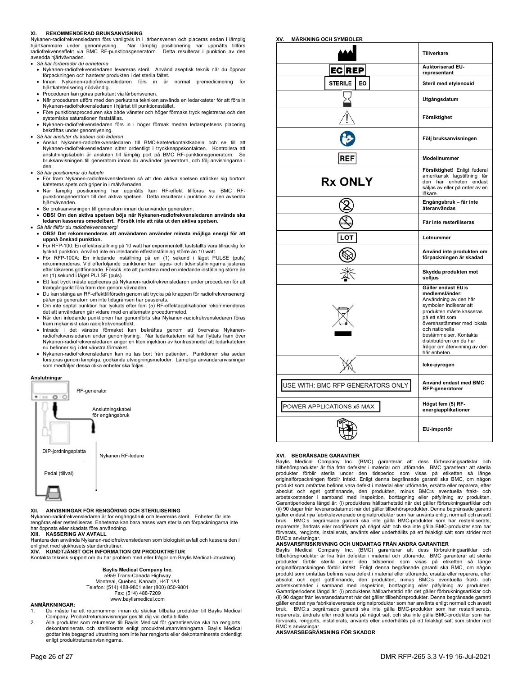#### **REKOMMENDERAD BRUKSANVISNING**

Nykanen-radiofrekvensledaren förs vanligtvis in i lårbensvenen och placeras sedan i lämplig<br>hjärtkammare under genomlysning. När lämplig positionering har uppnåtts tillförs<br>radiofrekvenseffekt via BMC RF-punktio avsedda hjärtvävnaden.

- *Så här förbereder du enheterna*
- Nykanen-radiofrekvensledaren levereras steril. Använd aseptisk teknik när du öppnar förpackningen och hanterar produkten i det sterila fältet.
- Innan Nykanen-radiofrekvensledaren förs in är normal premedicinering för hjärtkateterisering nödvändig.
- Proceduren kan göras perkutant via lårbensvenen.
- När proceduren utförs med den perkutana tekniken används en ledarkateter för att föra in Nykanen-radiofrekvensledaren i hjärtat till punktionsstället.
- Före punktionsproceduren ska både vänster och höger förmaks tryck registreras och den systemiska saturationen fastställas.
- Nykanen-radiofrekvensledaren förs in i höger förmak medan ledarspetsens placering bekräftas under genomlysning.
- *Så här ansluter du kabeln och ledaren*
- Anslut Nykanen-radiofrekvensledaren till BMC-kateterkontaktkabeln och se till att Nykanen-radiofrekvensledaren sitter ordentligt i tryckknappskontakten. Kontrollera att anslutningskabeln är ansluten till lämplig port på BMC RF-punktionsgeneratorn. Se bruksanvisningen till generatorn innan du använder generatorn, och följ anvisningarna i den. *Så här positionerar du kabeln*
- 
- För fram Nykanen-radiofrekvensledaren så att den aktiva spetsen sträcker sig bortom kateterns spets och griper in i målvävnaden.
- När lämplig positionering har uppnåtts kan RF-effekt tillföras via BMC RFpunktionsgeneratorn till den aktiva spetsen. Detta resulterar i punktion av den avsedda hjärtvävnaden.
- Se bruksanvisningen till generatorn innan du använder generatorn.
- **OBS! Om den aktiva spetsen böjs när Nykanen-radiofrekvensledaren används ska ledaren kasseras omedelbart. Försök inte att räta ut den aktiva spetsen.**
- *Så här tillför du radiofrekvensenergi*
- **OBS! Det rekommenderas att användaren använder minsta möjliga energi för att uppnå önskad punktion.**
- För RFP-100: En effektinställning på 10 watt har experimentellt fastställts vara tillräcklig för lyckad punktion. Använd inte en inledande effektinställning större än 10 watt.
- För RFP-100A: En inledande inställning på en (1) sekund i läget PULSE (puls) rekommenderas. Vid efterföljande punktioner kan läges- och tidsinställningarna justeras efter läkarens gottfinnande. Försök inte att punktera med en inledande inställning större än en (1) sekund i läget PULSE (puls).
- Ett fast tryck måste appliceras på Nykanen-radiofrekvensledaren under proceduren för att framgångsrikt föra fram den genom vävnaden.
- Du kan stänga av RF-effekttillförseln genom att trycka på knappen för radiofrekvensenergi på/av på generatorn om inte tidsgränsen har passerats.
- Om inte septal punktion har lyckats efter fem (5) RF-effektapplikationer rekommenderas det att användaren går vidare med en alternativ procedurmetod.
- När den inledande punktionen har genomförts ska Nykanen-radiofrekvensledaren föras fram mekaniskt utan radiofrekvenseffekt.
- Inträde i det vänstra förmaket kan bekräftas genom att övervaka Nykanen-radiofrekvensledaren under genomlysning. När ledarkatetern väl har flyttats fram över Nykanen-radiofrekvensledaren anger en liten injektion av kontrastmedel att ledarkatetern nu befinner sig i det vänstra förmaket.
- Nykanen-radiofrekvensledaren kan nu tas bort från patienten. Punktionen ska sedan förstoras genom lämpliga, godkända utvidgningsmetoder. Lämpliga användaranvisningar som medföljer dessa olika enheter ska följas.

#### **Anslutningar**



#### **XII. ANVISNINGAR FÖR RENGÖRING OCH STERILISERING**

Nykanen-radiofrekvensledaren är för engångsbruk och levereras steril. Enheten får inte rengöras eller resteriliseras. Enheterna kan bara anses vara sterila om förpackningarna inte har öppnats eller skadats före användning.

**XIII. KASSERING AV AVFALL** 

Hantera den använda Nykanen-radiofrekvensledaren som biologiskt avfall och kassera den i enlighet med sjukhusets standardrutiner

**XIV. KUNDTJÄNST OCH INFORMATION OM PRODUKTRETUR** 

Kontakta teknisk support om du har problem med eller frågor om Baylis Medical-utrustning.

**Baylis Medical Company Inc.**  5959 Trans-Canada Highway Montreal, Quebec, Kanada, H4T 1A1 Telefon: (514) 488-9801 eller (800) 850-9801 Fax: (514) 488-7209 www.baylismedical.com

#### **ANMÄRKNINGAR:**

- 1. Du måste ha ett returnummer innan du skickar tillbaka produkter till Baylis Medical
- Company. Produktretursanvisningar ges till dig vid detta tillfälle.<br>2. Alla produkter som returneras till Baylis Medical för garantiservice ska ha rengjorts,<br> dekontaminerats och steriliserats enligt produktret godtar inte begagnad utrustning som inte har rengjorts eller dekontaminerats ordentligt enligt produktretursanvisningarna.

| <b>ECREP</b>                      | Auktoriserad EU-<br>representant                                                                                                                                                                                                                                                           |
|-----------------------------------|--------------------------------------------------------------------------------------------------------------------------------------------------------------------------------------------------------------------------------------------------------------------------------------------|
| <b>STERILE</b><br>EO              | Steril med etylenoxid                                                                                                                                                                                                                                                                      |
|                                   | Utgångsdatum                                                                                                                                                                                                                                                                               |
|                                   | Försiktighet                                                                                                                                                                                                                                                                               |
|                                   | Följ bruksanvisningen                                                                                                                                                                                                                                                                      |
| <b>REF</b>                        | Modellnummer                                                                                                                                                                                                                                                                               |
| <b>Rx ONLY</b>                    | Försiktighet! Enligt federal<br>amerikansk lagstiftning får<br>den här enheten endast<br>säljas av eller på order av en<br>läkare.                                                                                                                                                         |
|                                   | Engångsbruk - får inte<br>återanvändas                                                                                                                                                                                                                                                     |
|                                   | Får inte resteriliseras                                                                                                                                                                                                                                                                    |
| LOI                               | Lotnummer                                                                                                                                                                                                                                                                                  |
|                                   | Använd inte produkten om<br>förpackningen är skadad                                                                                                                                                                                                                                        |
|                                   | Skydda produkten mot<br>solljus                                                                                                                                                                                                                                                            |
|                                   | Gäller endast EU:s<br>medlemsländer:<br>Användning av den här<br>symbolen indikerar att<br>produkten måste kasseras<br>på ett sätt som<br>överensstämmer med lokala<br>och nationella<br>bestämmelser. Kontakta<br>distributören om du har<br>frågor om återvinning av den<br>här enheten. |
|                                   | Icke-pyrogen                                                                                                                                                                                                                                                                               |
| USE WITH: BMC RFP GENERATORS ONLY | Använd endast med BMC<br>RFP-generatorer                                                                                                                                                                                                                                                   |
| POWER APPLICATIONS x5 MAX         | Högst fem (5) RF-<br>energiapplikationer                                                                                                                                                                                                                                                   |
|                                   | EU-importör                                                                                                                                                                                                                                                                                |

**Tillverkare** 

#### **XVI. BEGRÄNSADE GARANTIER**

**XV. MÄRKNING OCH SYMBOLER** 

Baylis Medical Company Inc. (BMC) garanterar att dess förbrukningsartiklar och tillbehörsprodukter är fria från defekter i material och utförande. BMC garanterar att sterila produkter förblir sterila under den tidsperiod som visas på etiketten så länge originalförpackningen förblir intakt. Enligt denna begränsade garanti ska BMC, om någon produkt som omfattas befinns vara defekt i material eller utförande, ersätta eller reparera, efter .<br>absolut och eget gottfinnande, den produkten, minus BMC:s eventuella frakt arbetskostnader i samband med inspektion, borttagning eller påfyllning av produkten. Garantiperiodens längd är: (i) produktens hållbarhetstid när det gäller förbrukningsartiklar och (ii) 90 dagar från leveransdatumet när det gäller tillbehörsprodukter. Denna begränsade garanti gäller endast nya fabrikslevererade originalprodukter som har använts enligt normalt och avsett<br>bruk. BMC:s begränsade garanti ska inte gälla BMC-produkter som har resteriliserats,<br>reparerats, ändrats förvarats, rengjorts, installerats, använts eller underhållits på ett felaktigt sätt som strider mot

# BMC:s anvisningar. **ANSVARSFRISKRIVNING OCH UNDANTAG FRÅN ANDRA GARANTIER**

Baylis Medical Company Inc. (BMC) garanterar att dess förbrukningsartiklar och tillbehörsprodukter är fria från defekter i material och utförande. BMC garanterar att sterila produkter förblir sterila under den tidsperiod som visas på etiketten så länge originalförpackningen förblir intakt. Enligt denna begränsade garanti ska BMC, om någon produkt som omfattas befinns vara defekt i material eller utförande, ersätta eller reparera, efter absolut och eget gottfinnande, den produkten, minus BMC:s eventuella frakt- och arbetskostnader i samband med inspektion, borttagning eller påfyllning av produkten. Garantiperiodens längd är: (i) produktens hållbarhetstid när det gäller förbrukningsartiklar och (ii) 90 dagar från leveransdatumet när det gäller tillbehörsprodukter. Denna begränsade garanti gäller endast nya fabrikslevererade originalprodukter som har använts enligt normalt och avsett bruk. BMC:s begränsade garanti ska inte gälla BMC-produkter som har resteriliserats, reparerats, ändrats eller modifierats på något sätt och ska inte gälla BMC-produkter som har förvarats, rengjorts, installerats, använts eller underhållits på ett felaktigt sätt som strider mot BMC:s anvisning

### **ANSVARSBEGRÄNSNING FÖR SKADOR**